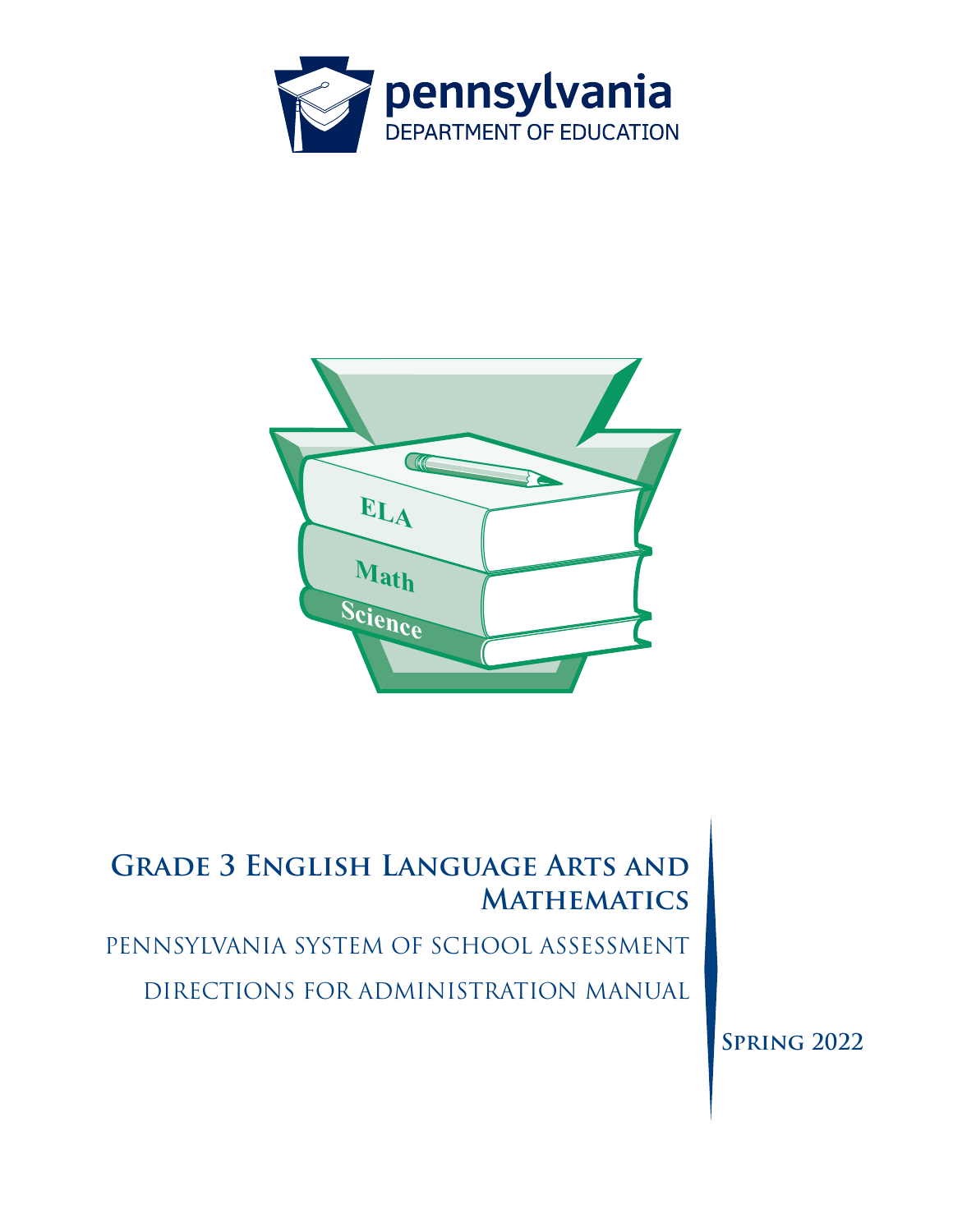



## **Grade 3 English Language Arts and Mathematics**

PENNSYLVANIA SYSTEM OF SCHOOL ASSESSMENT

DIRECTIONS FOR ADMINISTRATION MANUAL

**Spring 2022**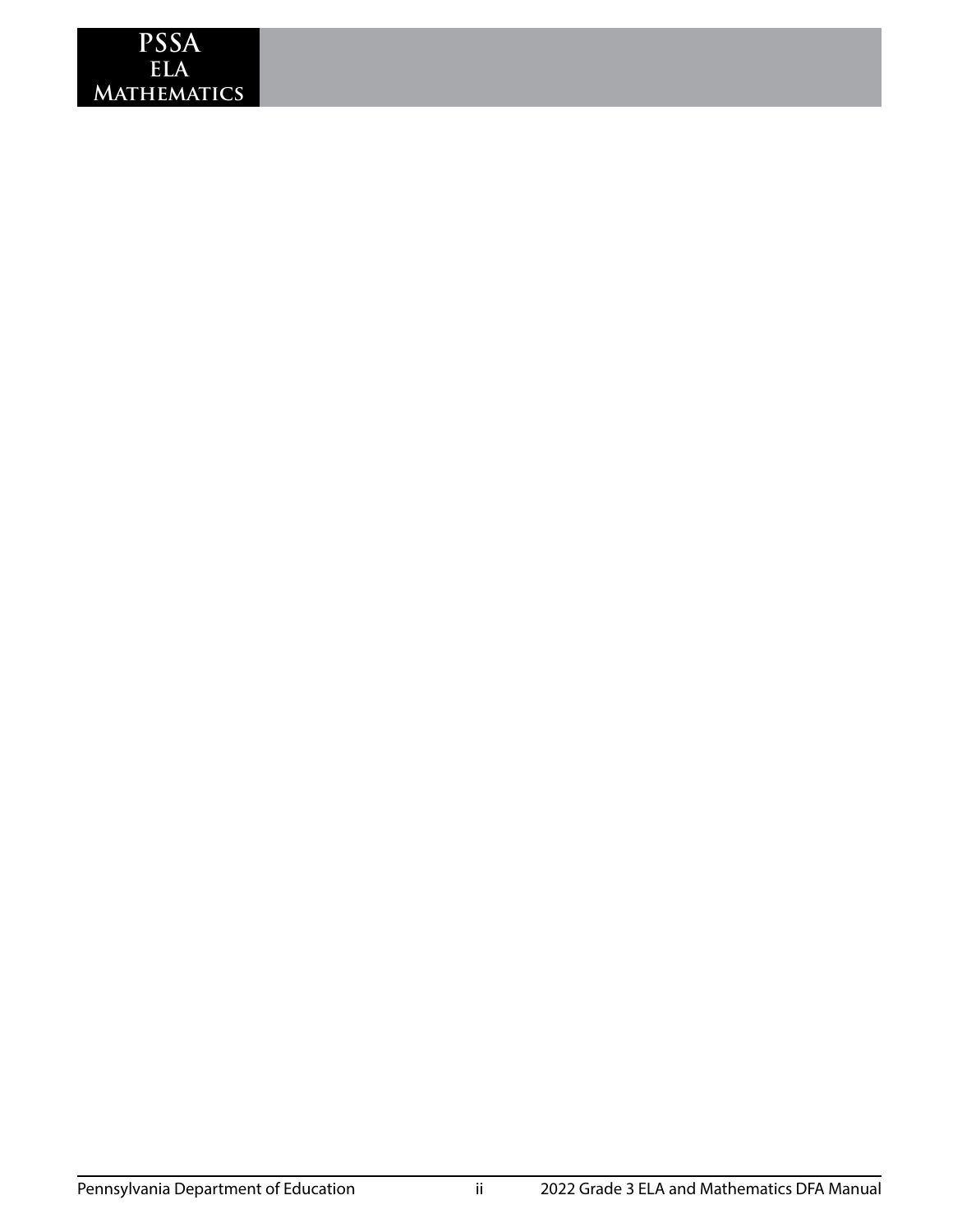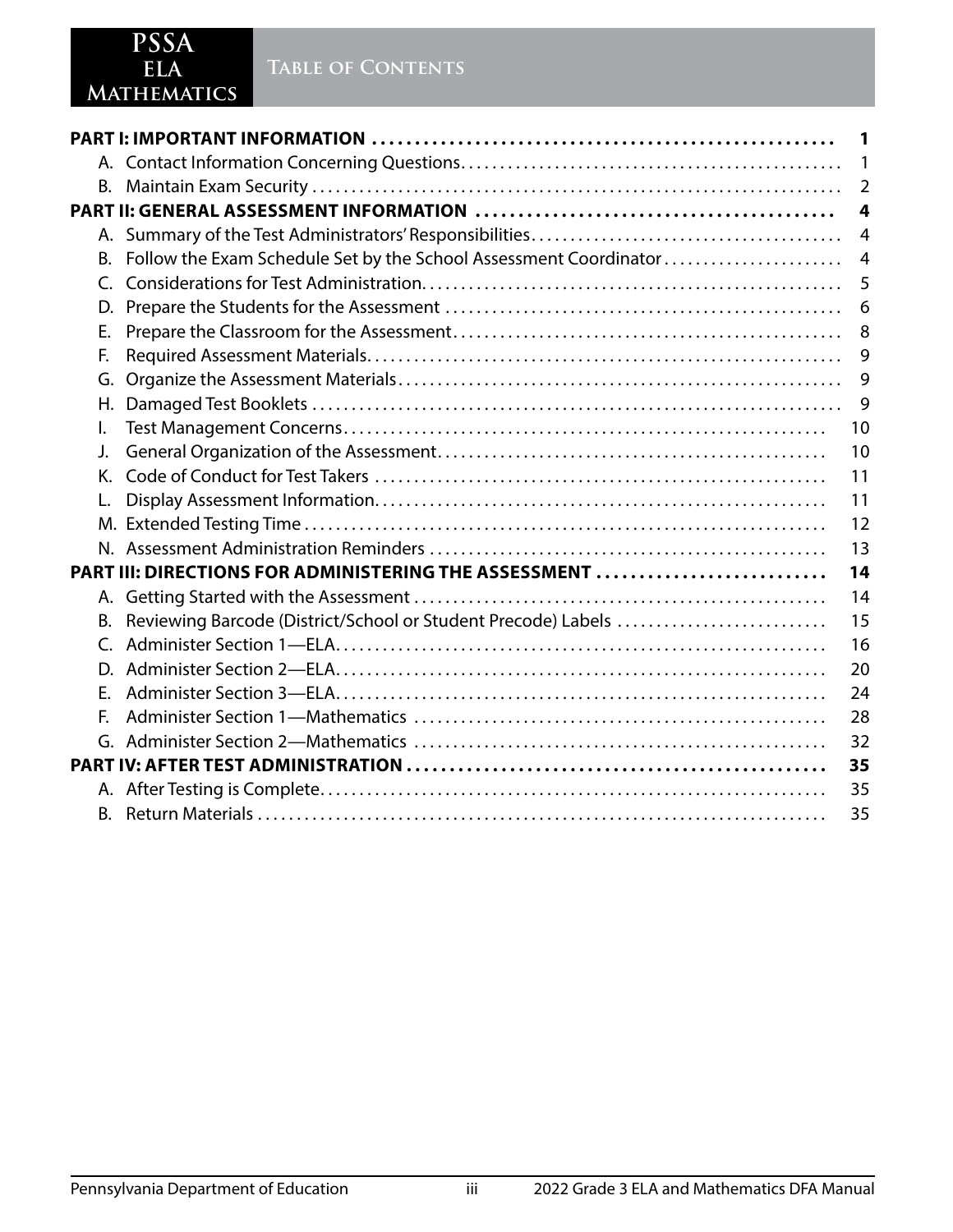**Table of Contents**

**PSSA ELA Mathematics**

|                |                                                                   | ı              |
|----------------|-------------------------------------------------------------------|----------------|
|                |                                                                   | $\mathbf{1}$   |
| B.             |                                                                   | $\overline{2}$ |
|                |                                                                   | 4              |
|                |                                                                   | $\overline{4}$ |
| B.             | Follow the Exam Schedule Set by the School Assessment Coordinator | $\overline{4}$ |
| $\subset$      |                                                                   | 5              |
| D.             |                                                                   | 6              |
| Е.             |                                                                   | 8              |
| F.             |                                                                   | 9              |
| G.             |                                                                   | 9              |
| Η.             |                                                                   | 9              |
| L.             |                                                                   | 10             |
| J.             |                                                                   | 10             |
| Κ.             |                                                                   | 11             |
| L.             |                                                                   | 11             |
|                |                                                                   | 12             |
|                |                                                                   | 13             |
|                | PART III: DIRECTIONS FOR ADMINISTERING THE ASSESSMENT             | 14             |
|                |                                                                   | 14             |
| В.             | Reviewing Barcode (District/School or Student Precode) Labels     | 15             |
| $\mathsf{C}$ . |                                                                   | 16             |
| D.             |                                                                   | 20             |
| Е.             |                                                                   | 24             |
| E.             |                                                                   | 28             |
| G.             |                                                                   | 32             |
|                |                                                                   | 35             |
|                |                                                                   | 35             |
| В.             |                                                                   | 35             |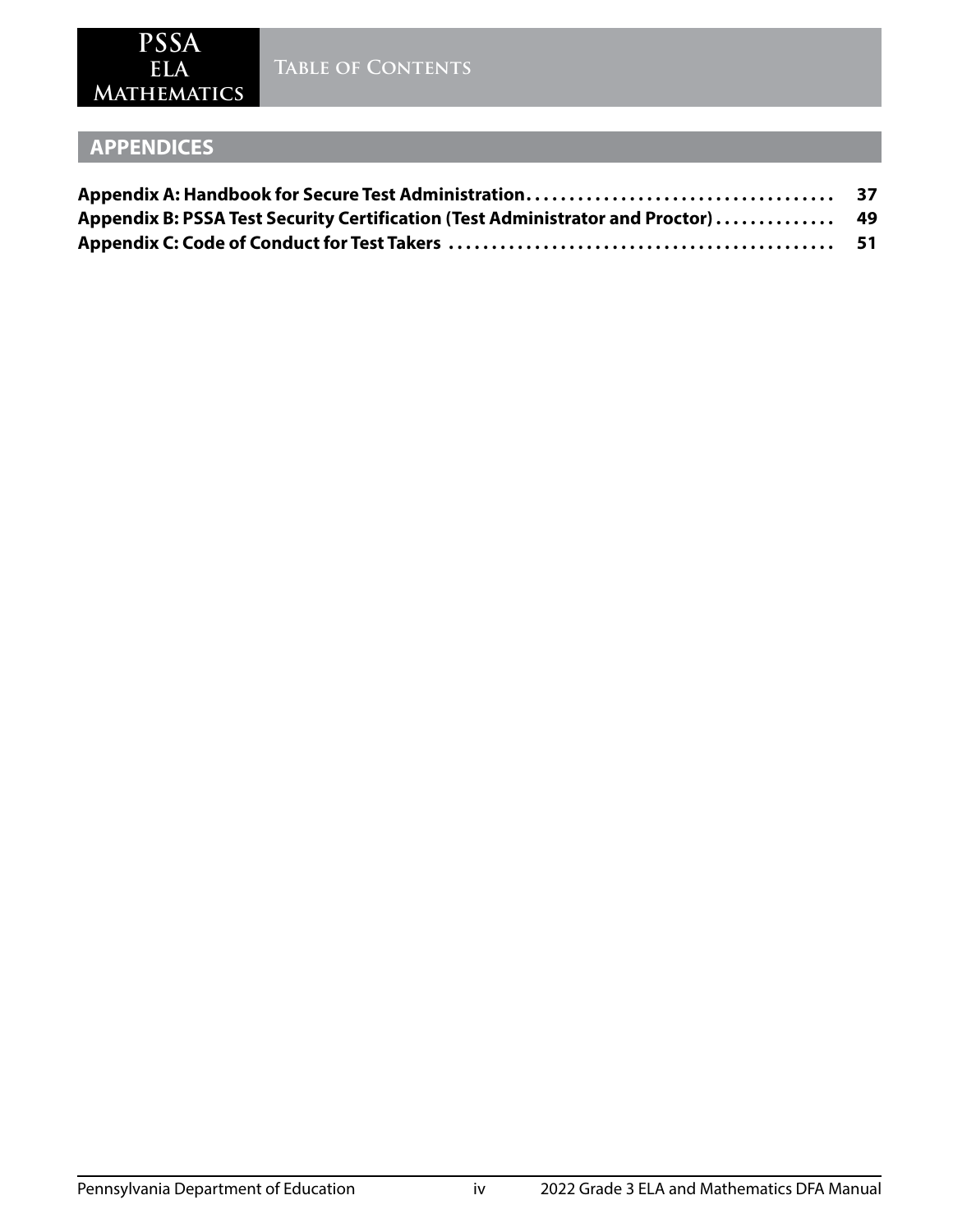

## **APPENDICES**

| Appendix B: PSSA Test Security Certification (Test Administrator and Proctor)  49 |  |
|-----------------------------------------------------------------------------------|--|
|                                                                                   |  |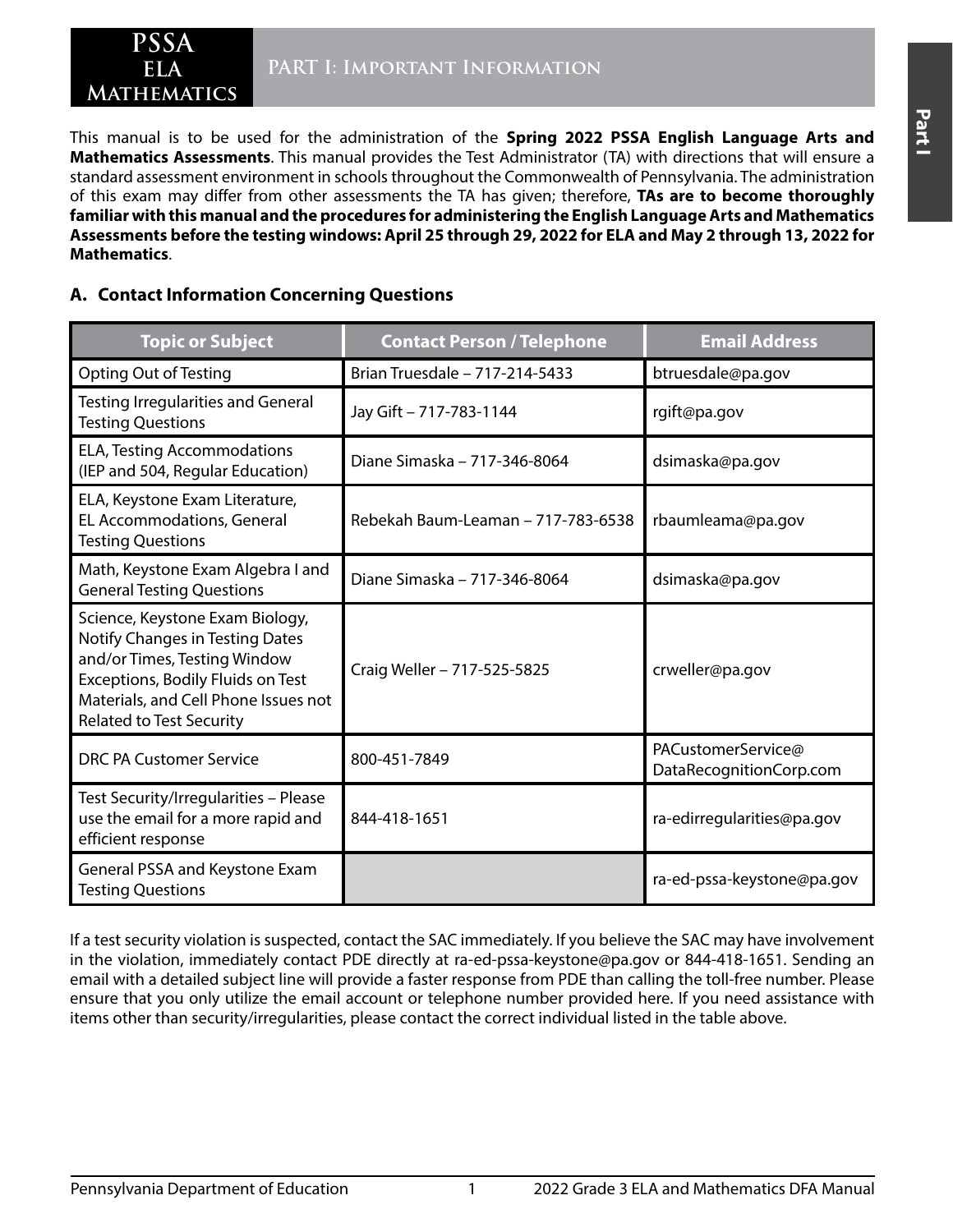<span id="page-4-0"></span>

This manual is to be used for the administration of the **Spring 2022 PSSA English Language Arts and Mathematics Assessments**. This manual provides the Test Administrator (TA) with directions that will ensure a standard assessment environment in schools throughout the Commonwealth of Pennsylvania. The administration of this exam may differ from other assessments the TA has given; therefore, **TAs are to become thoroughly familiar with this manual and the procedures for administering the English Language Arts and Mathematics Assessments before the testing windows: April 25 through 29, 2022 for ELA and May 2 through 13, 2022 for Mathematics**.

#### **A. Contact Information Concerning Questions**

| <b>Topic or Subject</b>                                                                                                                                                                                            | <b>Contact Person / Telephone</b>  | <b>Email Address</b>                          |
|--------------------------------------------------------------------------------------------------------------------------------------------------------------------------------------------------------------------|------------------------------------|-----------------------------------------------|
| <b>Opting Out of Testing</b>                                                                                                                                                                                       | Brian Truesdale - 717-214-5433     | btruesdale@pa.gov                             |
| Testing Irregularities and General<br><b>Testing Questions</b>                                                                                                                                                     | Jay Gift - 717-783-1144            | rgift@pa.gov                                  |
| <b>ELA, Testing Accommodations</b><br>(IEP and 504, Regular Education)                                                                                                                                             | Diane Simaska - 717-346-8064       | dsimaska@pa.gov                               |
| ELA, Keystone Exam Literature,<br>EL Accommodations, General<br><b>Testing Questions</b>                                                                                                                           | Rebekah Baum-Leaman - 717-783-6538 | rbaumleama@pa.gov                             |
| Math, Keystone Exam Algebra I and<br><b>General Testing Questions</b>                                                                                                                                              | Diane Simaska - 717-346-8064       | dsimaska@pa.gov                               |
| Science, Keystone Exam Biology,<br>Notify Changes in Testing Dates<br>and/or Times, Testing Window<br>Exceptions, Bodily Fluids on Test<br>Materials, and Cell Phone Issues not<br><b>Related to Test Security</b> | Craig Weller - 717-525-5825        | crweller@pa.gov                               |
| <b>DRC PA Customer Service</b>                                                                                                                                                                                     | 800-451-7849                       | PACustomerService@<br>DataRecognitionCorp.com |
| Test Security/Irregularities - Please<br>use the email for a more rapid and<br>efficient response                                                                                                                  | 844-418-1651                       | ra-edirregularities@pa.gov                    |
| General PSSA and Keystone Exam<br><b>Testing Questions</b>                                                                                                                                                         |                                    | ra-ed-pssa-keystone@pa.gov                    |

If a test security violation is suspected, contact the SAC immediately. If you believe the SAC may have involvement in the violation, immediately contact PDE directly at [ra-ed-pssa-keystone@pa.gov](mailto:ra-ed-pssa-keystone%40pa.gov?subject=) or 844-418-1651. Sending an email with a detailed subject line will provide a faster response from PDE than calling the toll-free number. Please ensure that you only utilize the email account or telephone number provided here. If you need assistance with items other than security/irregularities, please contact the correct individual listed in the table above.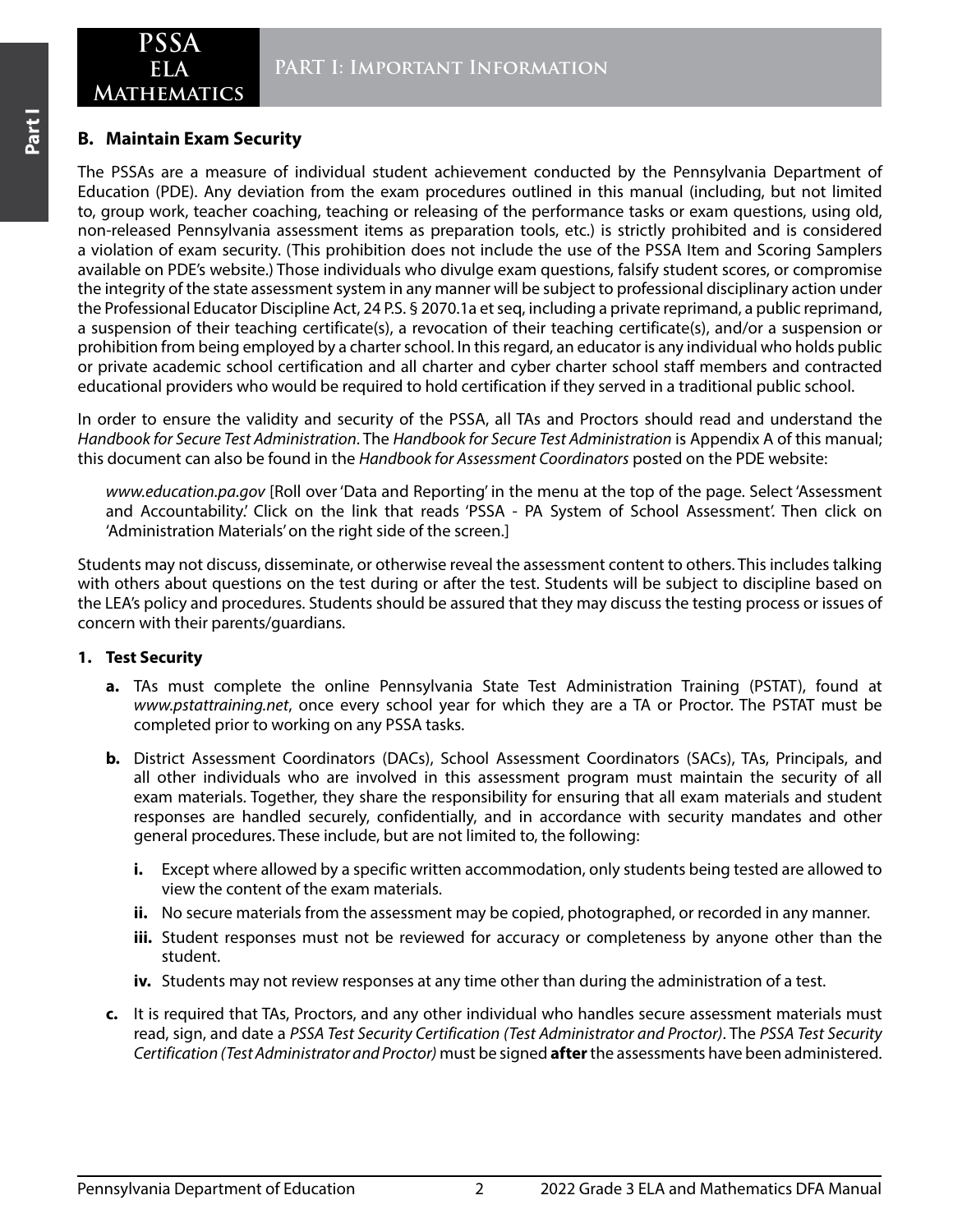#### **B.** Maintain Exam Security

<span id="page-5-0"></span>**PSSA ELA Mathematics**

The PSSAs are a measure of individual student achievement conducted by the Pennsylvania Department of Education (PDE). Any deviation from the exam procedures outlined in this manual (including, but not limited to, group work, teacher coaching, teaching or releasing of the performance tasks or exam questions, using old, non-released Pennsylvania assessment items as preparation tools, etc.) is strictly prohibited and is considered a violation of exam security. (This prohibition does not include the use of the PSSA Item and Scoring Samplers available on PDE's website.) Those individuals who divulge exam questions, falsify student scores, or compromise the integrity of the state assessment system in any manner will be subject to professional disciplinary action under the Professional Educator Discipline Act, 24 P.S. § 2070.1a et seq, including a private reprimand, a public reprimand, a suspension of their teaching certificate(s), a revocation of their teaching certificate(s), and/or a suspension or prohibition from being employed by a charter school. In this regard, an educator is any individual who holds public or private academic school certification and all charter and cyber charter school staff members and contracted educational providers who would be required to hold certification if they served in a traditional public school.

In order to ensure the validity and security of the PSSA, all TAs and Proctors should read and understand the *Handbook for Secure Test Administration*. The *Handbook for Secure Test Administration* is [Appendix A](#page-40-0) of this manual; this document can also be found in the *Handbook for Assessment Coordinators* posted on the PDE website:

*[www.education.pa.gov](http://www.education.pa.gov)* [Roll over 'Data and Reporting' in the menu at the top of the page. Select 'Assessment and Accountability.' Click on the link that reads 'PSSA - PA System of School Assessment'. Then click on 'Administration Materials' on the right side of the screen.]

Students may not discuss, disseminate, or otherwise reveal the assessment content to others. This includes talking with others about questions on the test during or after the test. Students will be subject to discipline based on the LEA's policy and procedures. Students should be assured that they may discuss the testing process or issues of concern with their parents/guardians.

#### **1. Test Security**

- **a.** TAs must complete the online Pennsylvania State Test Administration Training (PSTAT), found at *[www.pstattraining.net](http://www.pstattraining.net)*, once every school year for which they are a TA or Proctor. The PSTAT must be completed prior to working on any PSSA tasks.
- **b.** District Assessment Coordinators (DACs), School Assessment Coordinators (SACs), TAs, Principals, and all other individuals who are involved in this assessment program must maintain the security of all exam materials. Together, they share the responsibility for ensuring that all exam materials and student responses are handled securely, confidentially, and in accordance with security mandates and other general procedures. These include, but are not limited to, the following:
	- **i.** Except where allowed by a specific written accommodation, only students being tested are allowed to view the content of the exam materials.
	- **ii.** No secure materials from the assessment may be copied, photographed, or recorded in any manner.
	- **iii.** Student responses must not be reviewed for accuracy or completeness by anyone other than the student.
	- iv. Students may not review responses at any time other than during the administration of a test.
- **c .** It is required that TAs, Proctors, and any other individual who handles secure assessment materials must read, sign, and date a *PSSA Test Security Certification (Test Administrator and Proctor)*. The *PSSA Test Security Certification (Test Administrator and Proctor)* must be signed **after** the assessments have been administered.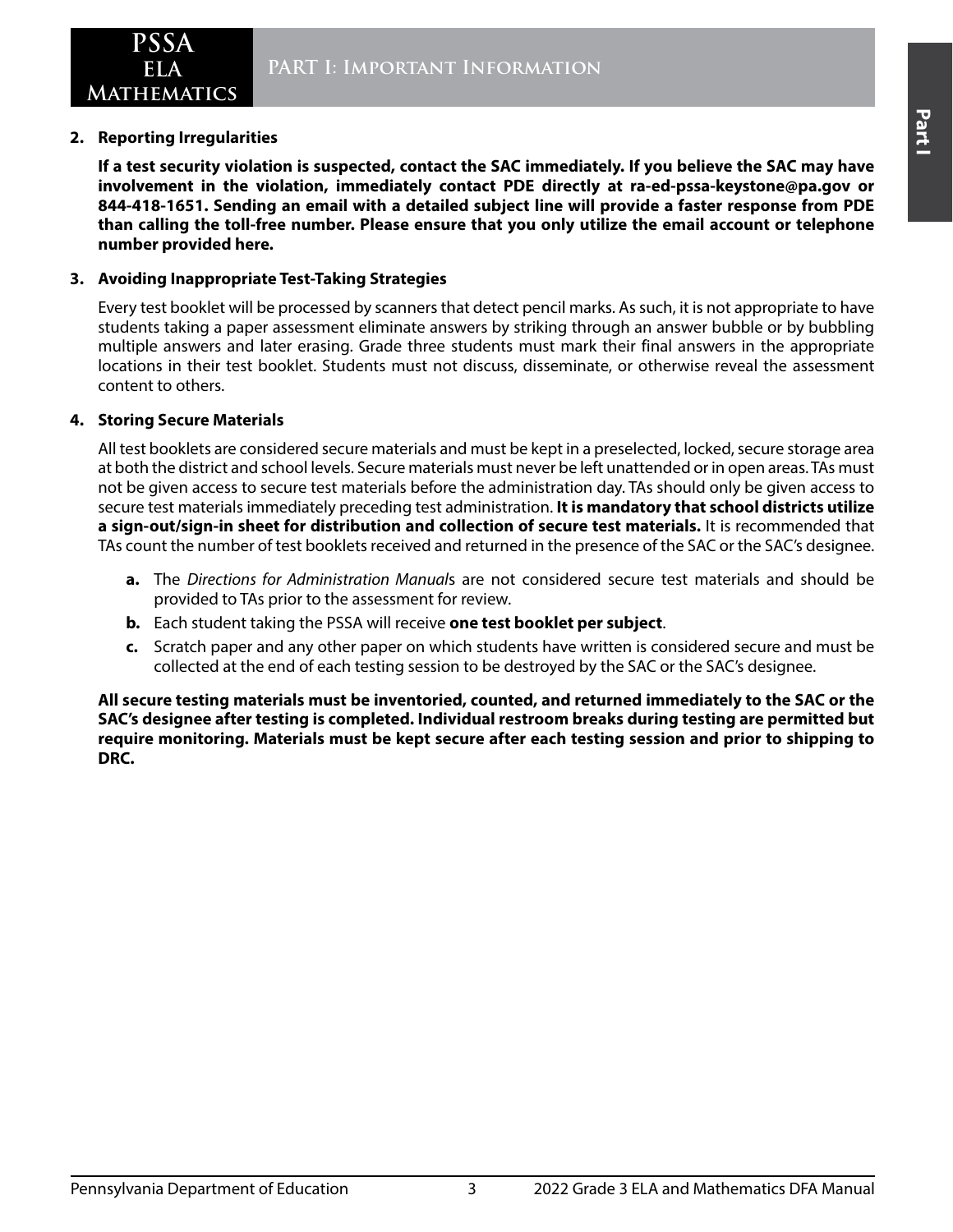#### **2 . Reporting Irregularities**

**PSSA ELA Mathematics**

**If a test security violation is suspected, contact the SAC immediately . If you believe the SAC may have involvement in the violation, immediately contact PDE directly at [ra-ed-pssa-keystone@pa .gov](mailto:ra-ed-pssa-keystone%40pa.gov?subject=) or 844-418-1651 . Sending an email with a detailed subject line will provide a faster response from PDE**  than calling the toll-free number. Please ensure that you only utilize the email account or telephone **number provided here .**

#### **3 . Avoiding Inappropriate Test-Taking Strategies**

Every test booklet will be processed by scanners that detect pencil marks. As such, it is not appropriate to have students taking a paper assessment eliminate answers by striking through an answer bubble or by bubbling multiple answers and later erasing. Grade three students must mark their final answers in the appropriate locations in their test booklet. Students must not discuss, disseminate, or otherwise reveal the assessment content to others.

#### **4 . Storing Secure Materials**

All test booklets are considered secure materials and must be kept in a preselected, locked, secure storage area at both the district and school levels. Secure materials must never be left unattended or in open areas. TAs must not be given access to secure test materials before the administration day. TAs should only be given access to secure test materials immediately preceding test administration. **It is mandatory that school districts utilize a sign-out/sign-in sheet for distribution and collection of secure test materials .** It is recommended that TAs count the number of test booklets received and returned in the presence of the SAC or the SAC's designee.

- **a .** The *Directions for Administration Manual*s are not considered secure test materials and should be provided to TAs prior to the assessment for review.
- **b.** Each student taking the PSSA will receive **one test booklet per subject**.
- **c .** Scratch paper and any other paper on which students have written is considered secure and must be collected at the end of each testing session to be destroyed by the SAC or the SAC's designee.

**All secure testing materials must be inventoried, counted, and returned immediately to the SAC or the SAC's designee after testing is completed . Individual restroom breaks during testing are permitted but require monitoring . Materials must be kept secure after each testing session and prior to shipping to DRC .**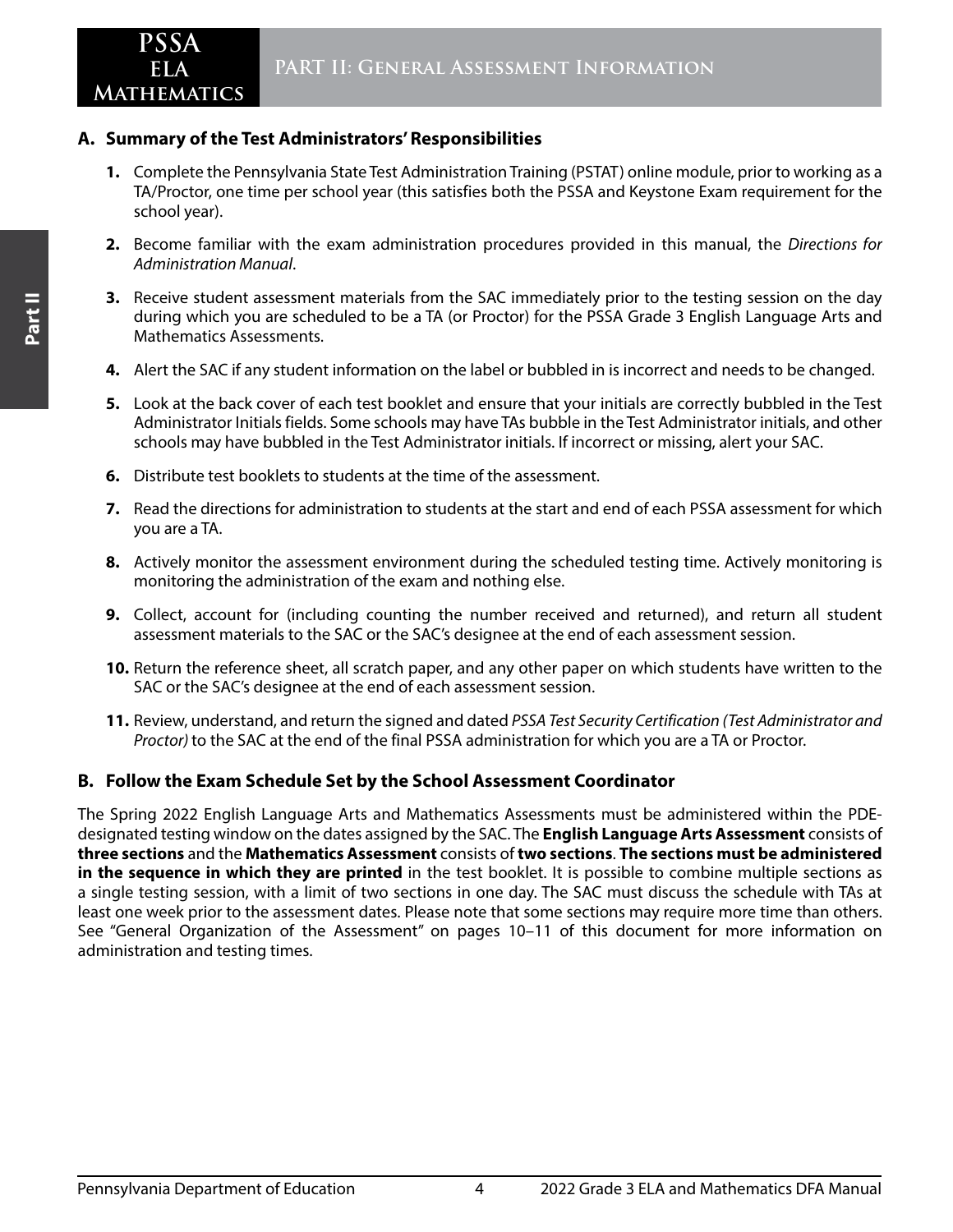#### **A . Summary of the Test Administrators' Responsibilities**

<span id="page-7-0"></span>**PSSA ELA Mathematics**

- **1 .** Complete the Pennsylvania State Test Administration Training (PSTAT) online module, prior to working as a TA/Proctor, one time per school year (this satisfies both the PSSA and Keystone Exam requirement for the school year).
- **2 .** Become familiar with the exam administration procedures provided in this manual, the *Directions for Administration Manual*.
- **3.** Receive student assessment materials from the SAC immediately prior to the testing session on the day during which you are scheduled to be a TA (or Proctor) for the PSSA Grade 3 English Language Arts and Mathematics Assessments.
- **4 .** Alert the SAC if any student information on the label or bubbled in is incorrect and needs to be changed.
- **5 .** Look at the back cover of each test booklet and ensure that your initials are correctly bubbled in the Test Administrator Initials fields. Some schools may have TAs bubble in the Test Administrator initials, and other schools may have bubbled in the Test Administrator initials. If incorrect or missing, alert your SAC.
- **6.** Distribute test booklets to students at the time of the assessment.
- **7 .** Read the directions for administration to students at the start and end of each PSSA assessment for which you are a TA.
- **8 .** Actively monitor the assessment environment during the scheduled testing time. Actively monitoring is monitoring the administration of the exam and nothing else.
- **9.** Collect, account for (including counting the number received and returned), and return all student assessment materials to the SAC or the SAC's designee at the end of each assessment session.
- **10.** Return the reference sheet, all scratch paper, and any other paper on which students have written to the SAC or the SAC's designee at the end of each assessment session.
- **11 .** Review, understand, and return the signed and dated *PSSA Test Security Certification (Test Administrator and Proctor)* to the SAC at the end of the final PSSA administration for which you are a TA or Proctor.

#### **B . Follow the Exam Schedule Set by the School Assessment Coordinator**

The Spring 2022 English Language Arts and Mathematics Assessments must be administered within the PDEdesignated testing window on the dates assigned by the SAC. The **English Language Arts Assessment** consists of **three sections** and the **Mathematics Assessment** consists of **two sections**. **The sections must be administered in the sequence in which they are printed** in the test booklet. It is possible to combine multiple sections as a single testing session, with a limit of two sections in one day. The SAC must discuss the schedule with TAs at least one week prior to the assessment dates. Please note that some sections may require more time than others. See "General Organization of the Assessment" on [pages 10–](#page-13-1)[11](#page-14-1) of this document for more information on administration and testing times.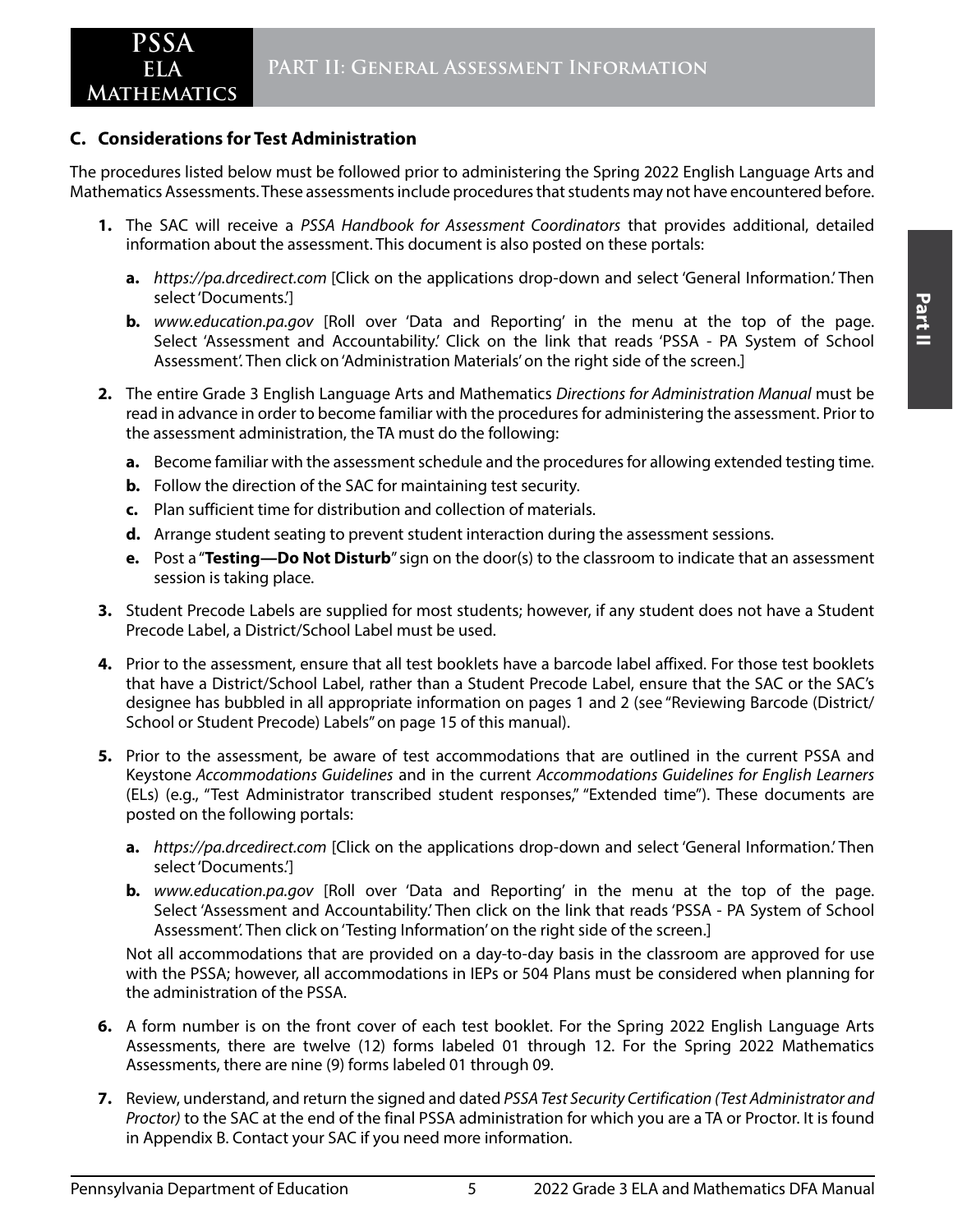#### **C . Considerations for Test Administration**

<span id="page-8-0"></span>**PSSA ELA Mathematics**

The procedures listed below must be followed prior to administering the Spring 2022 English Language Arts and Mathematics Assessments. These assessments include procedures that students may not have encountered before.

- **1 .** The SAC will receive a *PSSA Handbook for Assessment Coordinators* that provides additional, detailed information about the assessment. This document is also posted on these portals:
	- **a .** *<https://pa.drcedirect.com>* [Click on the applications drop-down and select 'General Information.' Then select 'Documents.']
	- **b.** *[www.education.pa.gov](http://www.education.pa.gov)* [Roll over 'Data and Reporting' in the menu at the top of the page. Select 'Assessment and Accountability.' Click on the link that reads 'PSSA - PA System of School Assessment'. Then click on 'Administration Materials' on the right side of the screen.]
- **2 .** The entire Grade 3 English Language Arts and Mathematics *Directions for Administration Manual* must be read in advance in order to become familiar with the procedures for administering the assessment. Prior to the assessment administration, the TA must do the following:
	- **a.** Become familiar with the assessment schedule and the procedures for allowing extended testing time.
	- **b.** Follow the direction of the SAC for maintaining test security.
	- **c .** Plan sufficient time for distribution and collection of materials.
	- **d.** Arrange student seating to prevent student interaction during the assessment sessions.
	- **e .** Post a "**Testing—Do Not Disturb**" sign on the door(s) to the classroom to indicate that an assessment session is taking place.
- **3.** Student Precode Labels are supplied for most students; however, if any student does not have a Student Precode Label, a District/School Label must be used.
- **4 .** Prior to the assessment, ensure that all test booklets have a barcode label affixed. For those test booklets that have a District/School Label, rather than a Student Precode Label, ensure that the SAC or the SAC's designee has bubbled in all appropriate information on pages 1 and 2 (see "Reviewing Barcode (District/ School or Student Precode) Labels" on [page 15](#page-18-1) of this manual).
- **5 .** Prior to the assessment, be aware of test accommodations that are outlined in the current PSSA and Keystone *Accommodations Guidelines* and in the current *Accommodations Guidelines for English Learners* (ELs) (e.g., "Test Administrator transcribed student responses," "Extended time"). These documents are posted on the following portals:
	- **a.** *<https://pa.drcedirect.com>* [Click on the applications drop-down and select 'General Information.' Then select 'Documents.']
	- **b.** *[www.education.pa.gov](http://www.education.pa.gov)* [Roll over 'Data and Reporting' in the menu at the top of the page. Select 'Assessment and Accountability.' Then click on the link that reads 'PSSA - PA System of School Assessment'. Then click on 'Testing Information' on the right side of the screen.]

Not all accommodations that are provided on a day-to-day basis in the classroom are approved for use with the PSSA; however, all accommodations in IEPs or 504 Plans must be considered when planning for the administration of the PSSA.

- **6 .** A form number is on the front cover of each test booklet. For the Spring 2022 English Language Arts Assessments, there are twelve (12) forms labeled 01 through 12. For the Spring 2022 Mathematics Assessments, there are nine (9) forms labeled 01 through 09.
- **7 .** Review, understand, and return the signed and dated *PSSA Test Security Certification (Test Administrator and Proctor)* to the SAC at the end of the final PSSA administration for which you are a TA or Proctor. It is found in [Appendix B.](#page-52-0) Contact your SAC if you need more information.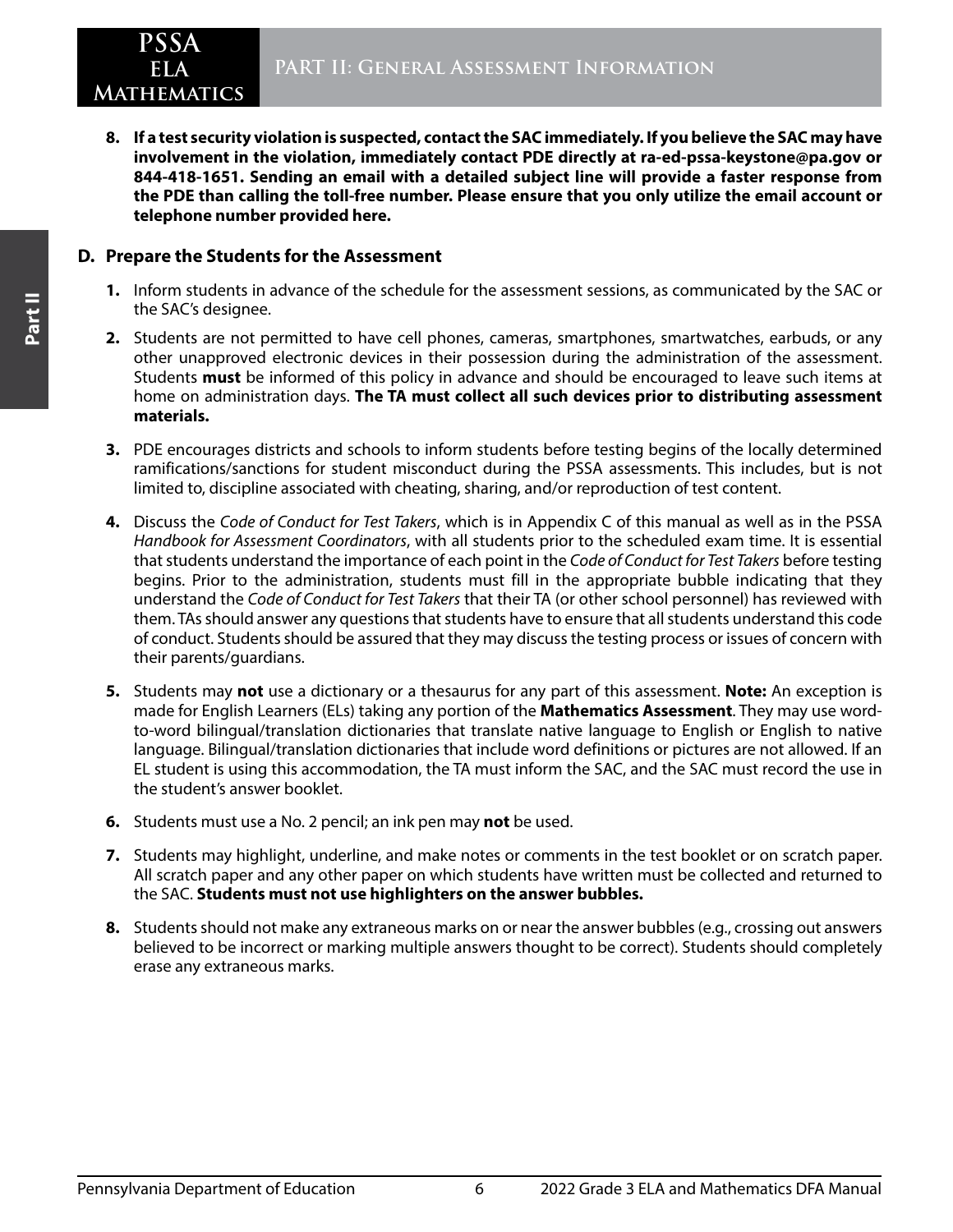<span id="page-9-0"></span>

**8 . If a test security violation is suspected, contact the SAC immediately . If you believe the SAC may have involvement in the violation, immediately contact PDE directly at [ra-ed-pssa-keystone@pa .gov](mailto:ra-ed-pssa-keystone%40pa.gov?subject=) or 844-418-1651 . Sending an email with a detailed subject line will provide a faster response from the PDE than calling the toll-free number . Please ensure that you only utilize the email account or telephone number provided here .**

#### **D. Prepare the Students for the Assessment**

- **1 .** Inform students in advance of the schedule for the assessment sessions, as communicated by the SAC or the SAC's designee.
- **2 .** Students are not permitted to have cell phones, cameras, smartphones, smartwatches, earbuds, or any other unapproved electronic devices in their possession during the administration of the assessment. Students **must** be informed of this policy in advance and should be encouraged to leave such items at home on administration days. **The TA must collect all such devices prior to distributing assessment materials .**
- **3 .** PDE encourages districts and schools to inform students before testing begins of the locally determined ramifications/sanctions for student misconduct during the PSSA assessments. This includes, but is not limited to, discipline associated with cheating, sharing, and/or reproduction of test content.
- **4 .** Discuss the *Code of Conduct for Test Takers*, which is in [Appendix C](#page-54-0) of this manual as well as in the PSSA *Handbook for Assessment Coordinators*, with all students prior to the scheduled exam time. It is essential that students understand the importance of each point in the *Code of Conduct for Test Takers* before testing begins. Prior to the administration, students must fill in the appropriate bubble indicating that they understand the *Code of Conduct for Test Takers* that their TA (or other school personnel) has reviewed with them. TAs should answer any questions that students have to ensure that all students understand this code of conduct. Students should be assured that they may discuss the testing process or issues of concern with their parents/guardians.
- **5 .** Students may **not** use a dictionary or a thesaurus for any part of this assessment. **Note:** An exception is made for English Learners (ELs) taking any portion of the **Mathematics Assessment**. They may use wordto-word bilingual/translation dictionaries that translate native language to English or English to native language. Bilingual/translation dictionaries that include word definitions or pictures are not allowed. If an EL student is using this accommodation, the TA must inform the SAC, and the SAC must record the use in the student's answer booklet.
- **6 .** Students must use a No. 2 pencil; an ink pen may **not** be used.
- **7 .** Students may highlight, underline, and make notes or comments in the test booklet or on scratch paper. All scratch paper and any other paper on which students have written must be collected and returned to the SAC. **Students must not use highlighters on the answer bubbles .**
- **8 .** Students should not make any extraneous marks on or near the answer bubbles (e.g., crossing out answers believed to be incorrect or marking multiple answers thought to be correct). Students should completely erase any extraneous marks.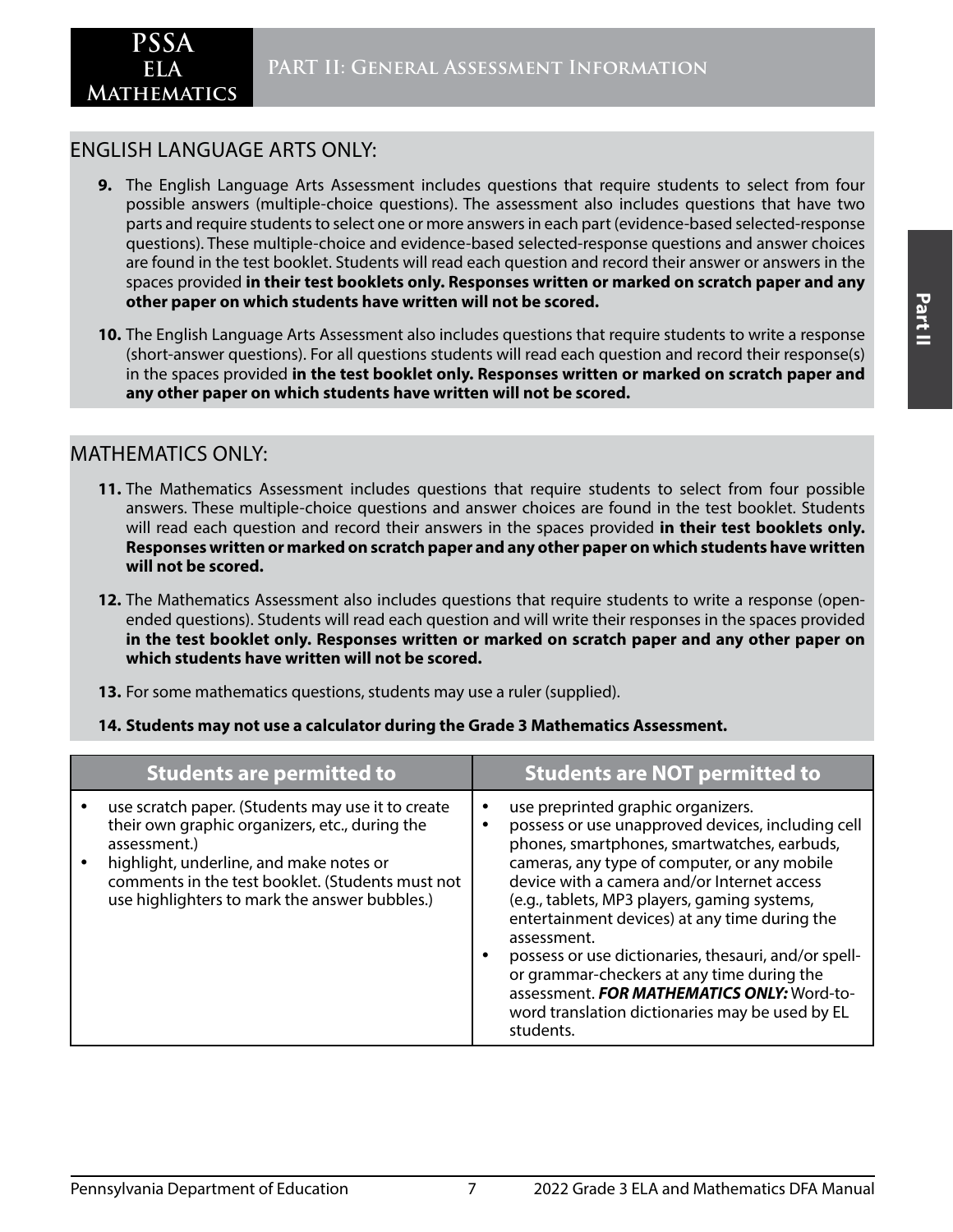#### ENGLISH LANGUAGE ARTS ONLY:

**PSSA ELA Mathematics**

- **9.** The English Language Arts Assessment includes questions that require students to select from four possible answers (multiple-choice questions). The assessment also includes questions that have two parts and require students to select one or more answers in each part (evidence-based selected-response questions). These multiple-choice and evidence-based selected-response questions and answer choices are found in the test booklet. Students will read each question and record their answer or answers in the spaces provided in their test booklets only. Responses written or marked on scratch paper and any **other paper on which students have written will not be scored .**
- **10 .** The English Language Arts Assessment also includes questions that require students to write a response (short-answer questions). For all questions students will read each question and record their response(s) in the spaces provided **in the test booklet only . Responses written or marked on scratch paper and any other paper on which students have written will not be scored .**

#### MATHEMATICS ONLY:

- **11 .** The Mathematics Assessment includes questions that require students to select from four possible answers. These multiple-choice questions and answer choices are found in the test booklet. Students will read each question and record their answers in the spaces provided **in their test booklets only. Responses written or marked on scratch paper and any other paper on which students have written will not be scored .**
- **12.** The Mathematics Assessment also includes questions that require students to write a response (openended questions). Students will read each question and will write their responses in the spaces provided **in the test booklet only . Responses written or marked on scratch paper and any other paper on**  which students have written will not be scored.
- **13.** For some mathematics questions, students may use a ruler (supplied).

| <b>Students are permitted to</b>                                                                                                                                                                                                                                    | <b>Students are NOT permitted to</b>                                                                                                                                                                                                                                                                                                                                                                                                                                                                                                                                      |
|---------------------------------------------------------------------------------------------------------------------------------------------------------------------------------------------------------------------------------------------------------------------|---------------------------------------------------------------------------------------------------------------------------------------------------------------------------------------------------------------------------------------------------------------------------------------------------------------------------------------------------------------------------------------------------------------------------------------------------------------------------------------------------------------------------------------------------------------------------|
| use scratch paper. (Students may use it to create<br>their own graphic organizers, etc., during the<br>assessment.)<br>highlight, underline, and make notes or<br>comments in the test booklet. (Students must not<br>use highlighters to mark the answer bubbles.) | use preprinted graphic organizers.<br>possess or use unapproved devices, including cell<br>phones, smartphones, smartwatches, earbuds,<br>cameras, any type of computer, or any mobile<br>device with a camera and/or Internet access<br>(e.g., tablets, MP3 players, gaming systems,<br>entertainment devices) at any time during the<br>assessment.<br>possess or use dictionaries, thesauri, and/or spell-<br>or grammar-checkers at any time during the<br>assessment. FOR MATHEMATICS ONLY: Word-to-<br>word translation dictionaries may be used by EL<br>students. |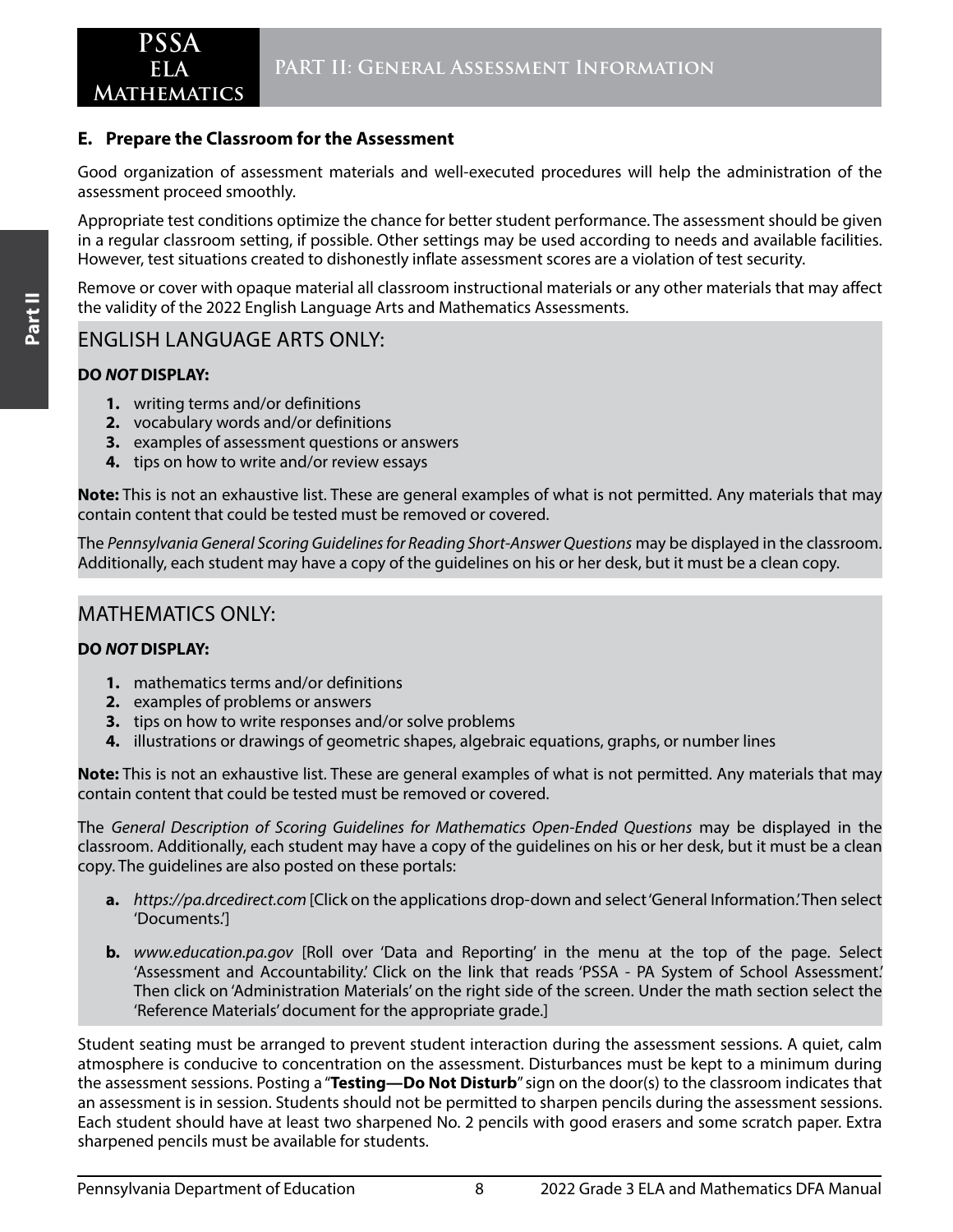#### <span id="page-11-0"></span>**E.** Prepare the Classroom for the Assessment

Good organization of assessment materials and well-executed procedures will help the administration of the assessment proceed smoothly.

Appropriate test conditions optimize the chance for better student performance. The assessment should be given in a regular classroom setting, if possible. Other settings may be used according to needs and available facilities. However, test situations created to dishonestly inflate assessment scores are a violation of test security.

Remove or cover with opaque material all classroom instructional materials or any other materials that may affect the validity of the 2022 English Language Arts and Mathematics Assessments.

#### ENGLISH LANGUAGE ARTS ONLY:

#### **DO** *NOT* **DISPLAY:**

- **1.** writing terms and/or definitions
- **2.** vocabulary words and/or definitions
- **3.** examples of assessment questions or answers
- **4 .** tips on how to write and/or review essays

**Note:** This is not an exhaustive list. These are general examples of what is not permitted. Any materials that may contain content that could be tested must be removed or covered.

The *Pennsylvania General Scoring Guidelines for Reading Short-Answer Questions* may be displayed in the classroom. Additionally, each student may have a copy of the guidelines on his or her desk, but it must be a clean copy.

#### MATHEMATICS ONLY:

#### **DO** *NOT* **DISPLAY:**

- **1.** mathematics terms and/or definitions
- **2.** examples of problems or answers
- **3.** tips on how to write responses and/or solve problems
- **4 .** illustrations or drawings of geometric shapes, algebraic equations, graphs, or number lines

**Note:** This is not an exhaustive list. These are general examples of what is not permitted. Any materials that may contain content that could be tested must be removed or covered.

The *General Description of Scoring Guidelines for Mathematics Open-Ended Questions* may be displayed in the classroom. Additionally, each student may have a copy of the guidelines on his or her desk, but it must be a clean copy. The guidelines are also posted on these portals:

- **a .** *<https://pa.drcedirect.com>* [Click on the applications drop-down and select 'General Information.' Then select 'Documents.']
- **b.** *[www.education.pa.gov](http://www.education.pa.gov)* [Roll over 'Data and Reporting' in the menu at the top of the page. Select 'Assessment and Accountability.' Click on the link that reads 'PSSA - PA System of School Assessment.' Then click on 'Administration Materials' on the right side of the screen. Under the math section select the 'Reference Materials' document for the appropriate grade.]

Student seating must be arranged to prevent student interaction during the assessment sessions. A quiet, calm atmosphere is conducive to concentration on the assessment. Disturbances must be kept to a minimum during the assessment sessions. Posting a "**Testing—Do Not Disturb**" sign on the door(s) to the classroom indicates that an assessment is in session. Students should not be permitted to sharpen pencils during the assessment sessions. Each student should have at least two sharpened No. 2 pencils with good erasers and some scratch paper. Extra sharpened pencils must be available for students.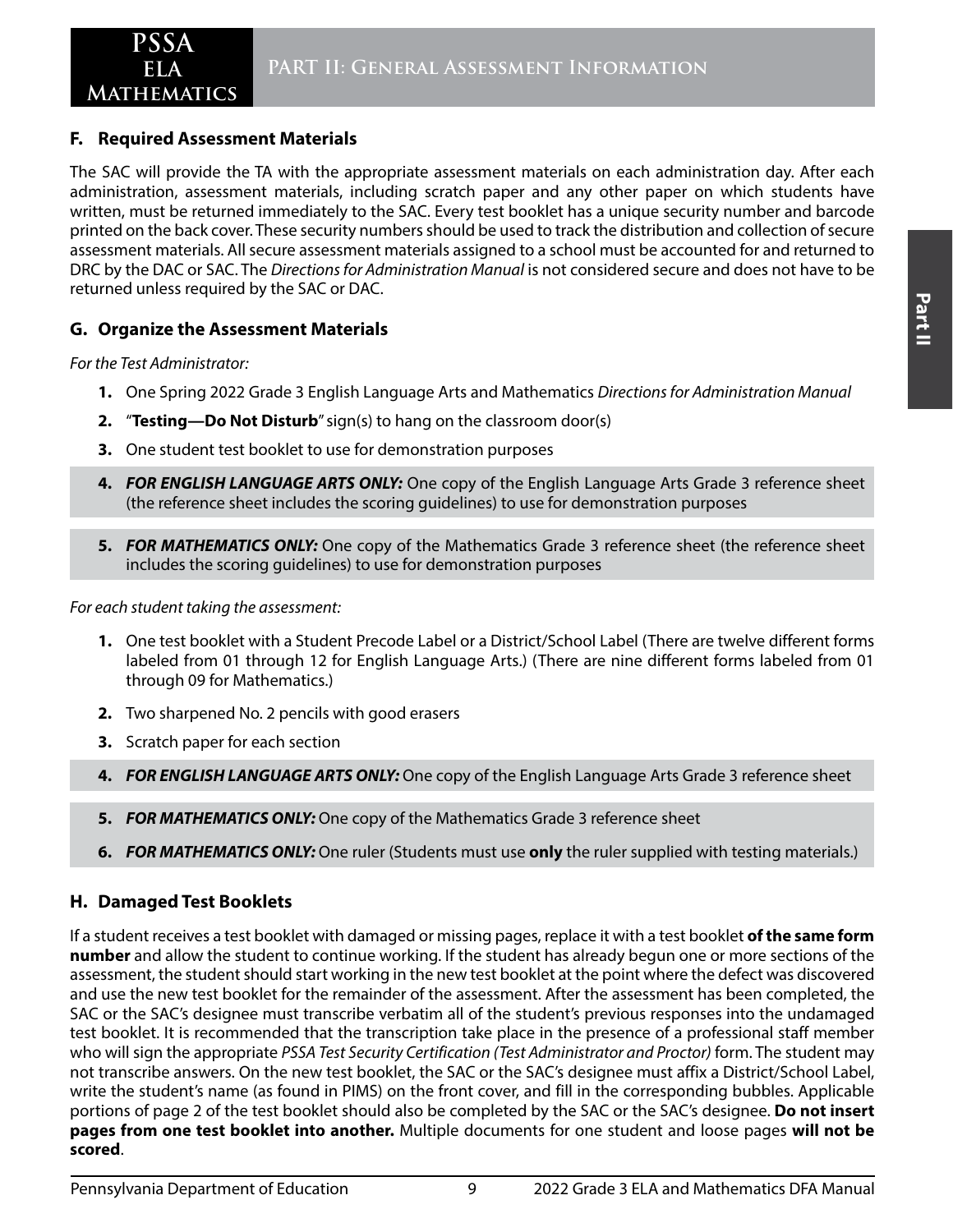

The SAC will provide the TA with the appropriate assessment materials on each administration day. After each administration, assessment materials, including scratch paper and any other paper on which students have written, must be returned immediately to the SAC. Every test booklet has a unique security number and barcode printed on the back cover. These security numbers should be used to track the distribution and collection of secure assessment materials. All secure assessment materials assigned to a school must be accounted for and returned to DRC by the DAC or SAC. The *Directions for Administration Manual* is not considered secure and does not have to be returned unless required by the SAC or DAC.

#### **G . Organize the Assessment Materials**

*For the Test Administrator:*

<span id="page-12-0"></span>**PSSA ELA Mathematics**

- **1 .** One Spring 2022 Grade 3 English Language Arts and Mathematics *Directions for Administration Manual*
- **2. "Testing—Do Not Disturb**" sign(s) to hang on the classroom door(s)
- **3.** One student test booklet to use for demonstration purposes
- **4 .** *FOR ENGLISH LANGUAGE ARTS ONLY:* One copy of the English Language Arts Grade 3 reference sheet (the reference sheet includes the scoring guidelines) to use for demonstration purposes
- **5 .** *FOR MATHEMATICS ONLY:* One copy of the Mathematics Grade 3 reference sheet (the reference sheet includes the scoring guidelines) to use for demonstration purposes

*For each student taking the assessment:*

- **1 .** One test booklet with a Student Precode Label or a District/School Label (There are twelve different forms labeled from 01 through 12 for English Language Arts.) (There are nine different forms labeled from 01 through 09 for Mathematics.)
- **2.** Two sharpened No. 2 pencils with good erasers
- **3.** Scratch paper for each section
- **4 .** *FOR ENGLISH LANGUAGE ARTS ONLY:* One copy of the English Language Arts Grade 3 reference sheet
- **5 .** *FOR MATHEMATICS ONLY:* One copy of the Mathematics Grade 3 reference sheet
- **6 .** *FOR MATHEMATICS ONLY:* One ruler (Students must use **only** the ruler supplied with testing materials.)

#### **H. Damaged Test Booklets**

If a student receives a test booklet with damaged or missing pages, replace it with a test booklet **of the same form number** and allow the student to continue working. If the student has already begun one or more sections of the assessment, the student should start working in the new test booklet at the point where the defect was discovered and use the new test booklet for the remainder of the assessment. After the assessment has been completed, the SAC or the SAC's designee must transcribe verbatim all of the student's previous responses into the undamaged test booklet. It is recommended that the transcription take place in the presence of a professional staff member who will sign the appropriate *PSSA Test Security Certification (Test Administrator and Proctor)* form. The student may not transcribe answers. On the new test booklet, the SAC or the SAC's designee must affix a District/School Label, write the student's name (as found in PIMS) on the front cover, and fill in the corresponding bubbles. Applicable portions of page 2 of the test booklet should also be completed by the SAC or the SAC's designee. **Do not insert pages from one test booklet into another .** Multiple documents for one student and loose pages **will not be scored**.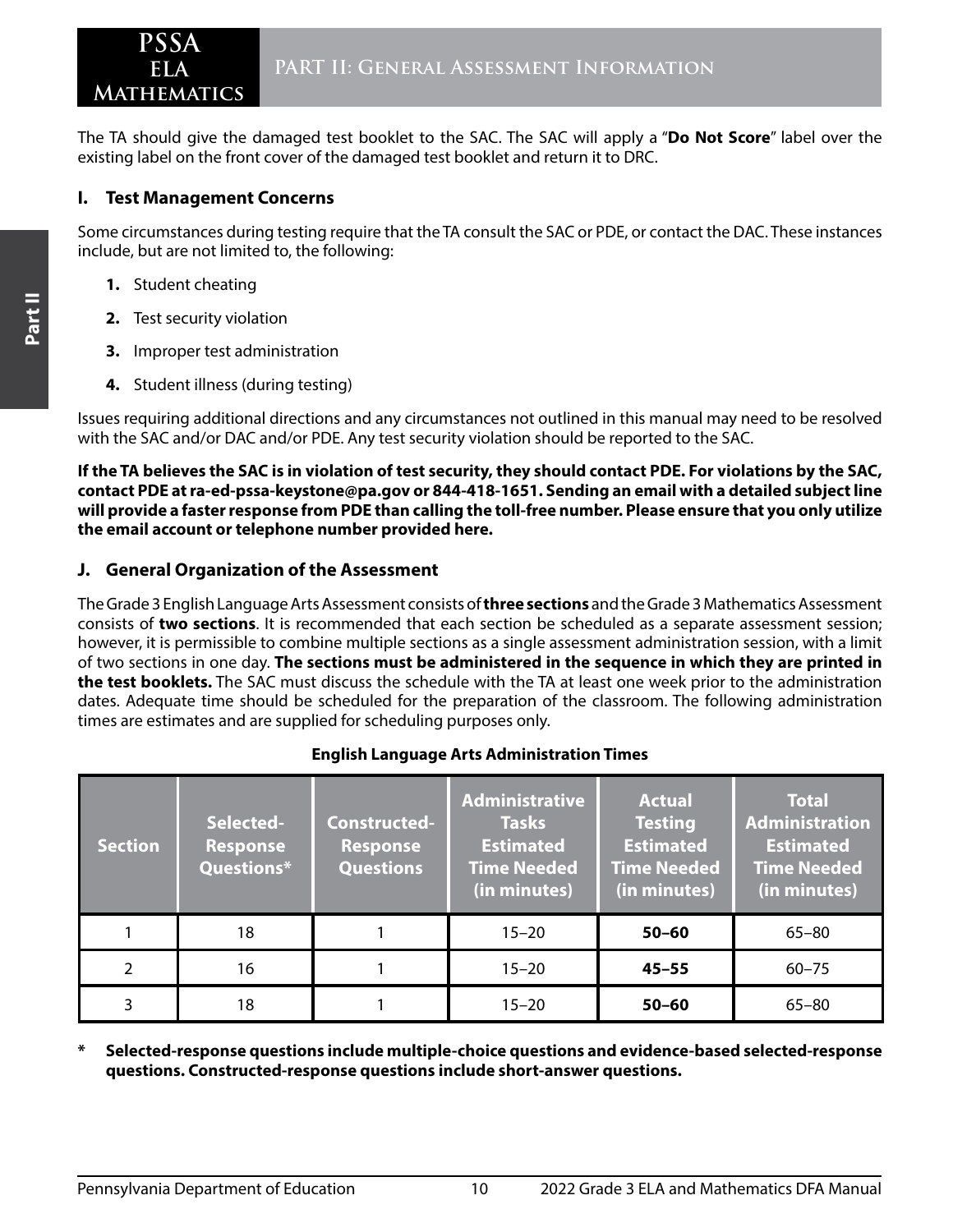<span id="page-13-0"></span>

The TA should give the damaged test booklet to the SAC. The SAC will apply a "**Do Not Score**" label over the existing label on the front cover of the damaged test booklet and return it to DRC.

#### **I.** Test Management Concerns

Some circumstances during testing require that the TA consult the SAC or PDE, or contact the DAC. These instances include, but are not limited to, the following:

- **1.** Student cheating
- **2.** Test security violation
- **3.** Improper test administration
- **4.** Student illness (during testing)

Issues requiring additional directions and any circumstances not outlined in this manual may need to be resolved with the SAC and/or DAC and/or PDE. Any test security violation should be reported to the SAC.

**If the TA believes the SAC is in violation of test security, they should contact PDE . For violations by the SAC, contact PDE at [ra-ed-pssa-keystone@pa .gov](mailto:ra-ed-pssa-keystone%40pa.gov?subject=) or 844-418-1651 . Sending an email with a detailed subject line will provide a faster response from PDE than calling the toll-free number . Please ensure that you only utilize the email account or telephone number provided here .**

#### <span id="page-13-1"></span>**J.** General Organization of the Assessment

The Grade 3 English Language Arts Assessment consists of **three sections** and the Grade 3 Mathematics Assessment consists of **two sections**. It is recommended that each section be scheduled as a separate assessment session; however, it is permissible to combine multiple sections as a single assessment administration session, with a limit of two sections in one day. **The sections must be administered in the sequence in which they are printed in the test booklets .** The SAC must discuss the schedule with the TA at least one week prior to the administration dates. Adequate time should be scheduled for the preparation of the classroom. The following administration times are estimates and are supplied for scheduling purposes only.

| <b>Section</b> | Selected-<br>Response<br>Questions* | Constructed-<br><b>Response</b><br><b>Questions</b> | <b>Administrative</b><br><b>Tasks</b><br><b>Estimated</b><br><b>Time Needed</b><br>(in minutes) | <b>Actual</b><br><b>Testing</b><br><b>Estimated</b><br><b>Time Needed</b><br>(in minutes) | <b>Total</b><br><b>Administration</b><br><b>Estimated</b><br><b>Time Needed</b><br>(in minutes) |
|----------------|-------------------------------------|-----------------------------------------------------|-------------------------------------------------------------------------------------------------|-------------------------------------------------------------------------------------------|-------------------------------------------------------------------------------------------------|
|                | 18                                  |                                                     | $15 - 20$                                                                                       | $50 - 60$                                                                                 | $65 - 80$                                                                                       |
| 2              | 16                                  |                                                     | $15 - 20$                                                                                       | $45 - 55$                                                                                 | $60 - 75$                                                                                       |
| 3              | 18                                  |                                                     | $15 - 20$                                                                                       | $50 - 60$                                                                                 | $65 - 80$                                                                                       |

#### **English Language Arts Administration Times**

**\* Selected-response questions include multiple-choice questions and evidence-based selected-response questions . Constructed-response questions include short-answer questions .**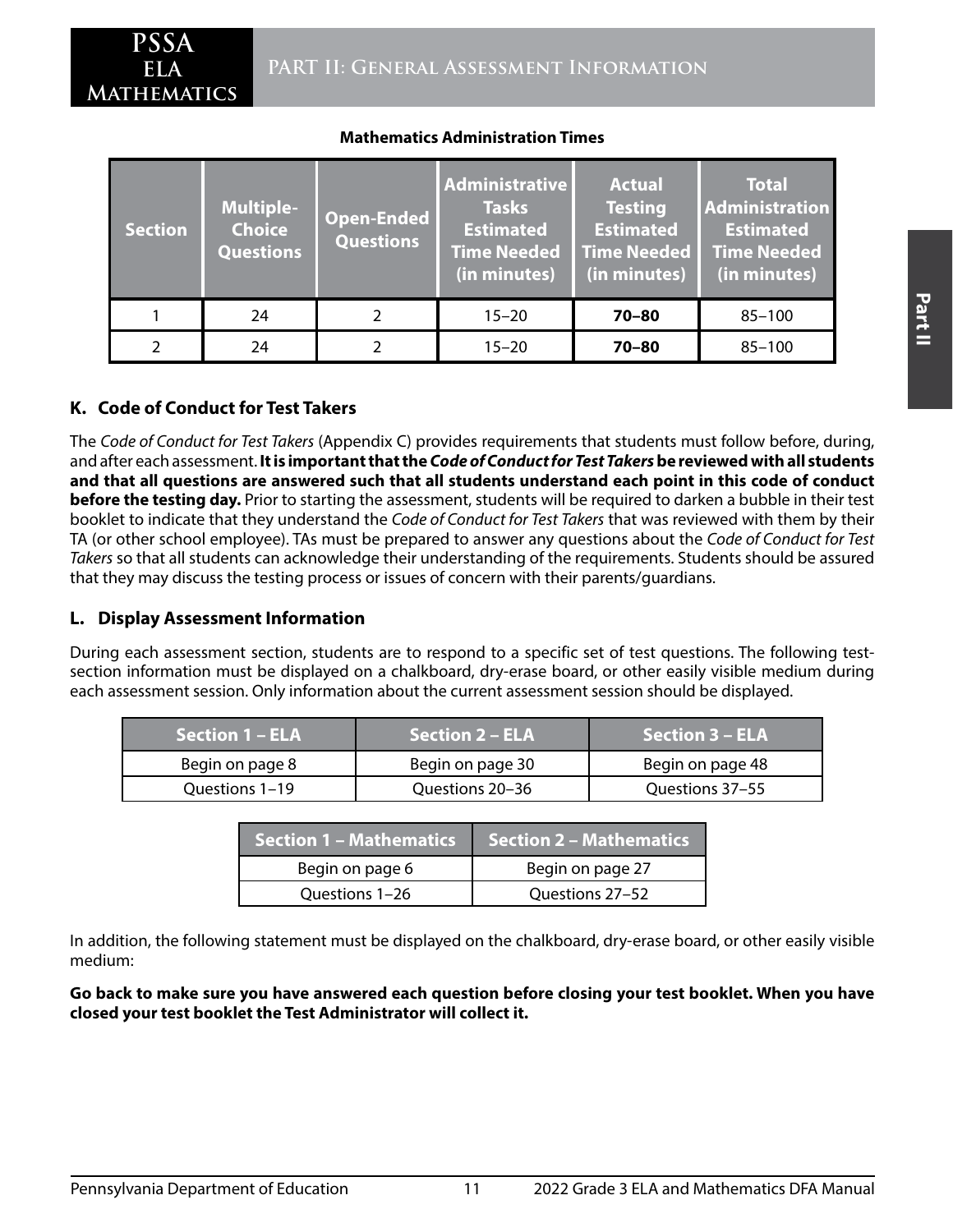<span id="page-14-0"></span>

| <b>Section</b> | <b>Multiple-</b><br><b>Choice</b><br><b>Questions</b> | <b>Open-Ended</b><br><b>Questions</b> | <b>Administrative</b><br><b>Tasks</b><br><b>Estimated</b><br><b>Time Needed</b><br>(in minutes) | <b>Actual</b><br><b>Testing</b><br><b>Estimated</b><br><b>Time Needed</b><br>(in minutes) | <b>Total</b><br>Administration<br><b>Estimated</b><br><b>Time Needed</b><br>(in minutes) |
|----------------|-------------------------------------------------------|---------------------------------------|-------------------------------------------------------------------------------------------------|-------------------------------------------------------------------------------------------|------------------------------------------------------------------------------------------|
|                | 24                                                    |                                       | $15 - 20$                                                                                       | $70 - 80$                                                                                 | $85 - 100$                                                                               |
|                | 24                                                    |                                       | $15 - 20$                                                                                       | $70 - 80$                                                                                 | $85 - 100$                                                                               |

#### <span id="page-14-1"></span>**Mathematics Administration Times**

#### **K . Code of Conduct for Test Takers**

The *Code of Conduct for Test Takers* ([Appendix C](#page-54-0)) provides requirements that students must follow before, during, and after each assessment. **It is important that the** *Code of Conduct for Test Takers* **be reviewed with all students and that all questions are answered such that all students understand each point in this code of conduct before the testing day.** Prior to starting the assessment, students will be required to darken a bubble in their test booklet to indicate that they understand the *Code of Conduct for Test Takers* that was reviewed with them by their TA (or other school employee). TAs must be prepared to answer any questions about the *Code of Conduct for Test Takers* so that all students can acknowledge their understanding of the requirements. Students should be assured that they may discuss the testing process or issues of concern with their parents/guardians.

#### **L.** Display Assessment Information

During each assessment section, students are to respond to a specific set of test questions. The following testsection information must be displayed on a chalkboard, dry-erase board, or other easily visible medium during each assessment session. Only information about the current assessment session should be displayed.

| Section 1 – ELA | Section 2 – ELA  | $\blacksquare$ Section 3 – ELA $\blacksquare$ |
|-----------------|------------------|-----------------------------------------------|
| Begin on page 8 | Begin on page 30 | Begin on page 48                              |
| Questions 1-19  | Ouestions 20–36  | Questions 37-55                               |

| <b>Section 1 - Mathematics</b> | <b>Section 2 – Mathematics</b> |  |
|--------------------------------|--------------------------------|--|
| Begin on page 6                | Begin on page 27               |  |
| Questions 1-26                 | Questions 27-52                |  |

In addition, the following statement must be displayed on the chalkboard, dry-erase board, or other easily visible medium:

**Go back to make sure you have answered each question before closing your test booklet . When you have closed your test booklet the Test Administrator will collect it .**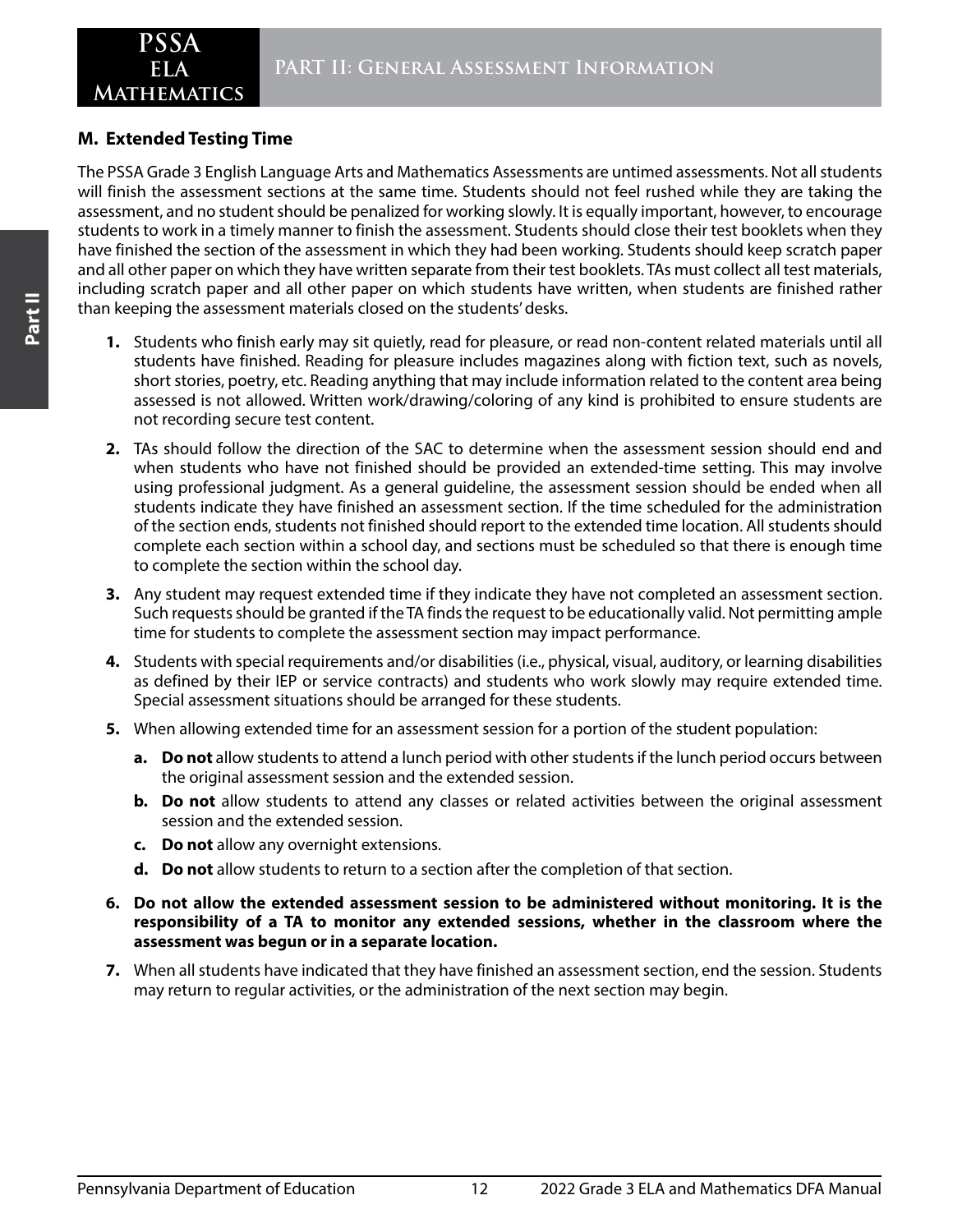<span id="page-15-0"></span>

#### **M. Extended Testing Time**

The PSSA Grade 3 English Language Arts and Mathematics Assessments are untimed assessments. Not all students will finish the assessment sections at the same time. Students should not feel rushed while they are taking the assessment, and no student should be penalized for working slowly. It is equally important, however, to encourage students to work in a timely manner to finish the assessment. Students should close their test booklets when they have finished the section of the assessment in which they had been working. Students should keep scratch paper and all other paper on which they have written separate from their test booklets. TAs must collect all test materials, including scratch paper and all other paper on which students have written, when students are finished rather than keeping the assessment materials closed on the students' desks.

- **1 .** Students who finish early may sit quietly, read for pleasure, or read non-content related materials until all students have finished. Reading for pleasure includes magazines along with fiction text, such as novels, short stories, poetry, etc. Reading anything that may include information related to the content area being assessed is not allowed. Written work/drawing/coloring of any kind is prohibited to ensure students are not recording secure test content.
- **2.** TAs should follow the direction of the SAC to determine when the assessment session should end and when students who have not finished should be provided an extended-time setting. This may involve using professional judgment. As a general guideline, the assessment session should be ended when all students indicate they have finished an assessment section. If the time scheduled for the administration of the section ends, students not finished should report to the extended time location. All students should complete each section within a school day, and sections must be scheduled so that there is enough time to complete the section within the school day.
- **3 .** Any student may request extended time if they indicate they have not completed an assessment section. Such requests should be granted if the TA finds the request to be educationally valid. Not permitting ample time for students to complete the assessment section may impact performance.
- **4 .** Students with special requirements and/or disabilities (i.e., physical, visual, auditory, or learning disabilities as defined by their IEP or service contracts) and students who work slowly may require extended time. Special assessment situations should be arranged for these students.
- **5 .** When allowing extended time for an assessment session for a portion of the student population:
	- **a.** Do not allow students to attend a lunch period with other students if the lunch period occurs between the original assessment session and the extended session.
	- **b.** Do not allow students to attend any classes or related activities between the original assessment session and the extended session.
	- **c.** Do not allow any overnight extensions.
	- **d.** Do not allow students to return to a section after the completion of that section.
- **6 . Do not allow the extended assessment session to be administered without monitoring . It is the responsibility of a TA to monitor any extended sessions, whether in the classroom where the assessment was begun or in a separate location .**
- **7 .** When all students have indicated that they have finished an assessment section, end the session. Students may return to regular activities, or the administration of the next section may begin.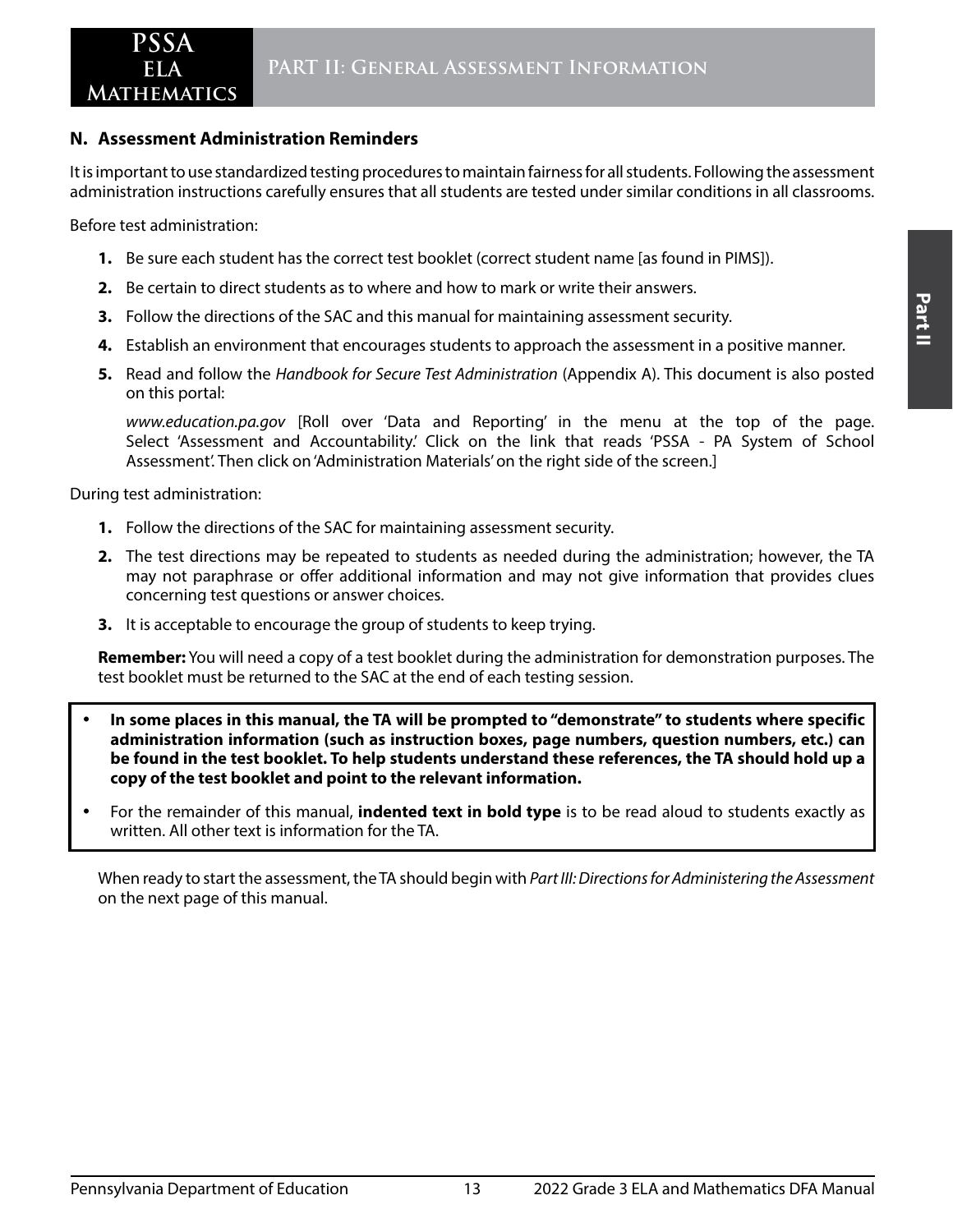#### **N. Assessment Administration Reminders**

It is important to use standardized testing procedures to maintain fairness for all students. Following the assessment administration instructions carefully ensures that all students are tested under similar conditions in all classrooms.

Before test administration:

<span id="page-16-0"></span>**PSSA ELA Mathematics**

- **1 .** Be sure each student has the correct test booklet (correct student name [as found in PIMS]).
- **2 .** Be certain to direct students as to where and how to mark or write their answers.
- **3.** Follow the directions of the SAC and this manual for maintaining assessment security.
- **4 .** Establish an environment that encourages students to approach the assessment in a positive manner.
- **5 .** Read and follow the *Handbook for Secure Test Administration* ([Appendix A\)](#page-40-0). This document is also posted on this portal:

*[www.education.pa.gov](http://www.education.pa.gov)* [Roll over 'Data and Reporting' in the menu at the top of the page. Select 'Assessment and Accountability.' Click on the link that reads 'PSSA - PA System of School Assessment'. Then click on 'Administration Materials' on the right side of the screen.]

During test administration:

- **1 .** Follow the directions of the SAC for maintaining assessment security.
- **2.** The test directions may be repeated to students as needed during the administration; however, the TA may not paraphrase or offer additional information and may not give information that provides clues concerning test questions or answer choices.
- **3.** It is acceptable to encourage the group of students to keep trying.

**Remember:** You will need a copy of a test booklet during the administration for demonstration purposes. The test booklet must be returned to the SAC at the end of each testing session.

- y **In some places in this manual, the TA will be prompted to "demonstrate" to students where specific**  administration information (such as instruction boxes, page numbers, question numbers, etc.) can **be found in the test booklet . To help students understand these references, the TA should hold up a copy of the test booklet and point to the relevant information .**
- For the remainder of this manual, *indented text in bold type* is to be read aloud to students exactly as written. All other text is information for the TA.

When ready to start the assessment, the TA should begin with *Part III: Directions for Administering the Assessment* on the next page of this manual.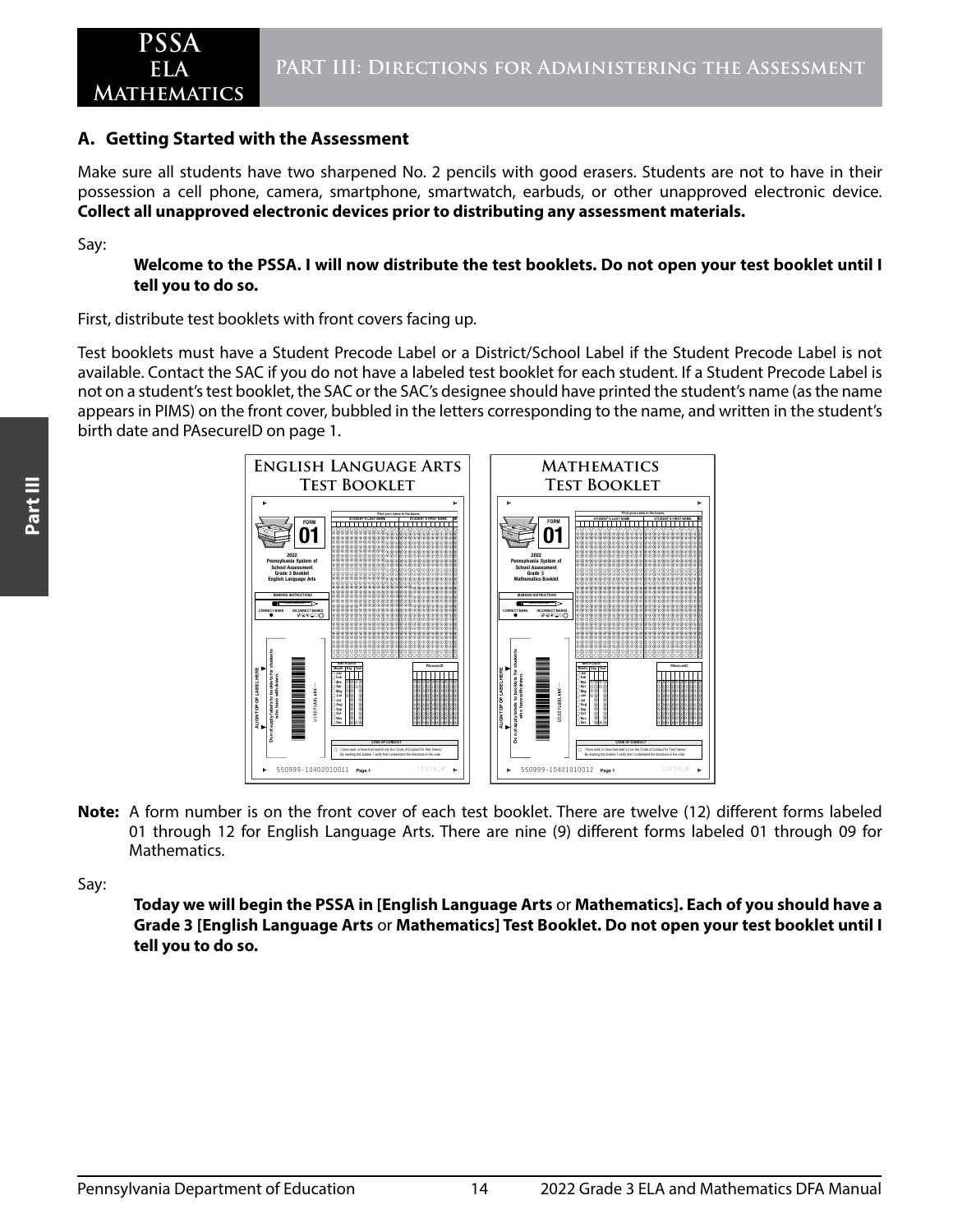#### <span id="page-17-1"></span><span id="page-17-0"></span>**A . Getting Started with the Assessment**

Make sure all students have two sharpened No. 2 pencils with good erasers. Students are not to have in their possession a cell phone, camera, smartphone, smartwatch, earbuds, or other unapproved electronic device. **Collect all unapproved electronic devices prior to distributing any assessment materials .**

Say:

**Welcome to the PSSA . I will now distribute the test booklets . Do not open your test booklet until I**  tell you to do so.

First, distribute test booklets with front covers facing up.

Test booklets must have a Student Precode Label or a District/School Label if the Student Precode Label is not available. Contact the SAC if you do not have a labeled test booklet for each student. If a Student Precode Label is not on a student's test booklet, the SAC or the SAC's designee should have printed the student's name (as the name appears in PIMS) on the front cover, bubbled in the letters corresponding to the name, and written in the student's birth date and PAsecureID on page 1.



**Note:** A form number is on the front cover of each test booklet. There are twelve (12) different forms labeled 01 through 12 for English Language Arts. There are nine (9) different forms labeled 01 through 09 for Mathematics.

Say:

**Today we will begin the PSSA in [English Language Arts** or **Mathematics] . Each of you should have a Grade 3 [English Language Arts** or **Mathematics] Test Booklet . Do not open your test booklet until I**  tell you to do so.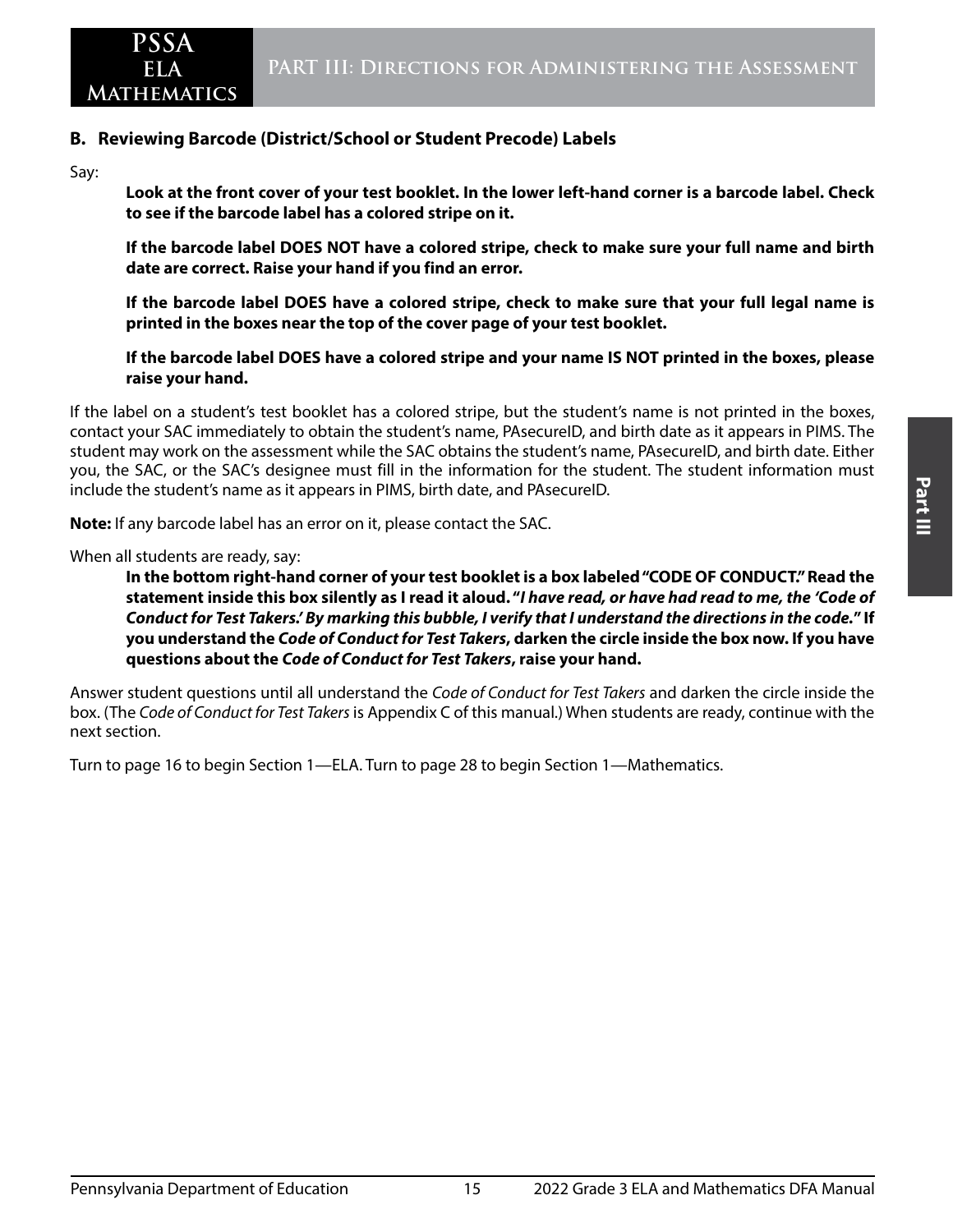#### <span id="page-18-1"></span><span id="page-18-0"></span>**B. Reviewing Barcode (District/School or Student Precode) Labels**

Say:

Look at the front cover of your test booklet. In the lower left-hand corner is a barcode label. Check **to see if the barcode label has a colored stripe on it .**

**If the barcode label DOES NOT have a colored stripe, check to make sure your full name and birth**  date are correct. Raise your hand if you find an error.

**If the barcode label DOES have a colored stripe, check to make sure that your full legal name is printed in the boxes near the top of the cover page of your test booklet .**

#### **If the barcode label DOES have a colored stripe and your name IS NOT printed in the boxes, please**  raise your hand.

If the label on a student's test booklet has a colored stripe, but the student's name is not printed in the boxes, contact your SAC immediately to obtain the student's name, PAsecureID, and birth date as it appears in PIMS. The student may work on the assessment while the SAC obtains the student's name, PAsecureID, and birth date. Either you, the SAC, or the SAC's designee must fill in the information for the student. The student information must include the student's name as it appears in PIMS, birth date, and PAsecureID.

**Note:** If any barcode label has an error on it, please contact the SAC.

When all students are ready, say:

**In the bottom right-hand corner of your test booklet is a box labeled "CODE OF CONDUCT ." Read the statement inside this box silently as I read it aloud . "***I have read, or have had read to me, the 'Code of Conduct for Test Takers.' By marking this bubble, I verify that I understand the directions in the code.***" If you understand the** *Code of Conduct for Test Takers***, darken the circle inside the box now . If you have questions about the** *Code of Conduct for Test Takers***, raise your hand .**

Answer student questions until all understand the *Code of Conduct for Test Takers* and darken the circle inside the box. (The *Code of Conduct for Test Takers* is [Appendix C](#page-54-0) of this manual.) When students are ready, continue with the next section.

Turn to [page 16](#page-19-1) to begin Section 1—ELA. Turn to [page 28](#page-31-1) to begin Section 1—Mathematics.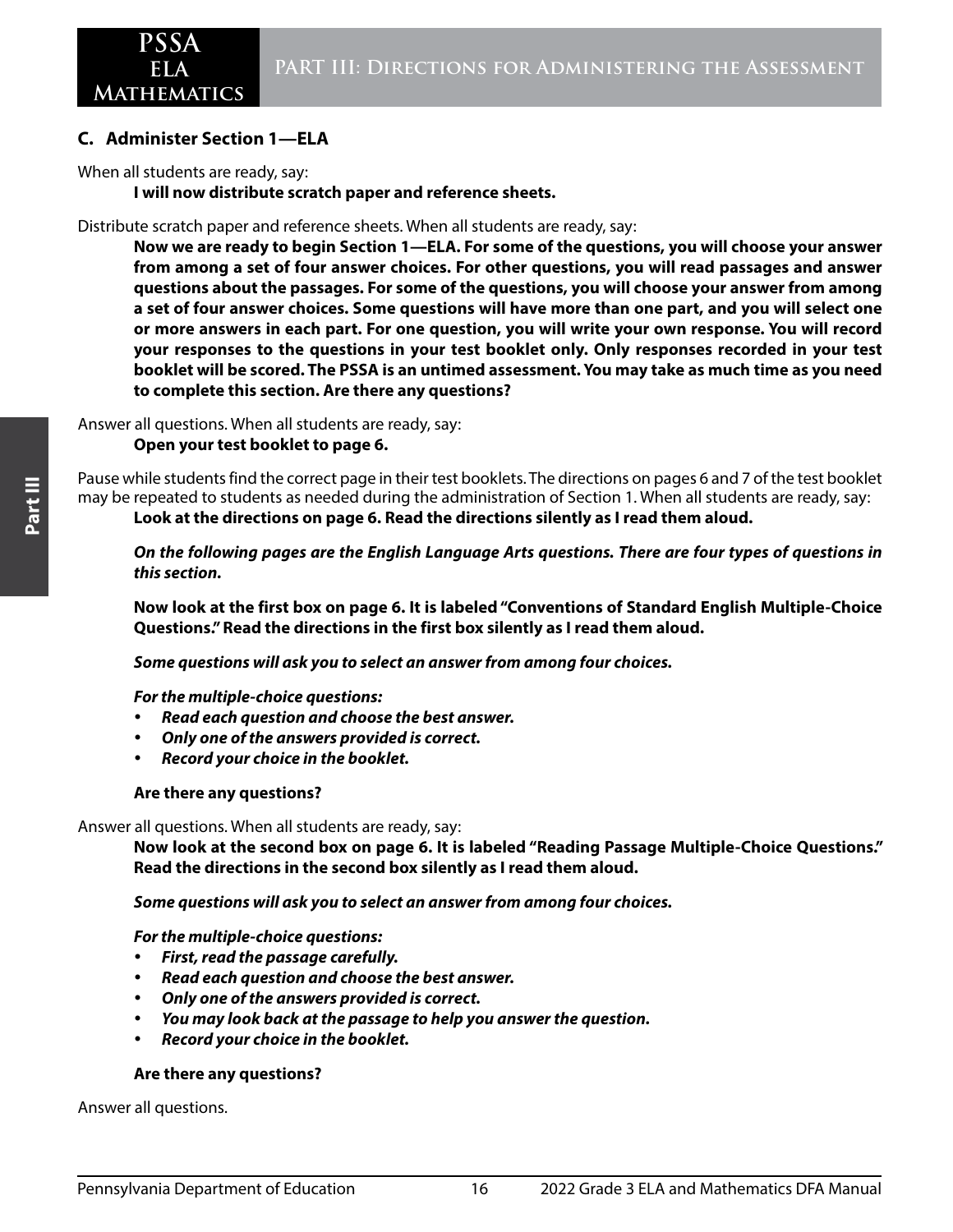#### <span id="page-19-1"></span><span id="page-19-0"></span>**C . Administer Section 1—ELA**

When all students are ready, say:

#### **I will now distribute scratch paper and reference sheets .**

Distribute scratch paper and reference sheets. When all students are ready, say:

**Now we are ready to begin Section 1—ELA . For some of the questions, you will choose your answer from among a set of four answer choices . For other questions, you will read passages and answer questions about the passages . For some of the questions, you will choose your answer from among a set of four answer choices . Some questions will have more than one part, and you will select one or more answers in each part . For one question, you will write your own response . You will record your responses to the questions in your test booklet only . Only responses recorded in your test booklet will be scored . The PSSA is an untimed assessment . You may take as much time as you need to complete this section . Are there any questions?**

Answer all questions. When all students are ready, say:

**Open your test booklet to page 6.** 

Pause while students find the correct page in their test booklets. The directions on pages 6 and 7 of the test booklet may be repeated to students as needed during the administration of Section 1. When all students are ready, say: **Look at the directions on page 6 . Read the directions silently as I read them aloud .**

*On the following pages are the English Language Arts questions. There are four types of questions in this section.*

**Now look at the first box on page 6 . It is labeled "Conventions of Standard English Multiple-Choice Questions ." Read the directions in the first box silently as I read them aloud .**

*Some questions will ask you to select an answer from among four choices.*

*For the multiple-choice questions:*

- **Read each question and choose the best answer.**
- **Only one of the answers provided is correct.**
- **Record your choice in the booklet.**

#### **Are there any questions?**

Answer all questions. When all students are ready, say:

**Now look at the second box on page 6 . It is labeled "Reading Passage Multiple-Choice Questions ." Read the directions in the second box silently as I read them aloud .**

*Some questions will ask you to select an answer from among four choices.*

*For the multiple-choice questions:*

- **First, read the passage carefully.**
- y *Read each question and choose the best answer.*
- **Only one of the answers provided is correct.**
- y *You may look back at the passage to help you answer the question.*
- y *Record your choice in the booklet.*

#### **Are there any questions?**

Answer all questions.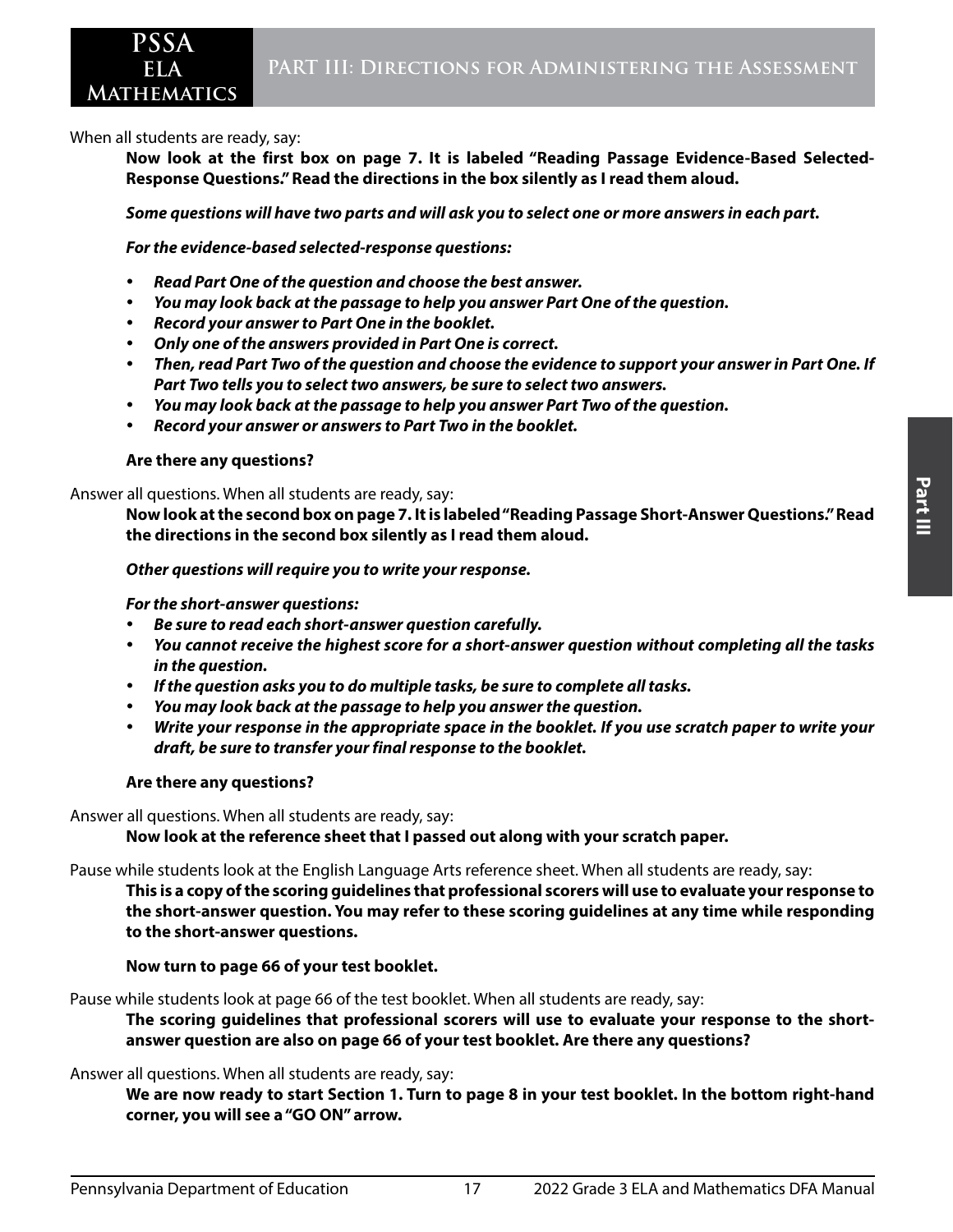When all students are ready, say:

**PSSA ELA Mathematics**

> Now look at the first box on page 7. It is labeled "Reading Passage Evidence-Based Selected-Response Questions." Read the directions in the box silently as I read them aloud.

*Some questions will have two parts and will ask you to select one or more answers in each part.*

*For the evidence-based selected-response questions:*

- y *Read Part One of the question and choose the best answer.*
- y *You may look back at the passage to help you answer Part One of the question.*
- **Record your answer to Part One in the booklet.**
- y *Only one of the answers provided in Part One is correct.*
- y *Then, read Part Two of the question and choose the evidence to support your answer in Part One. If Part Two tells you to select two answers, be sure to select two answers.*
- y *You may look back at the passage to help you answer Part Two of the question.*
- y *Record your answer or answers to Part Two in the booklet.*

#### **Are there any questions?**

Answer all questions. When all students are ready, say:

**Now look at the second box on page 7 . It is labeled "Reading Passage Short-Answer Questions ." Read the directions in the second box silently as I read them aloud .**

*Other questions will require you to write your response.*

#### *For the short-answer questions:*

- Be sure to read each short-answer question carefully.
- y *You cannot receive the highest score for a short-answer question without completing all the tasks in the question.*
- y *If the question asks you to do multiple tasks, be sure to complete all tasks.*
- y *You may look back at the passage to help you answer the question.*
- Write your response in the appropriate space in the booklet. If you use scratch paper to write your *draft, be sure to transfer your final response to the booklet.*

#### **Are there any questions?**

Answer all questions. When all students are ready, say:

**Now look at the reference sheet that I passed out along with your scratch paper .**

Pause while students look at the English Language Arts reference sheet. When all students are ready, say:

**This is a copy of the scoring guidelines that professional scorers will use to evaluate your response to the short-answer question . You may refer to these scoring guidelines at any time while responding to the short-answer questions .**

#### Now turn to page 66 of your test booklet.

Pause while students look at page 66 of the test booklet. When all students are ready, say:

**The scoring guidelines that professional scorers will use to evaluate your response to the shortanswer question are also on page 66 of your test booklet . Are there any questions?**

#### Answer all questions. When all students are ready, say:

We are now ready to start Section 1. Turn to page 8 in your test booklet. In the bottom right-hand corner, you will see a "GO ON" arrow.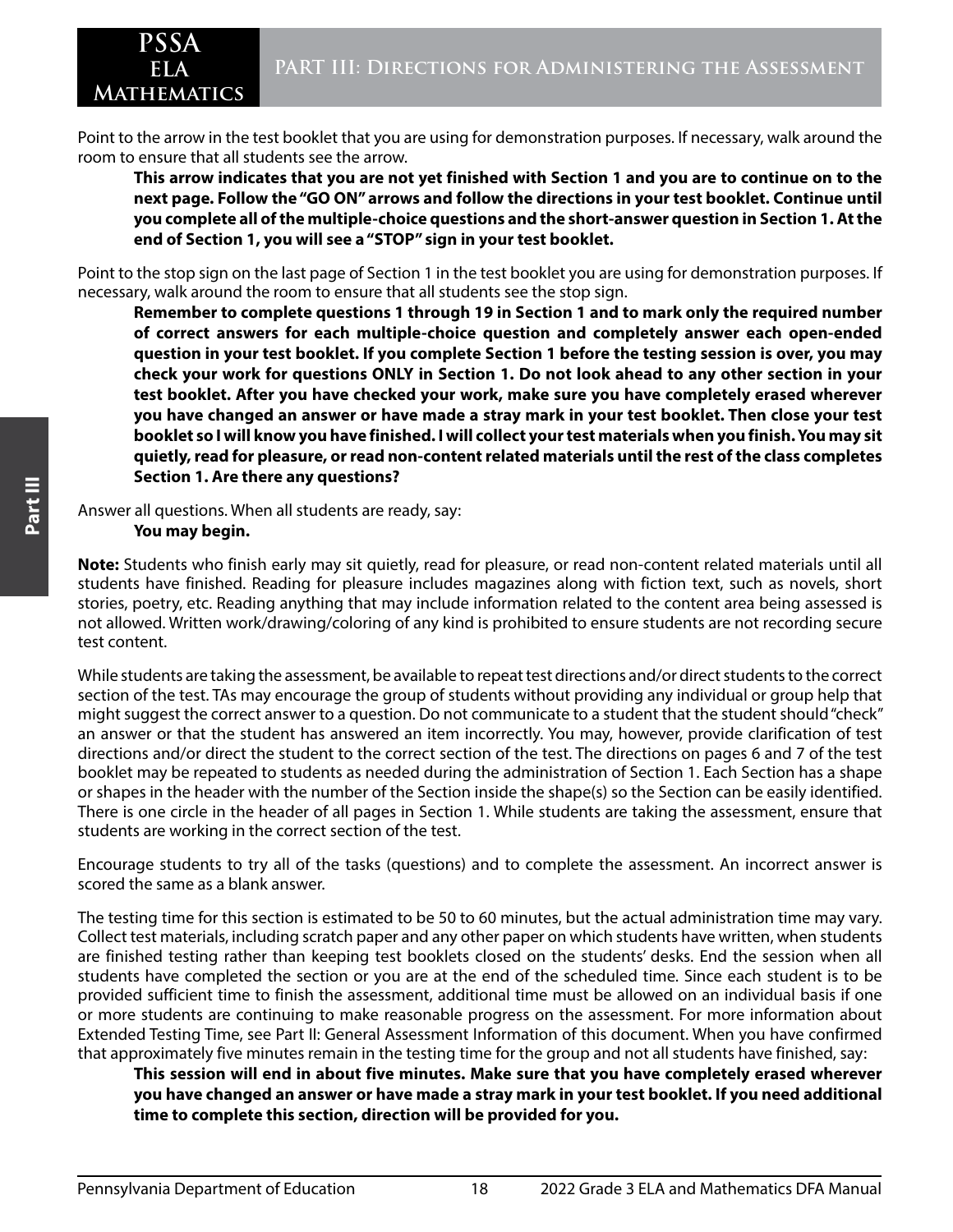**PART III: Directions for Administering the Assessment**

**ELA Mathematics**

**PSSA**

Point to the arrow in the test booklet that you are using for demonstration purposes. If necessary, walk around the room to ensure that all students see the arrow.

**This arrow indicates that you are not yet finished with Section 1 and you are to continue on to the next page . Follow the "GO ON" arrows and follow the directions in your test booklet . Continue until you complete all of the multiple-choice questions and the short-answer question in Section 1 . At the end of Section 1, you will see a "STOP" sign in your test booklet .**

Point to the stop sign on the last page of Section 1 in the test booklet you are using for demonstration purposes. If necessary, walk around the room to ensure that all students see the stop sign.

**Remember to complete questions 1 through 19 in Section 1 and to mark only the required number of correct answers for each multiple-choice question and completely answer each open-ended question in your test booklet . If you complete Section 1 before the testing session is over, you may check your work for questions ONLY in Section 1 . Do not look ahead to any other section in your test booklet . After you have checked your work, make sure you have completely erased wherever you have changed an answer or have made a stray mark in your test booklet . Then close your test booklet so I will know you have finished . I will collect your test materials when you finish . You may sit quietly, read for pleasure, or read non-content related materials until the rest of the class completes Section 1 . Are there any questions?**

Answer all questions. When all students are ready, say:

#### You may begin.

**Note:** Students who finish early may sit quietly, read for pleasure, or read non-content related materials until all students have finished. Reading for pleasure includes magazines along with fiction text, such as novels, short stories, poetry, etc. Reading anything that may include information related to the content area being assessed is not allowed. Written work/drawing/coloring of any kind is prohibited to ensure students are not recording secure test content.

While students are taking the assessment, be available to repeat test directions and/or direct students to the correct section of the test. TAs may encourage the group of students without providing any individual or group help that might suggest the correct answer to a question. Do not communicate to a student that the student should "check" an answer or that the student has answered an item incorrectly. You may, however, provide clarification of test directions and/or direct the student to the correct section of the test. The directions on pages 6 and 7 of the test booklet may be repeated to students as needed during the administration of Section 1. Each Section has a shape or shapes in the header with the number of the Section inside the shape(s) so the Section can be easily identified. There is one circle in the header of all pages in Section 1. While students are taking the assessment, ensure that students are working in the correct section of the test.

Encourage students to try all of the tasks (questions) and to complete the assessment. An incorrect answer is scored the same as a blank answer.

The testing time for this section is estimated to be 50 to 60 minutes, but the actual administration time may vary. Collect test materials, including scratch paper and any other paper on which students have written, when students are finished testing rather than keeping test booklets closed on the students' desks. End the session when all students have completed the section or you are at the end of the scheduled time. Since each student is to be provided sufficient time to finish the assessment, additional time must be allowed on an individual basis if one or more students are continuing to make reasonable progress on the assessment. For more information about Extended Testing Time, see Part II: General Assessment Information of this document. When you have confirmed that approximately five minutes remain in the testing time for the group and not all students have finished, say:

**This session will end in about five minutes . Make sure that you have completely erased wherever you have changed an answer or have made a stray mark in your test booklet . If you need additional time to complete this section, direction will be provided for you .**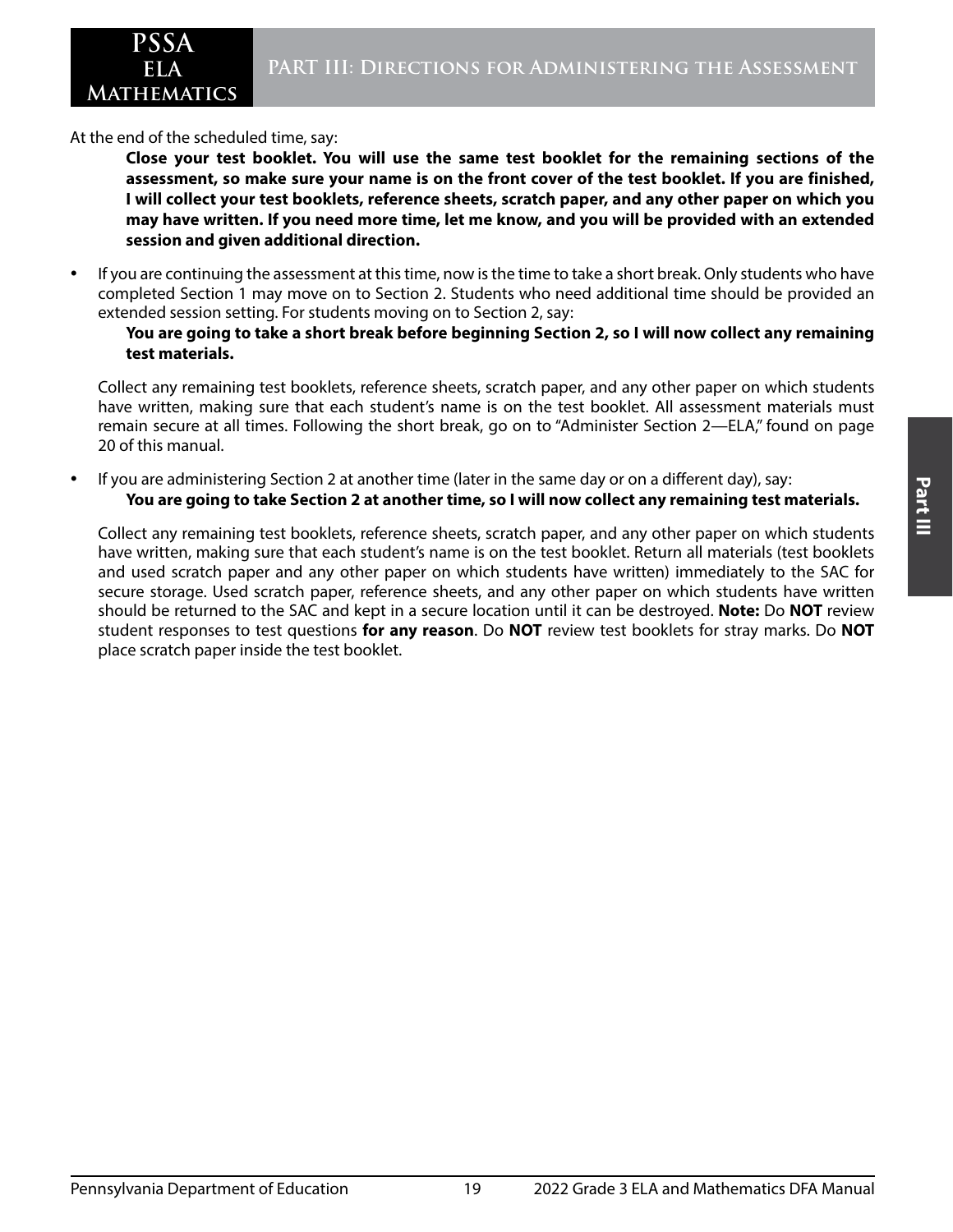

**PSSA**

At the end of the scheduled time, say:

**Close your test booklet . You will use the same test booklet for the remaining sections of the**  assessment, so make sure your name is on the front cover of the test booklet. If you are finished, **I will collect your test booklets, reference sheets, scratch paper, and any other paper on which you may have written . If you need more time, let me know, and you will be provided with an extended session and given additional direction .**

• If you are continuing the assessment at this time, now is the time to take a short break. Only students who have completed Section 1 may move on to Section 2. Students who need additional time should be provided an extended session setting. For students moving on to Section 2, say:

#### **You are going to take a short break before beginning Section 2, so I will now collect any remaining test materials .**

Collect any remaining test booklets, reference sheets, scratch paper, and any other paper on which students have written, making sure that each student's name is on the test booklet. All assessment materials must remain secure at all times. Following the short break, go on to "Administer Section 2—ELA," found on [page](#page-23-1) [20](#page-23-1) of this manual.

• If you are administering Section 2 at another time (later in the same day or on a different day), say: **You are going to take Section 2 at another time, so I will now collect any remaining test materials .**

Collect any remaining test booklets, reference sheets, scratch paper, and any other paper on which students have written, making sure that each student's name is on the test booklet. Return all materials (test booklets and used scratch paper and any other paper on which students have written) immediately to the SAC for secure storage. Used scratch paper, reference sheets, and any other paper on which students have written should be returned to the SAC and kept in a secure location until it can be destroyed. **Note:** Do **NOT** review student responses to test questions **for any reason**. Do **NOT** review test booklets for stray marks. Do **NOT** place scratch paper inside the test booklet.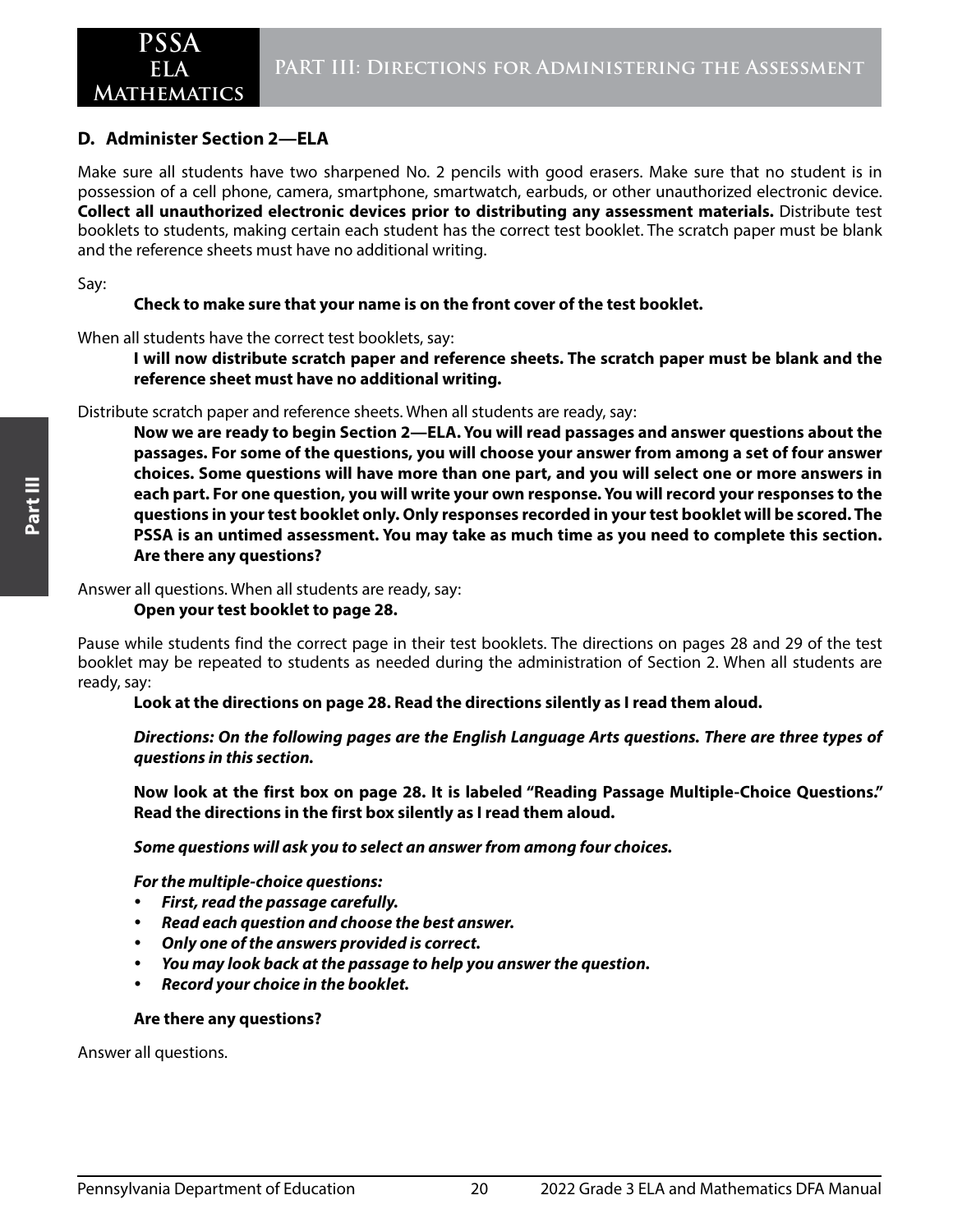#### <span id="page-23-1"></span>**D. Administer Section 2-ELA**

<span id="page-23-0"></span>**PSSA ELA Mathematics**

Make sure all students have two sharpened No. 2 pencils with good erasers. Make sure that no student is in possession of a cell phone, camera, smartphone, smartwatch, earbuds, or other unauthorized electronic device. **Collect all unauthorized electronic devices prior to distributing any assessment materials .** Distribute test booklets to students, making certain each student has the correct test booklet. The scratch paper must be blank and the reference sheets must have no additional writing.

Say:

#### **Check to make sure that your name is on the front cover of the test booklet .**

When all students have the correct test booklets, say:

**I will now distribute scratch paper and reference sheets . The scratch paper must be blank and the reference sheet must have no additional writing .**

Distribute scratch paper and reference sheets. When all students are ready, say:

**Now we are ready to begin Section 2—ELA . You will read passages and answer questions about the passages . For some of the questions, you will choose your answer from among a set of four answer choices . Some questions will have more than one part, and you will select one or more answers in each part . For one question, you will write your own response . You will record your responses to the questions in your test booklet only . Only responses recorded in your test booklet will be scored . The**  PSSA is an untimed assessment. You may take as much time as you need to complete this section. **Are there any questions?**

Answer all questions. When all students are ready, say:

**Open your test booklet to page 28 .**

Pause while students find the correct page in their test booklets. The directions on pages 28 and 29 of the test booklet may be repeated to students as needed during the administration of Section 2. When all students are ready, say:

**Look at the directions on page 28 . Read the directions silently as I read them aloud .**

*Directions: On the following pages are the English Language Arts questions. There are three types of questions in this section.*

**Now look at the first box on page 28 . It is labeled "Reading Passage Multiple-Choice Questions ." Read the directions in the first box silently as I read them aloud .**

*Some questions will ask you to select an answer from among four choices.*

*For the multiple-choice questions:*

- y *First, read the passage carefully.*
- **Read each question and choose the best answer.**
- **Only one of the answers provided is correct.**
- y *You may look back at the passage to help you answer the question.*
- **Record your choice in the booklet.**

#### **Are there any questions?**

Answer all questions.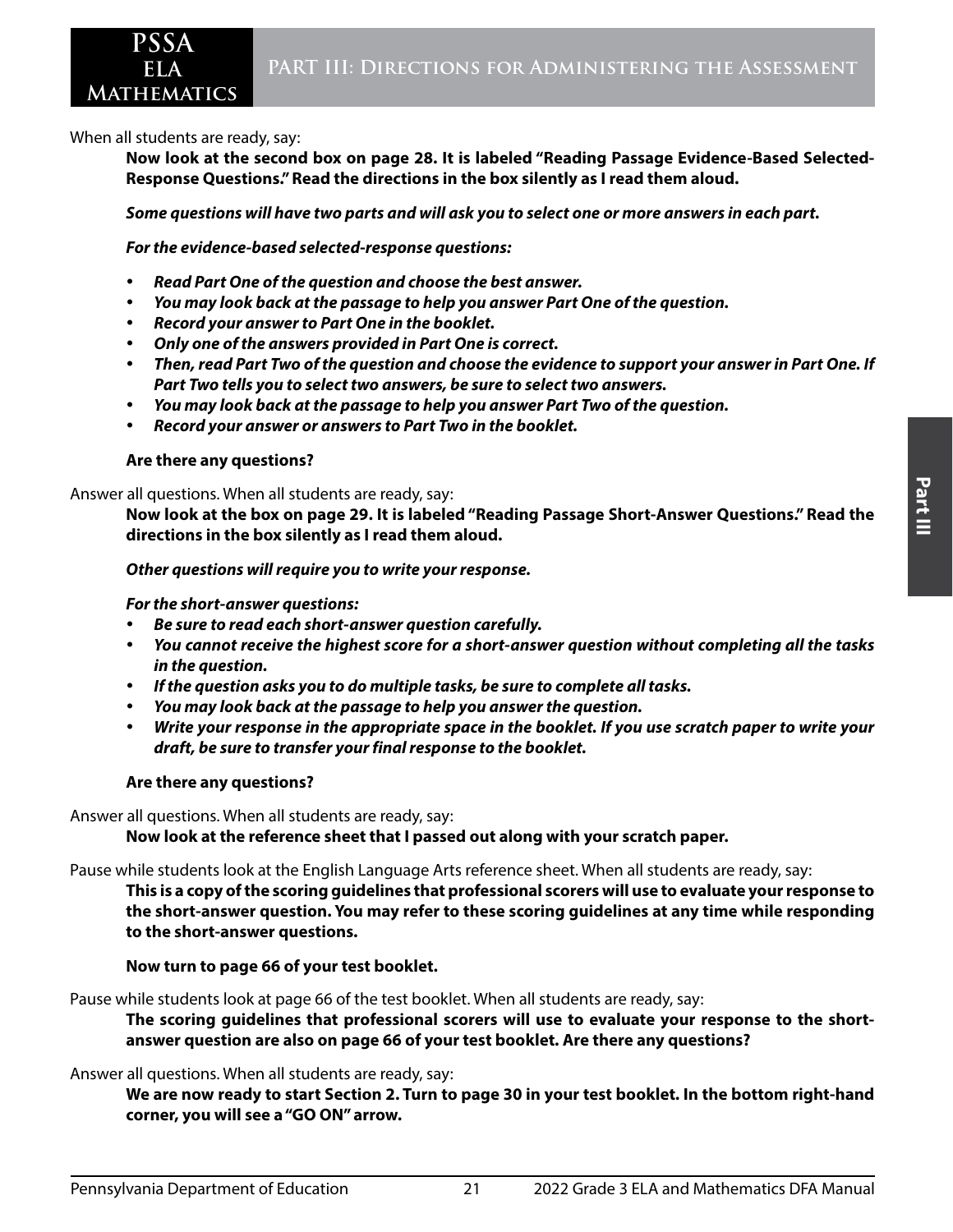### When all students are ready, say:

**PSSA ELA Mathematics**

> **Now look at the second box on page 28 . It is labeled "Reading Passage Evidence-Based Selected-**Response Questions." Read the directions in the box silently as I read them aloud.

*Some questions will have two parts and will ask you to select one or more answers in each part.*

*For the evidence-based selected-response questions:*

- y *Read Part One of the question and choose the best answer.*
- y *You may look back at the passage to help you answer Part One of the question.*
- **Record your answer to Part One in the booklet.**
- y *Only one of the answers provided in Part One is correct.*
- y *Then, read Part Two of the question and choose the evidence to support your answer in Part One. If Part Two tells you to select two answers, be sure to select two answers.*
- y *You may look back at the passage to help you answer Part Two of the question.*
- y *Record your answer or answers to Part Two in the booklet.*

#### **Are there any questions?**

Answer all questions. When all students are ready, say:

**Now look at the box on page 29 . It is labeled "Reading Passage Short-Answer Questions ." Read the directions in the box silently as I read them aloud .**

*Other questions will require you to write your response.*

#### *For the short-answer questions:*

- Be sure to read each short-answer question carefully.
- y *You cannot receive the highest score for a short-answer question without completing all the tasks in the question.*
- y *If the question asks you to do multiple tasks, be sure to complete all tasks.*
- y *You may look back at the passage to help you answer the question.*
- Write your response in the appropriate space in the booklet. If you use scratch paper to write your *draft, be sure to transfer your final response to the booklet.*

#### **Are there any questions?**

Answer all questions. When all students are ready, say:

**Now look at the reference sheet that I passed out along with your scratch paper .**

Pause while students look at the English Language Arts reference sheet. When all students are ready, say:

**This is a copy of the scoring guidelines that professional scorers will use to evaluate your response to the short-answer question . You may refer to these scoring guidelines at any time while responding to the short-answer questions .** 

#### Now turn to page 66 of your test booklet.

Pause while students look at page 66 of the test booklet. When all students are ready, say:

**The scoring guidelines that professional scorers will use to evaluate your response to the shortanswer question are also on page 66 of your test booklet . Are there any questions?**

#### Answer all questions. When all students are ready, say:

We are now ready to start Section 2. Turn to page 30 in your test booklet. In the bottom right-hand corner, you will see a "GO ON" arrow.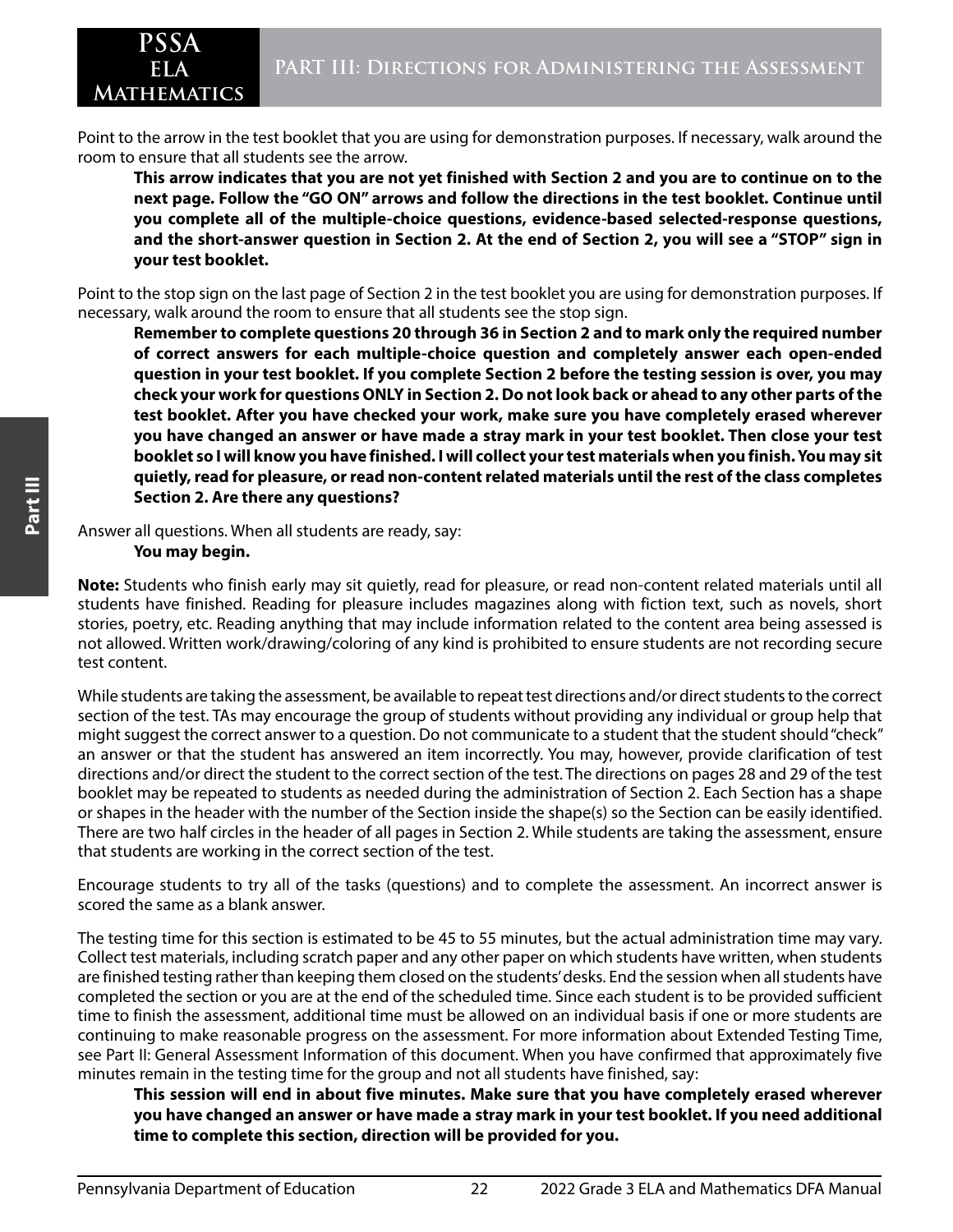

Point to the arrow in the test booklet that you are using for demonstration purposes. If necessary, walk around the room to ensure that all students see the arrow.

**This arrow indicates that you are not yet finished with Section 2 and you are to continue on to the**  next page. Follow the "GO ON" arrows and follow the directions in the test booklet. Continue until **you complete all of the multiple-choice questions, evidence-based selected-response questions, and the short-answer question in Section 2 . At the end of Section 2, you will see a "STOP" sign in your test booklet .**

Point to the stop sign on the last page of Section 2 in the test booklet you are using for demonstration purposes. If necessary, walk around the room to ensure that all students see the stop sign.

**Remember to complete questions 20 through 36 in Section 2 and to mark only the required number of correct answers for each multiple-choice question and completely answer each open-ended question in your test booklet . If you complete Section 2 before the testing session is over, you may check your work for questions ONLY in Section 2 . Do not look back or ahead to any other parts of the test booklet . After you have checked your work, make sure you have completely erased wherever you have changed an answer or have made a stray mark in your test booklet . Then close your test booklet so I will know you have finished . I will collect your test materials when you finish . You may sit quietly, read for pleasure, or read non-content related materials until the rest of the class completes Section 2. Are there any questions?** 

Answer all questions. When all students are ready, say:

#### You may begin.

**Note:** Students who finish early may sit quietly, read for pleasure, or read non-content related materials until all students have finished. Reading for pleasure includes magazines along with fiction text, such as novels, short stories, poetry, etc. Reading anything that may include information related to the content area being assessed is not allowed. Written work/drawing/coloring of any kind is prohibited to ensure students are not recording secure test content.

While students are taking the assessment, be available to repeat test directions and/or direct students to the correct section of the test. TAs may encourage the group of students without providing any individual or group help that might suggest the correct answer to a question. Do not communicate to a student that the student should "check" an answer or that the student has answered an item incorrectly. You may, however, provide clarification of test directions and/or direct the student to the correct section of the test. The directions on pages 28 and 29 of the test booklet may be repeated to students as needed during the administration of Section 2. Each Section has a shape or shapes in the header with the number of the Section inside the shape(s) so the Section can be easily identified. There are two half circles in the header of all pages in Section 2. While students are taking the assessment, ensure that students are working in the correct section of the test.

Encourage students to try all of the tasks (questions) and to complete the assessment. An incorrect answer is scored the same as a blank answer.

The testing time for this section is estimated to be 45 to 55 minutes, but the actual administration time may vary. Collect test materials, including scratch paper and any other paper on which students have written, when students are finished testing rather than keeping them closed on the students' desks. End the session when all students have completed the section or you are at the end of the scheduled time. Since each student is to be provided sufficient time to finish the assessment, additional time must be allowed on an individual basis if one or more students are continuing to make reasonable progress on the assessment. For more information about Extended Testing Time, see Part II: General Assessment Information of this document. When you have confirmed that approximately five minutes remain in the testing time for the group and not all students have finished, say:

This session will end in about five minutes. Make sure that you have completely erased wherever **you have changed an answer or have made a stray mark in your test booklet . If you need additional time to complete this section, direction will be provided for you .**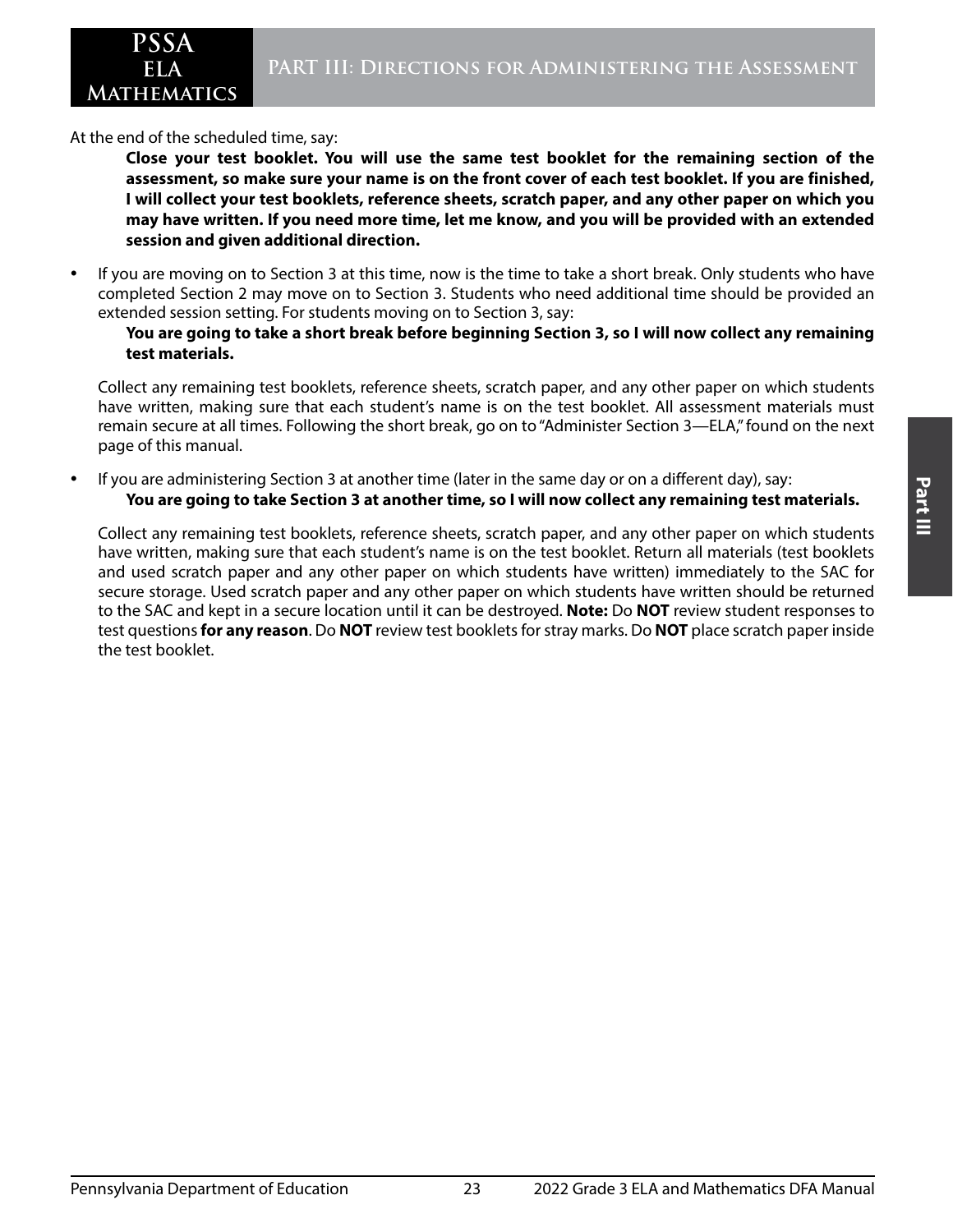

**PSSA ELA Mathematics**

At the end of the scheduled time, say:

**Close your test booklet . You will use the same test booklet for the remaining section of the**  assessment, so make sure your name is on the front cover of each test booklet. If you are finished, **I will collect your test booklets, reference sheets, scratch paper, and any other paper on which you may have written . If you need more time, let me know, and you will be provided with an extended session and given additional direction .**

• If you are moving on to Section 3 at this time, now is the time to take a short break. Only students who have completed Section 2 may move on to Section 3. Students who need additional time should be provided an extended session setting. For students moving on to Section 3, say:

#### **You are going to take a short break before beginning Section 3, so I will now collect any remaining test materials .**

Collect any remaining test booklets, reference sheets, scratch paper, and any other paper on which students have written, making sure that each student's name is on the test booklet. All assessment materials must remain secure at all times. Following the short break, go on to "Administer Section 3—ELA," found on the next page of this manual.

• If you are administering Section 3 at another time (later in the same day or on a different day), say: **You are going to take Section 3 at another time, so I will now collect any remaining test materials .**

Collect any remaining test booklets, reference sheets, scratch paper, and any other paper on which students have written, making sure that each student's name is on the test booklet. Return all materials (test booklets and used scratch paper and any other paper on which students have written) immediately to the SAC for secure storage. Used scratch paper and any other paper on which students have written should be returned to the SAC and kept in a secure location until it can be destroyed. **Note:** Do **NOT** review student responses to test questions **for any reason**. Do **NOT** review test booklets for stray marks. Do **NOT** place scratch paper inside the test booklet.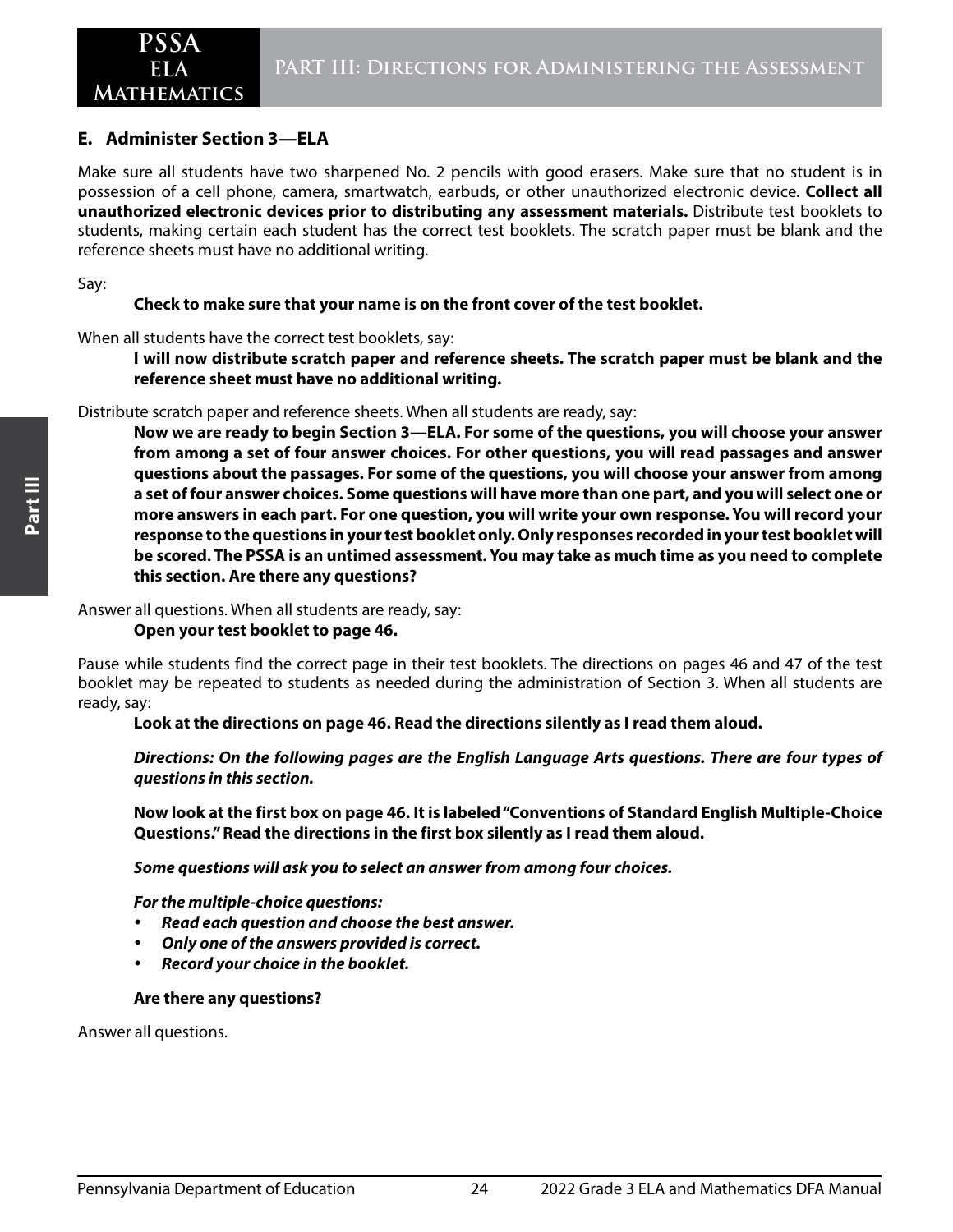<span id="page-27-0"></span>

#### **E.** Administer Section 3-ELA

Make sure all students have two sharpened No. 2 pencils with good erasers. Make sure that no student is in possession of a cell phone, camera, smartwatch, earbuds, or other unauthorized electronic device. **Collect all unauthorized electronic devices prior to distributing any assessment materials .** Distribute test booklets to students, making certain each student has the correct test booklets. The scratch paper must be blank and the reference sheets must have no additional writing.

Say:

#### **Check to make sure that your name is on the front cover of the test booklet .**

When all students have the correct test booklets, say:

**I will now distribute scratch paper and reference sheets . The scratch paper must be blank and the reference sheet must have no additional writing .**

Distribute scratch paper and reference sheets. When all students are ready, say:

**Now we are ready to begin Section 3—ELA . For some of the questions, you will choose your answer from among a set of four answer choices . For other questions, you will read passages and answer questions about the passages . For some of the questions, you will choose your answer from among a set of four answer choices . Some questions will have more than one part, and you will select one or more answers in each part . For one question, you will write your own response . You will record your response to the questions in your test booklet only . Only responses recorded in your test booklet will be scored . The PSSA is an untimed assessment . You may take as much time as you need to complete this section . Are there any questions?**

Answer all questions. When all students are ready, say:

**Open your test booklet to page 46 .**

Pause while students find the correct page in their test booklets. The directions on pages 46 and 47 of the test booklet may be repeated to students as needed during the administration of Section 3. When all students are ready, say:

#### **Look at the directions on page 46 . Read the directions silently as I read them aloud .**

*Directions: On the following pages are the English Language Arts questions. There are four types of questions in this section.*

**Now look at the first box on page 46 . It is labeled "Conventions of Standard English Multiple-Choice Questions ." Read the directions in the first box silently as I read them aloud .**

*Some questions will ask you to select an answer from among four choices.*

*For the multiple-choice questions:*

- **Read each question and choose the best answer.**
- **Only one of the answers provided is correct.**
- **Record your choice in the booklet.**

#### **Are there any questions?**

Answer all questions.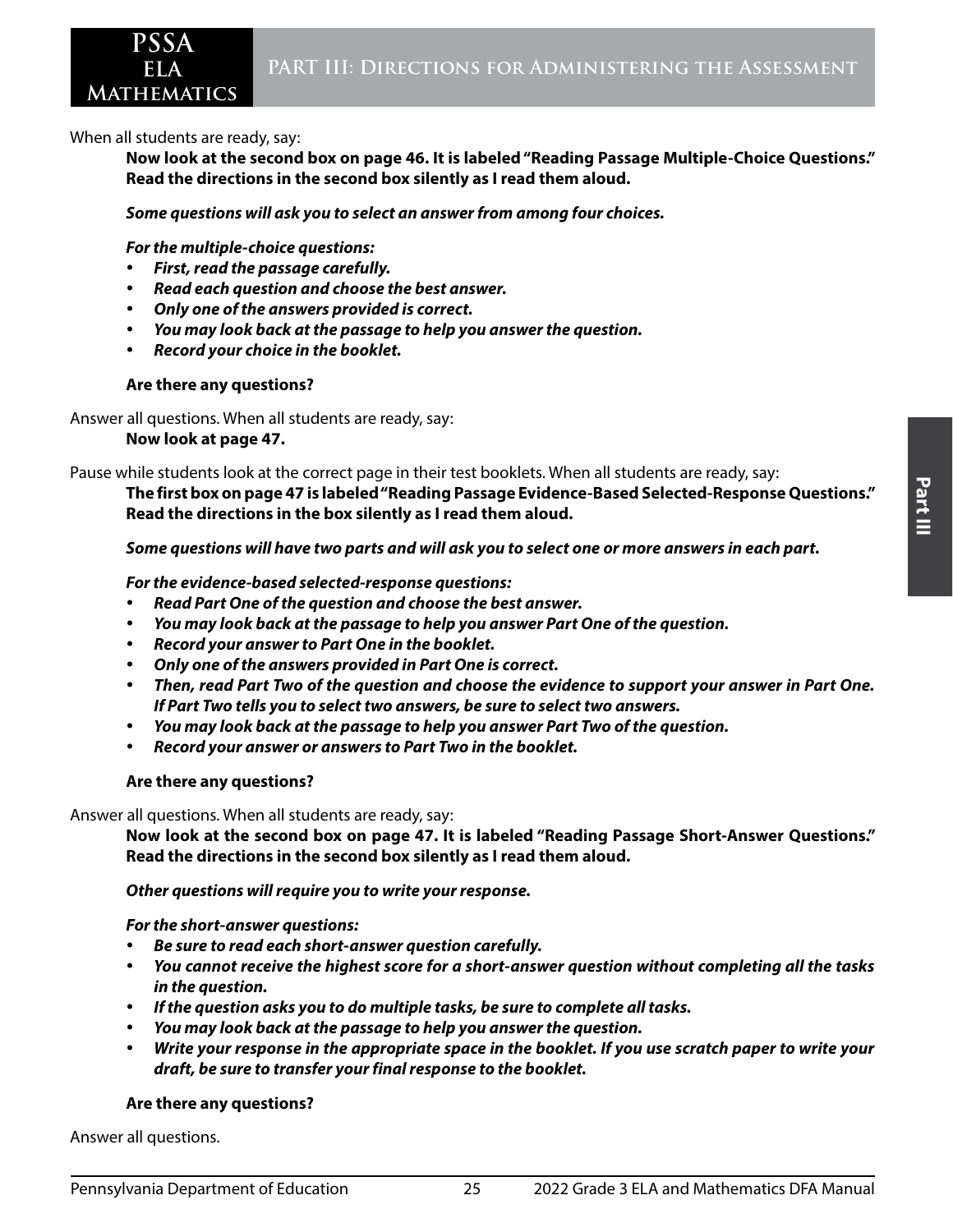#### When all students are ready, say:

**PSSA ELA Mathematics**

> **Now look at the second box on page 46 . It is labeled "Reading Passage Multiple-Choice Questions ." Read the directions in the second box silently as I read them aloud .**

*Some questions will ask you to select an answer from among four choices.*

#### *For the multiple-choice questions:*

- y *First, read the passage carefully.*
- y *Read each question and choose the best answer.*
- **Only one of the answers provided is correct.**
- y *You may look back at the passage to help you answer the question.*
- y *Record your choice in the booklet.*

#### **Are there any questions?**

Answer all questions. When all students are ready, say: **Now look at page 47 .**

Pause while students look at the correct page in their test booklets. When all students are ready, say:

**The first box on page 47 is labeled "Reading Passage Evidence-Based Selected-Response Questions ." Read the directions in the box silently as I read them aloud .**

*Some questions will have two parts and will ask you to select one or more answers in each part.*

#### *For the evidence-based selected-response questions:*

- y *Read Part One of the question and choose the best answer.*
- y *You may look back at the passage to help you answer Part One of the question.*
- y *Record your answer to Part One in the booklet.*
- y *Only one of the answers provided in Part One is correct.*
- **Then, read Part Two of the question and choose the evidence to support your answer in Part One.** *If Part Two tells you to select two answers, be sure to select two answers.*
- y *You may look back at the passage to help you answer Part Two of the question.*
- y *Record your answer or answers to Part Two in the booklet.*

#### **Are there any questions?**

Answer all questions. When all students are ready, say:

**Now look at the second box on page 47 . It is labeled "Reading Passage Short-Answer Questions ." Read the directions in the second box silently as I read them aloud .**

*Other questions will require you to write your response.*

*For the short-answer questions:*

- Be sure to read each short-answer question carefully.
- y *You cannot receive the highest score for a short-answer question without completing all the tasks in the question.*
- y *If the question asks you to do multiple tasks, be sure to complete all tasks.*
- y *You may look back at the passage to help you answer the question.*
- y *Write your response in the appropriate space in the booklet. If you use scratch paper to write your draft, be sure to transfer your final response to the booklet.*

#### **Are there any questions?**

Answer all questions.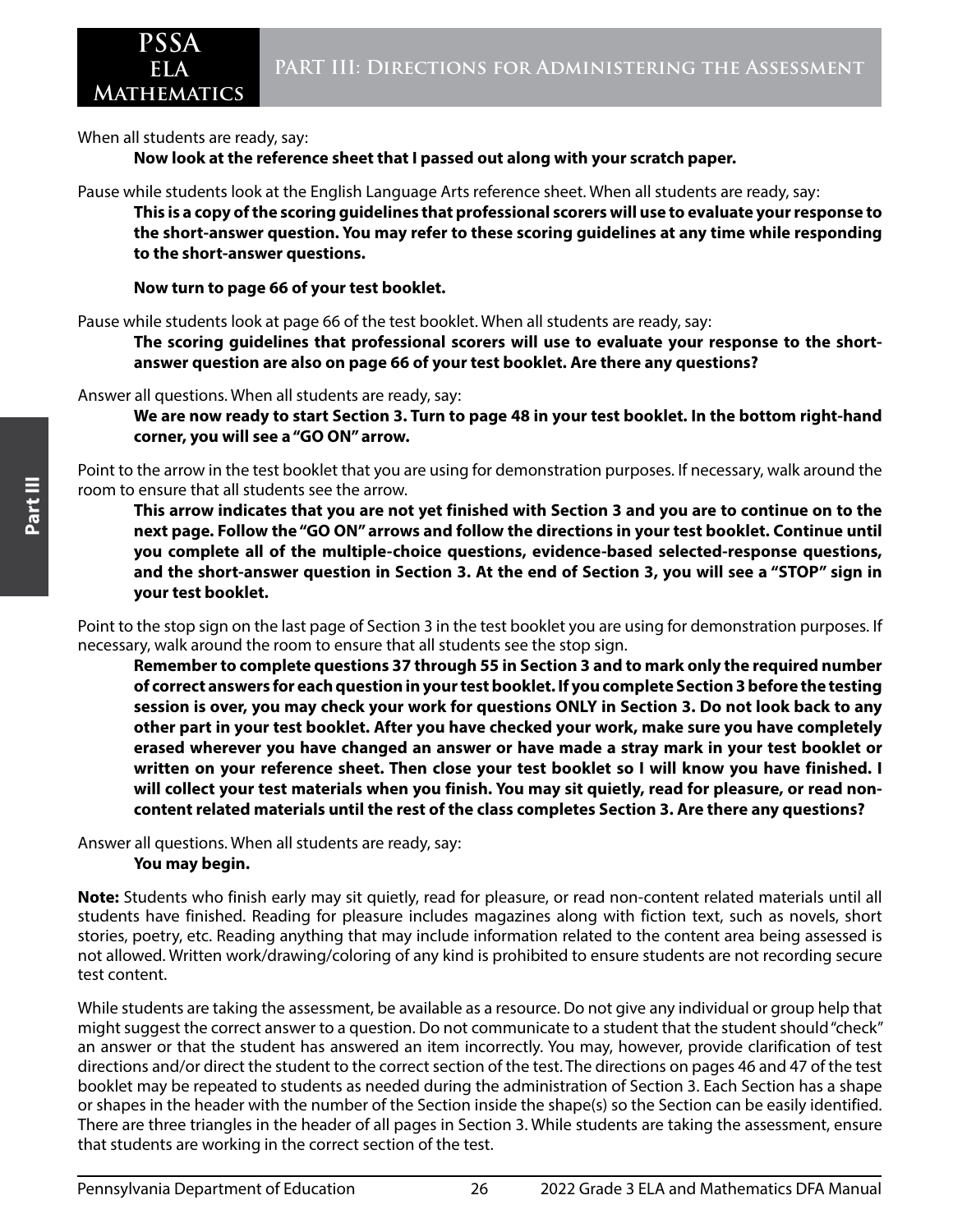When all students are ready, say:

**PSSA ELA Mathematics**

**Now look at the reference sheet that I passed out along with your scratch paper .**

Pause while students look at the English Language Arts reference sheet. When all students are ready, say:

**This is a copy of the scoring guidelines that professional scorers will use to evaluate your response to the short-answer question . You may refer to these scoring guidelines at any time while responding to the short-answer questions .** 

Now turn to page 66 of your test booklet.

Pause while students look at page 66 of the test booklet. When all students are ready, say:

**The scoring guidelines that professional scorers will use to evaluate your response to the shortanswer question are also on page 66 of your test booklet . Are there any questions?**

Answer all questions. When all students are ready, say:

We are now ready to start Section 3. Turn to page 48 in your test booklet. In the bottom right-hand corner, you will see a "GO ON" arrow.

Point to the arrow in the test booklet that you are using for demonstration purposes. If necessary, walk around the room to ensure that all students see the arrow.

**This arrow indicates that you are not yet finished with Section 3 and you are to continue on to the**  next page. Follow the "GO ON" arrows and follow the directions in your test booklet. Continue until **you complete all of the multiple-choice questions, evidence-based selected-response questions, and the short-answer question in Section 3 . At the end of Section 3, you will see a "STOP" sign in your test booklet .**

Point to the stop sign on the last page of Section 3 in the test booklet you are using for demonstration purposes. If necessary, walk around the room to ensure that all students see the stop sign.

**Remember to complete questions 37 through 55 in Section 3 and to mark only the required number of correct answers for each question in your test booklet . If you complete Section 3 before the testing session is over, you may check your work for questions ONLY in Section 3 . Do not look back to any other part in your test booklet . After you have checked your work, make sure you have completely erased wherever you have changed an answer or have made a stray mark in your test booklet or**  written on your reference sheet. Then close your test booklet so I will know you have finished. I will collect your test materials when you finish. You may sit quietly, read for pleasure, or read non**content related materials until the rest of the class completes Section 3 . Are there any questions?**

Answer all questions. When all students are ready, say:

#### You may begin.

**Note:** Students who finish early may sit quietly, read for pleasure, or read non-content related materials until all students have finished. Reading for pleasure includes magazines along with fiction text, such as novels, short stories, poetry, etc. Reading anything that may include information related to the content area being assessed is not allowed. Written work/drawing/coloring of any kind is prohibited to ensure students are not recording secure test content.

While students are taking the assessment, be available as a resource. Do not give any individual or group help that might suggest the correct answer to a question. Do not communicate to a student that the student should "check" an answer or that the student has answered an item incorrectly. You may, however, provide clarification of test directions and/or direct the student to the correct section of the test. The directions on pages 46 and 47 of the test booklet may be repeated to students as needed during the administration of Section 3. Each Section has a shape or shapes in the header with the number of the Section inside the shape(s) so the Section can be easily identified. There are three triangles in the header of all pages in Section 3. While students are taking the assessment, ensure that students are working in the correct section of the test.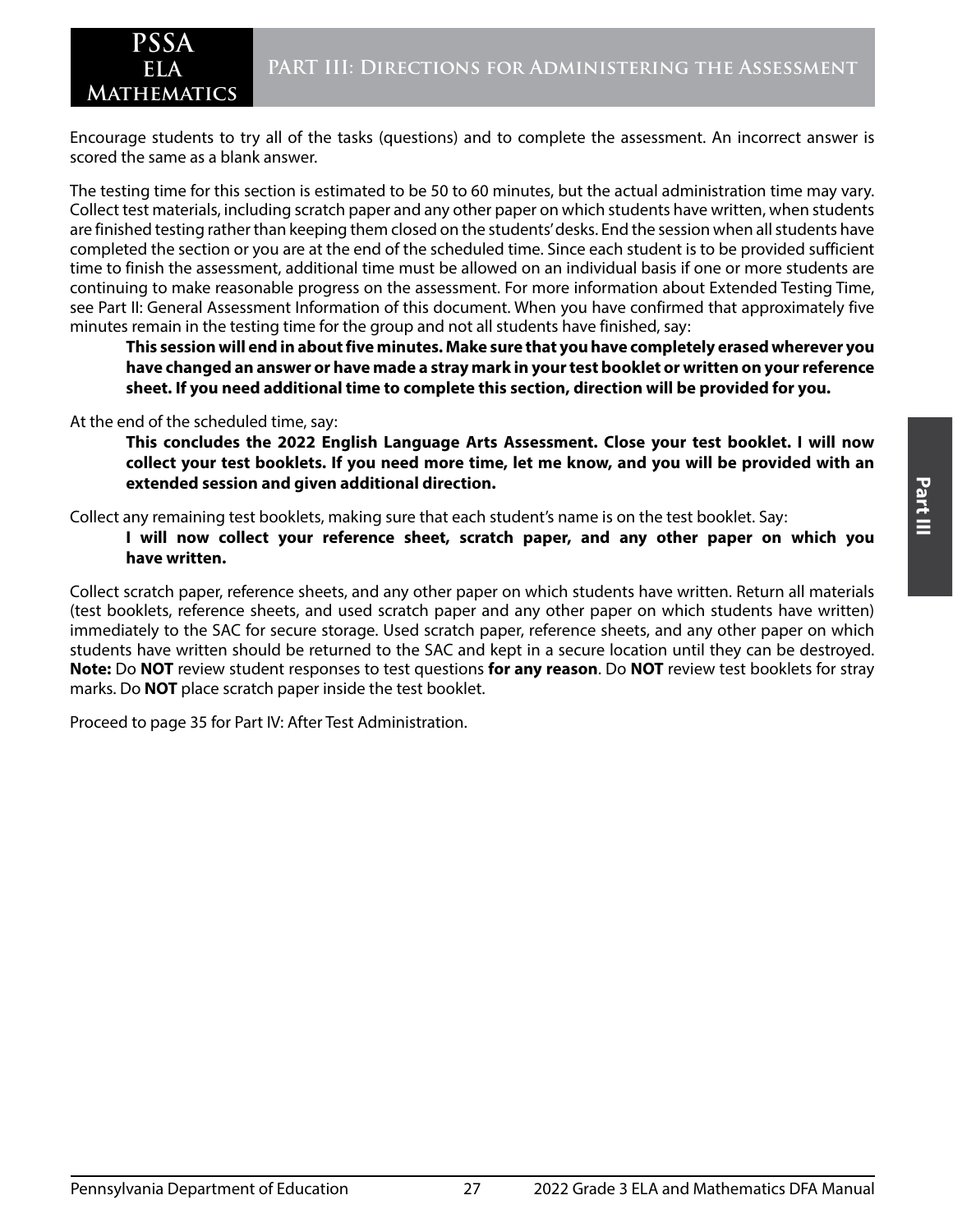

Encourage students to try all of the tasks (questions) and to complete the assessment. An incorrect answer is scored the same as a blank answer.

The testing time for this section is estimated to be 50 to 60 minutes, but the actual administration time may vary. Collect test materials, including scratch paper and any other paper on which students have written, when students are finished testing rather than keeping them closed on the students' desks. End the session when all students have completed the section or you are at the end of the scheduled time. Since each student is to be provided sufficient time to finish the assessment, additional time must be allowed on an individual basis if one or more students are continuing to make reasonable progress on the assessment. For more information about Extended Testing Time, see Part II: General Assessment Information of this document. When you have confirmed that approximately five minutes remain in the testing time for the group and not all students have finished, say:

**This session will end in about five minutes . Make sure that you have completely erased wherever you have changed an answer or have made a stray mark in your test booklet or written on your reference sheet . If you need additional time to complete this section, direction will be provided for you .**

At the end of the scheduled time, say:

This concludes the 2022 English Language Arts Assessment. Close your test booklet. I will now **collect your test booklets . If you need more time, let me know, and you will be provided with an**  extended session and given additional direction.

Collect any remaining test booklets, making sure that each student's name is on the test booklet. Say:

**I will now collect your reference sheet, scratch paper, and any other paper on which you**  have written.

Collect scratch paper, reference sheets, and any other paper on which students have written. Return all materials (test booklets, reference sheets, and used scratch paper and any other paper on which students have written) immediately to the SAC for secure storage. Used scratch paper, reference sheets, and any other paper on which students have written should be returned to the SAC and kept in a secure location until they can be destroyed. **Note:** Do **NOT** review student responses to test questions **for any reason**. Do **NOT** review test booklets for stray marks. Do **NOT** place scratch paper inside the test booklet.

Proceed to [page 35](#page-38-1) for Part IV: After Test Administration.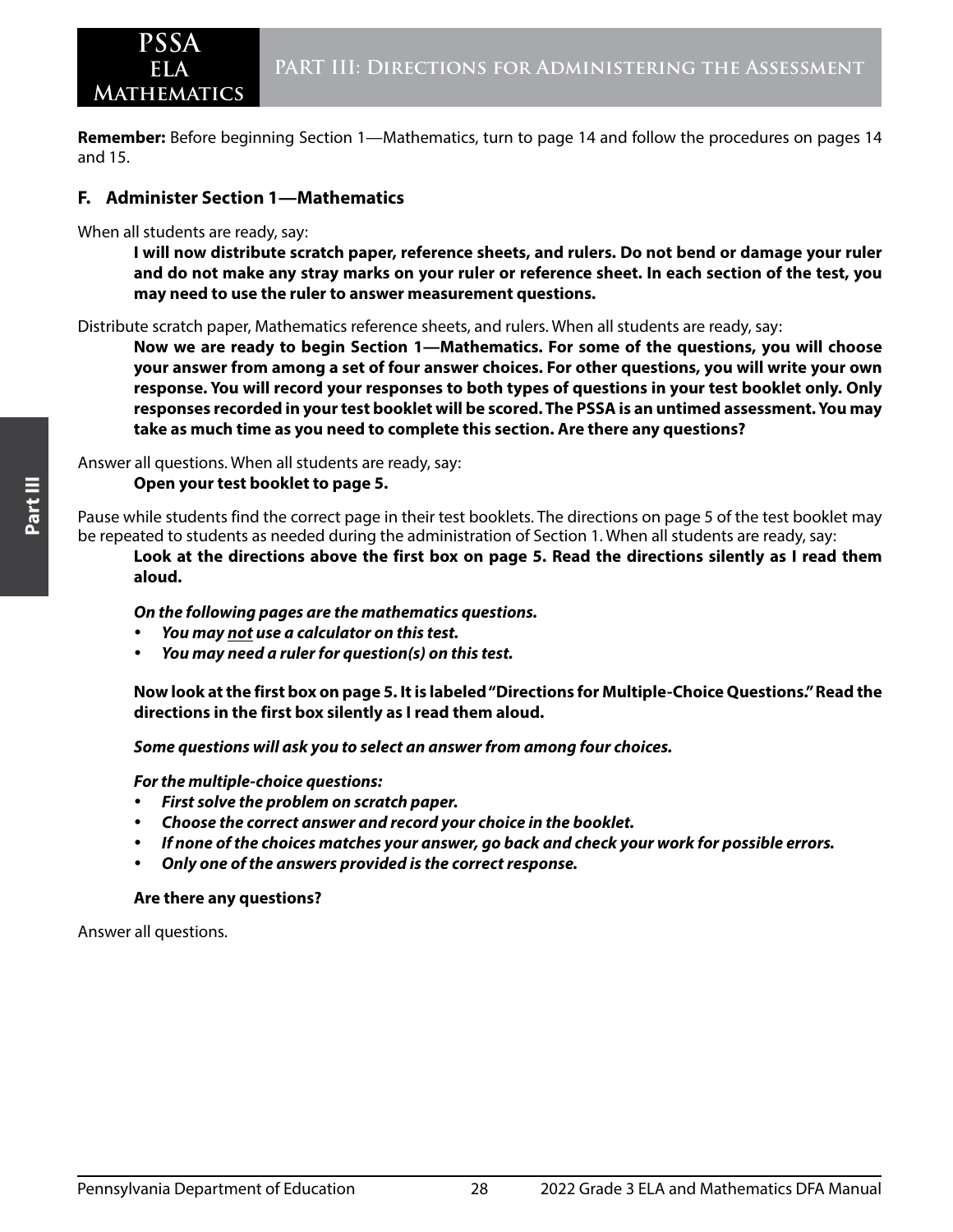<span id="page-31-0"></span>

**Remember:** Before beginning Section 1—Mathematics, turn to [page 14](#page-17-1) and follow the procedures on pages [14](#page-17-1) and [15](#page-18-1).

#### <span id="page-31-1"></span>**F . Administer Section 1—Mathematics**

When all students are ready, say:

**I will now distribute scratch paper, reference sheets, and rulers . Do not bend or damage your ruler and do not make any stray marks on your ruler or reference sheet . In each section of the test, you may need to use the ruler to answer measurement questions .**

Distribute scratch paper, Mathematics reference sheets, and rulers. When all students are ready, say:

**Now we are ready to begin Section 1—Mathematics . For some of the questions, you will choose your answer from among a set of four answer choices . For other questions, you will write your own response . You will record your responses to both types of questions in your test booklet only . Only responses recorded in your test booklet will be scored . The PSSA is an untimed assessment . You may take as much time as you need to complete this section . Are there any questions?**

Answer all questions. When all students are ready, say:

**Open your test booklet to page 5 .**

Pause while students find the correct page in their test booklets. The directions on page 5 of the test booklet may be repeated to students as needed during the administration of Section 1. When all students are ready, say:

Look at the directions above the first box on page 5. Read the directions silently as I read them aloud.

*On the following pages are the mathematics questions.*

- y *You may not use a calculator on this test.*
- You may need a ruler for question(s) on this test.

**Now look at the first box on page 5 . It is labeled "Directions for Multiple-Choice Questions ." Read the directions in the first box silently as I read them aloud .**

*Some questions will ask you to select an answer from among four choices.*

*For the multiple-choice questions:*

- *First solve the problem on scratch paper.*
- y *Choose the correct answer and record your choice in the booklet.*
- y *If none of the choices matches your answer, go back and check your work for possible errors.*
- Only one of the answers provided is the correct response.

#### **Are there any questions?**

Answer all questions.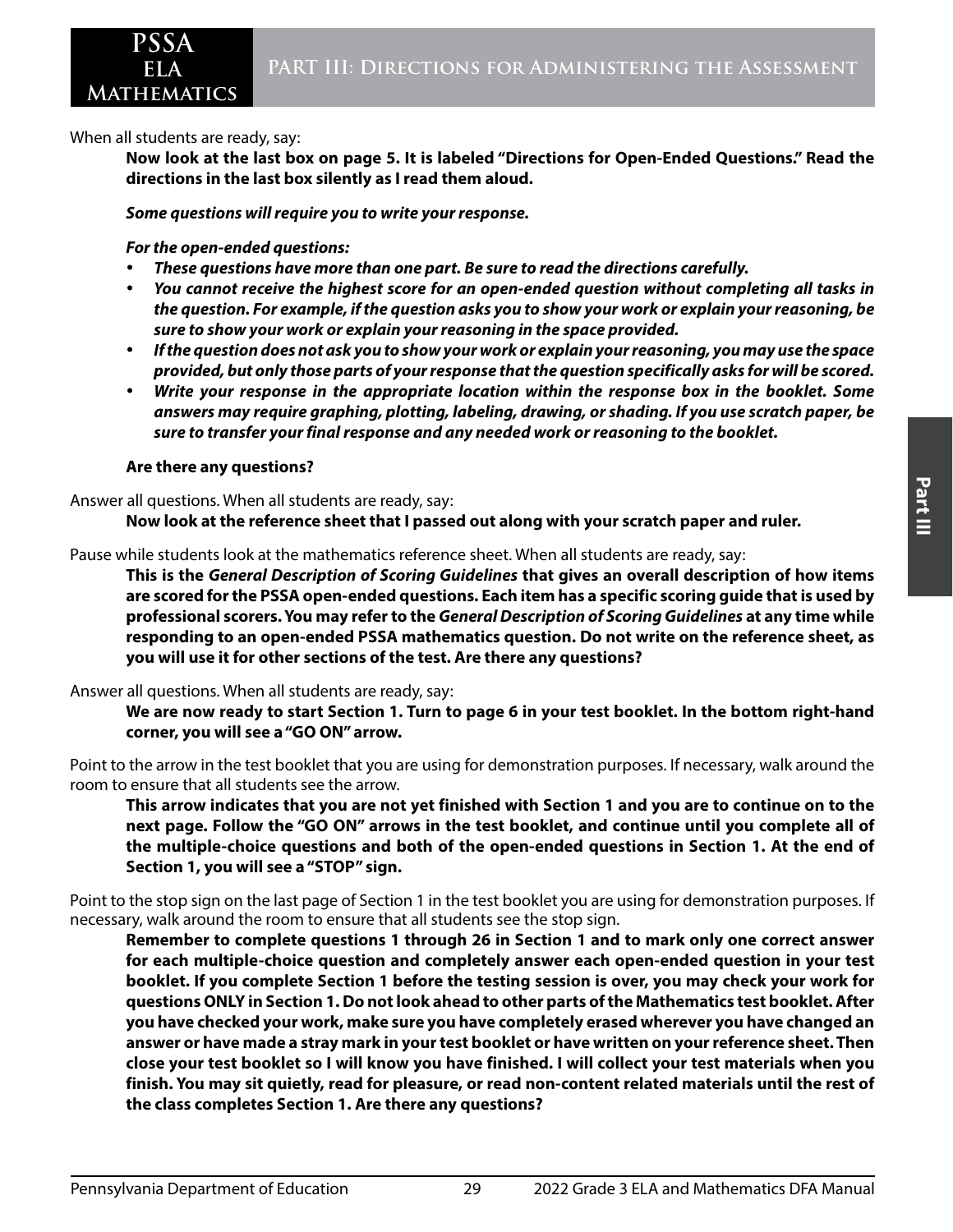#### When all students are ready, say:

**PSSA ELA Mathematics**

> **Now look at the last box on page 5 . It is labeled "Directions for Open-Ended Questions ." Read the**  directions in the last box silently as I read them aloud.

*Some questions will require you to write your response.*

#### *For the open-ended questions:*

- y *These questions have more than one part. Be sure to read the directions carefully.*
- y *You cannot receive the highest score for an open-ended question without completing all tasks in the question. For example, if the question asks you to show your work or explain your reasoning, be sure to show your work or explain your reasoning in the space provided.*
- y *If the question does not ask you to show your work or explain your reasoning, you may use the space provided, but only those parts of your response that the question specifically asks for will be scored.*
- y *Write your response in the appropriate location within the response box in the booklet. Some answers may require graphing, plotting, labeling, drawing, or shading. If you use scratch paper, be sure to transfer your final response and any needed work or reasoning to the booklet.*

#### **Are there any questions?**

Answer all questions. When all students are ready, say:

**Now look at the reference sheet that I passed out along with your scratch paper and ruler .**

Pause while students look at the mathematics reference sheet. When all students are ready, say:

**This is the** *General Description of Scoring Guidelines* **that gives an overall description of how items are scored for the PSSA open-ended questions . Each item has a specific scoring guide that is used by professional scorers . You may refer to the** *General Description of Scoring Guidelines* **at any time while responding to an open-ended PSSA mathematics question . Do not write on the reference sheet, as you will use it for other sections of the test . Are there any questions?**

#### Answer all questions. When all students are ready, say:

We are now ready to start Section 1. Turn to page 6 in your test booklet. In the bottom right-hand corner, you will see a "GO ON" arrow.

Point to the arrow in the test booklet that you are using for demonstration purposes. If necessary, walk around the room to ensure that all students see the arrow.

**This arrow indicates that you are not yet finished with Section 1 and you are to continue on to the next page . Follow the "GO ON" arrows in the test booklet, and continue until you complete all of the multiple-choice questions and both of the open-ended questions in Section 1 . At the end of**  Section 1, you will see a "STOP" sign.

Point to the stop sign on the last page of Section 1 in the test booklet you are using for demonstration purposes. If necessary, walk around the room to ensure that all students see the stop sign.

**Remember to complete questions 1 through 26 in Section 1 and to mark only one correct answer for each multiple-choice question and completely answer each open-ended question in your test booklet . If you complete Section 1 before the testing session is over, you may check your work for questions ONLY in Section 1 . Do not look ahead to other parts of the Mathematics test booklet . After you have checked your work, make sure you have completely erased wherever you have changed an answer or have made a stray mark in your test booklet or have written on your reference sheet . Then close your test booklet so I will know you have finished . I will collect your test materials when you**  finish. You may sit quietly, read for pleasure, or read non-content related materials until the rest of **the class completes Section 1 . Are there any questions?**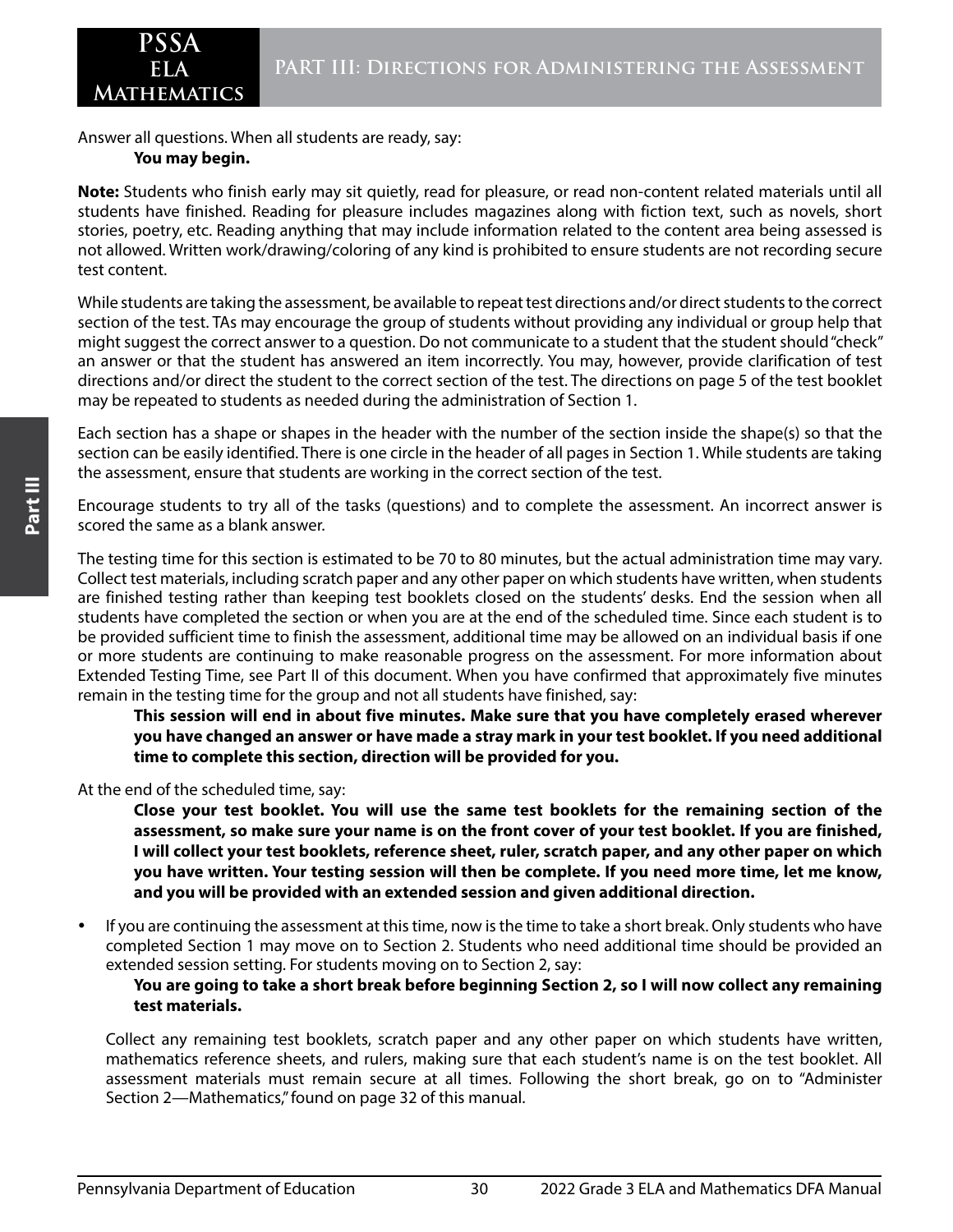**PART III: Directions for Administering the Assessment**

Answer all questions. When all students are ready, say:

#### You may begin.

**PSSA ELA Mathematics**

**Note:** Students who finish early may sit quietly, read for pleasure, or read non-content related materials until all students have finished. Reading for pleasure includes magazines along with fiction text, such as novels, short stories, poetry, etc. Reading anything that may include information related to the content area being assessed is not allowed. Written work/drawing/coloring of any kind is prohibited to ensure students are not recording secure test content.

While students are taking the assessment, be available to repeat test directions and/or direct students to the correct section of the test. TAs may encourage the group of students without providing any individual or group help that might suggest the correct answer to a question. Do not communicate to a student that the student should "check" an answer or that the student has answered an item incorrectly. You may, however, provide clarification of test directions and/or direct the student to the correct section of the test. The directions on page 5 of the test booklet may be repeated to students as needed during the administration of Section 1.

Each section has a shape or shapes in the header with the number of the section inside the shape(s) so that the section can be easily identified. There is one circle in the header of all pages in Section 1. While students are taking the assessment, ensure that students are working in the correct section of the test.

Encourage students to try all of the tasks (questions) and to complete the assessment. An incorrect answer is scored the same as a blank answer.

The testing time for this section is estimated to be 70 to 80 minutes, but the actual administration time may vary. Collect test materials, including scratch paper and any other paper on which students have written, when students are finished testing rather than keeping test booklets closed on the students' desks. End the session when all students have completed the section or when you are at the end of the scheduled time. Since each student is to be provided sufficient time to finish the assessment, additional time may be allowed on an individual basis if one or more students are continuing to make reasonable progress on the assessment. For more information about Extended Testing Time, see Part II of this document. When you have confirmed that approximately five minutes remain in the testing time for the group and not all students have finished, say:

**This session will end in about five minutes . Make sure that you have completely erased wherever you have changed an answer or have made a stray mark in your test booklet . If you need additional time to complete this section, direction will be provided for you .**

At the end of the scheduled time, say:

Close your test booklet. You will use the same test booklets for the remaining section of the assessment, so make sure your name is on the front cover of your test booklet. If you are finished, **I will collect your test booklets, reference sheet, ruler, scratch paper, and any other paper on which**  you have written. Your testing session will then be complete. If you need more time, let me know, **and you will be provided with an extended session and given additional direction .**

If you are continuing the assessment at this time, now is the time to take a short break. Only students who have completed Section 1 may move on to Section 2. Students who need additional time should be provided an extended session setting. For students moving on to Section 2, say:

#### **You are going to take a short break before beginning Section 2, so I will now collect any remaining test materials .**

Collect any remaining test booklets, scratch paper and any other paper on which students have written, mathematics reference sheets, and rulers, making sure that each student's name is on the test booklet. All assessment materials must remain secure at all times. Following the short break, go on to "Administer Section 2—Mathematics," found on [page 32](#page-35-1) of this manual.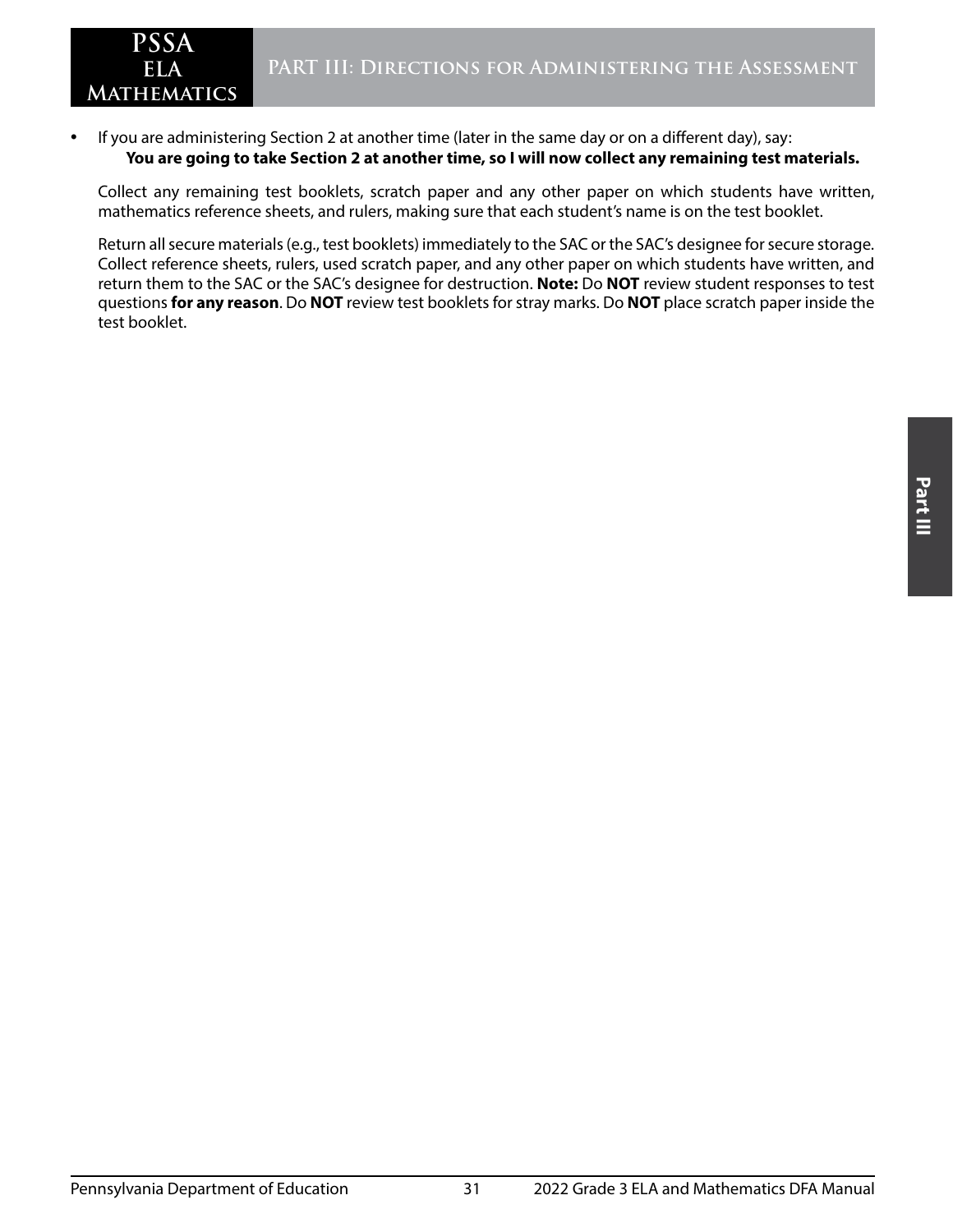

#### If you are administering Section 2 at another time (later in the same day or on a different day), say: **You are going to take Section 2 at another time, so I will now collect any remaining test materials .**

Collect any remaining test booklets, scratch paper and any other paper on which students have written, mathematics reference sheets, and rulers, making sure that each student's name is on the test booklet.

Return all secure materials (e.g., test booklets) immediately to the SAC or the SAC's designee for secure storage. Collect reference sheets, rulers, used scratch paper, and any other paper on which students have written, and return them to the SAC or the SAC's designee for destruction. **Note:** Do **NOT** review student responses to test questions **for any reason**. Do **NOT** review test booklets for stray marks. Do **NOT** place scratch paper inside the test booklet.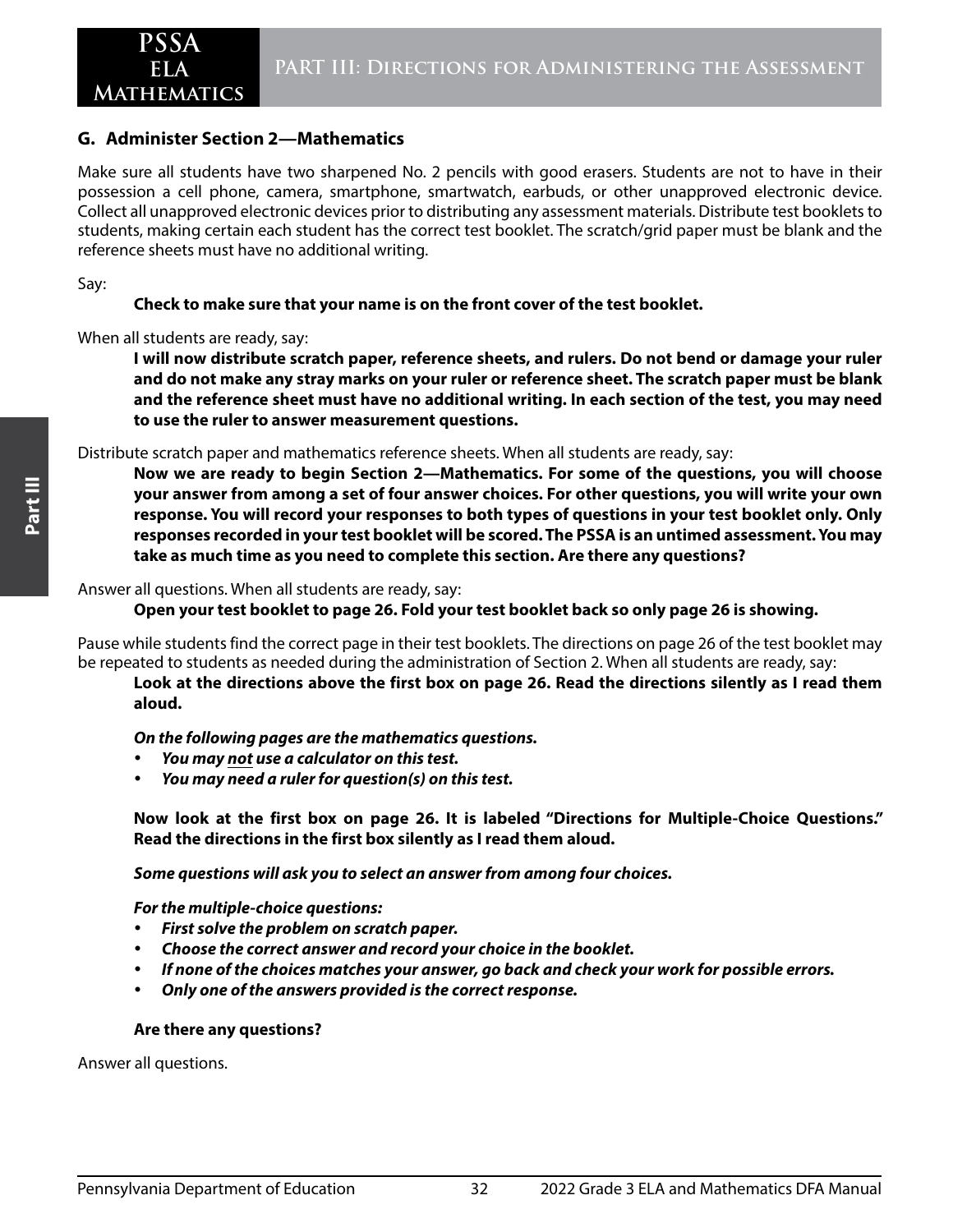#### <span id="page-35-1"></span><span id="page-35-0"></span>**G . Administer Section 2—Mathematics**

Make sure all students have two sharpened No. 2 pencils with good erasers. Students are not to have in their possession a cell phone, camera, smartphone, smartwatch, earbuds, or other unapproved electronic device. Collect all unapproved electronic devices prior to distributing any assessment materials. Distribute test booklets to students, making certain each student has the correct test booklet. The scratch/grid paper must be blank and the reference sheets must have no additional writing.

Say:

#### **Check to make sure that your name is on the front cover of the test booklet .**

When all students are ready, say:

**I will now distribute scratch paper, reference sheets, and rulers . Do not bend or damage your ruler and do not make any stray marks on your ruler or reference sheet . The scratch paper must be blank and the reference sheet must have no additional writing . In each section of the test, you may need to use the ruler to answer measurement questions .**

Distribute scratch paper and mathematics reference sheets. When all students are ready, say:

**Now we are ready to begin Section 2—Mathematics . For some of the questions, you will choose your answer from among a set of four answer choices . For other questions, you will write your own response . You will record your responses to both types of questions in your test booklet only . Only responses recorded in your test booklet will be scored . The PSSA is an untimed assessment . You may take as much time as you need to complete this section . Are there any questions?**

Answer all questions. When all students are ready, say:

**Open your test booklet to page 26 . Fold your test booklet back so only page 26 is showing .**

Pause while students find the correct page in their test booklets. The directions on page 26 of the test booklet may be repeated to students as needed during the administration of Section 2. When all students are ready, say:

**Look at the directions above the first box on page 26 . Read the directions silently as I read them**  aloud.

*On the following pages are the mathematics questions.*

- y *You may not use a calculator on this test.*
- You may need a ruler for question(s) on this test.

Now look at the first box on page 26. It is labeled "Directions for Multiple-Choice Questions." **Read the directions in the first box silently as I read them aloud .**

*Some questions will ask you to select an answer from among four choices.*

*For the multiple-choice questions:*

- **First solve the problem on scratch paper.**
- y *Choose the correct answer and record your choice in the booklet.*
- y *If none of the choices matches your answer, go back and check your work for possible errors.*
- Only one of the answers provided is the correct response.

#### **Are there any questions?**

Answer all questions.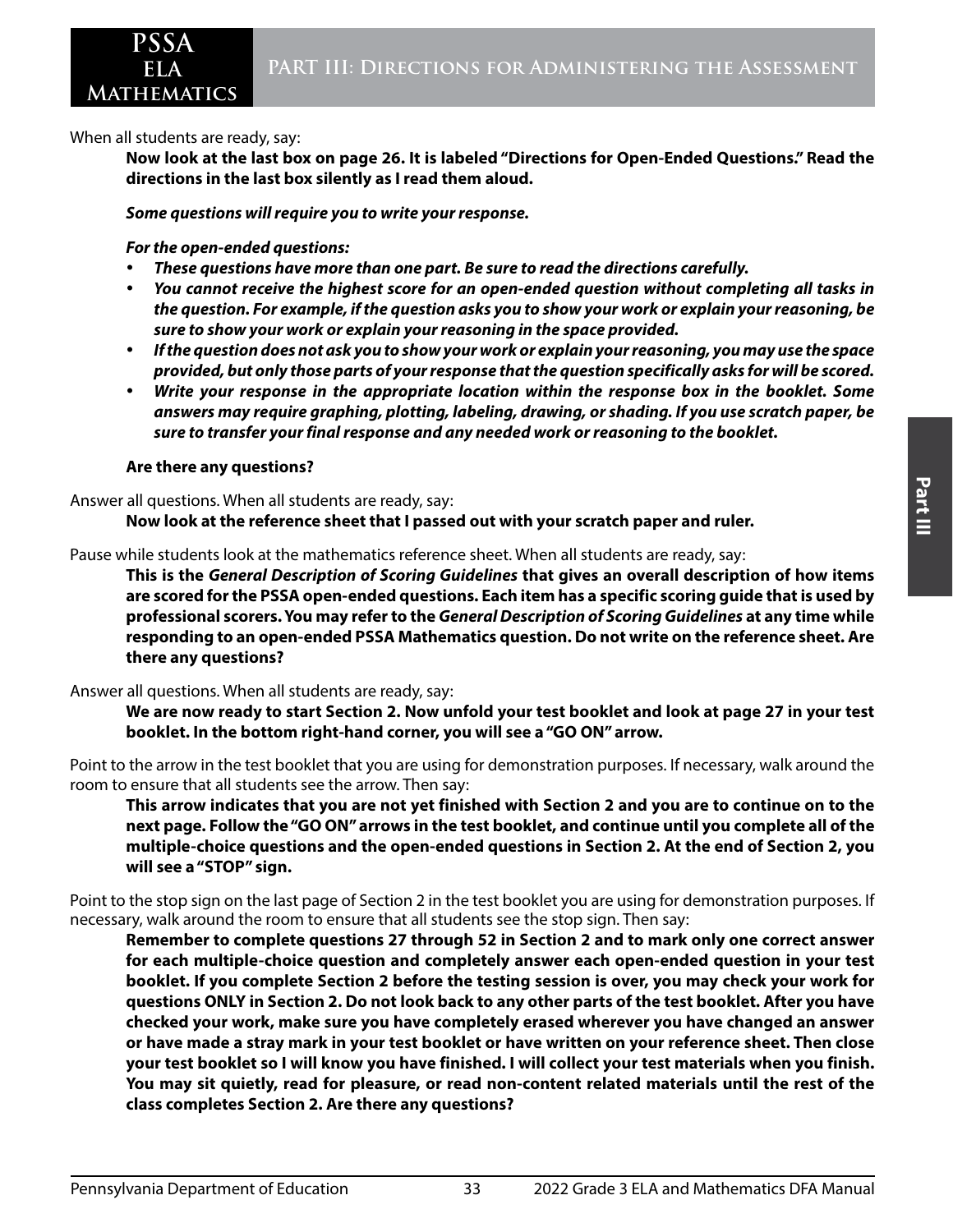## **Mathematics**

**PSSA ELA**

#### When all students are ready, say:

**Now look at the last box on page 26 . It is labeled "Directions for Open-Ended Questions ." Read the**  directions in the last box silently as I read them aloud.

*Some questions will require you to write your response.*

#### *For the open-ended questions:*

- y *These questions have more than one part. Be sure to read the directions carefully.*
- y *You cannot receive the highest score for an open-ended question without completing all tasks in the question. For example, if the question asks you to show your work or explain your reasoning, be sure to show your work or explain your reasoning in the space provided.*
- y *If the question does not ask you to show your work or explain your reasoning, you may use the space provided, but only those parts of your response that the question specifically asks for will be scored.*
- y *Write your response in the appropriate location within the response box in the booklet. Some answers may require graphing, plotting, labeling, drawing, or shading. If you use scratch paper, be sure to transfer your final response and any needed work or reasoning to the booklet.*

#### **Are there any questions?**

Answer all questions. When all students are ready, say:

**Now look at the reference sheet that I passed out with your scratch paper and ruler .**

Pause while students look at the mathematics reference sheet. When all students are ready, say:

**This is the** *General Description of Scoring Guidelines* **that gives an overall description of how items are scored for the PSSA open-ended questions . Each item has a specific scoring guide that is used by professional scorers . You may refer to the** *General Description of Scoring Guidelines* **at any time while responding to an open-ended PSSA Mathematics question . Do not write on the reference sheet . Are there any questions?**

#### Answer all questions. When all students are ready, say:

**We are now ready to start Section 2 . Now unfold your test booklet and look at page 27 in your test booklet . In the bottom right-hand corner, you will see a "GO ON" arrow .**

Point to the arrow in the test booklet that you are using for demonstration purposes. If necessary, walk around the room to ensure that all students see the arrow. Then say:

**This arrow indicates that you are not yet finished with Section 2 and you are to continue on to the next page . Follow the "GO ON" arrows in the test booklet, and continue until you complete all of the multiple-choice questions and the open-ended questions in Section 2 . At the end of Section 2, you will see a "STOP" sign .**

Point to the stop sign on the last page of Section 2 in the test booklet you are using for demonstration purposes. If necessary, walk around the room to ensure that all students see the stop sign. Then say:

**Remember to complete questions 27 through 52 in Section 2 and to mark only one correct answer for each multiple-choice question and completely answer each open-ended question in your test booklet . If you complete Section 2 before the testing session is over, you may check your work for questions ONLY in Section 2 . Do not look back to any other parts of the test booklet . After you have checked your work, make sure you have completely erased wherever you have changed an answer or have made a stray mark in your test booklet or have written on your reference sheet . Then close your test booklet so I will know you have finished . I will collect your test materials when you finish . You may sit quietly, read for pleasure, or read non-content related materials until the rest of the class completes Section 2 . Are there any questions?**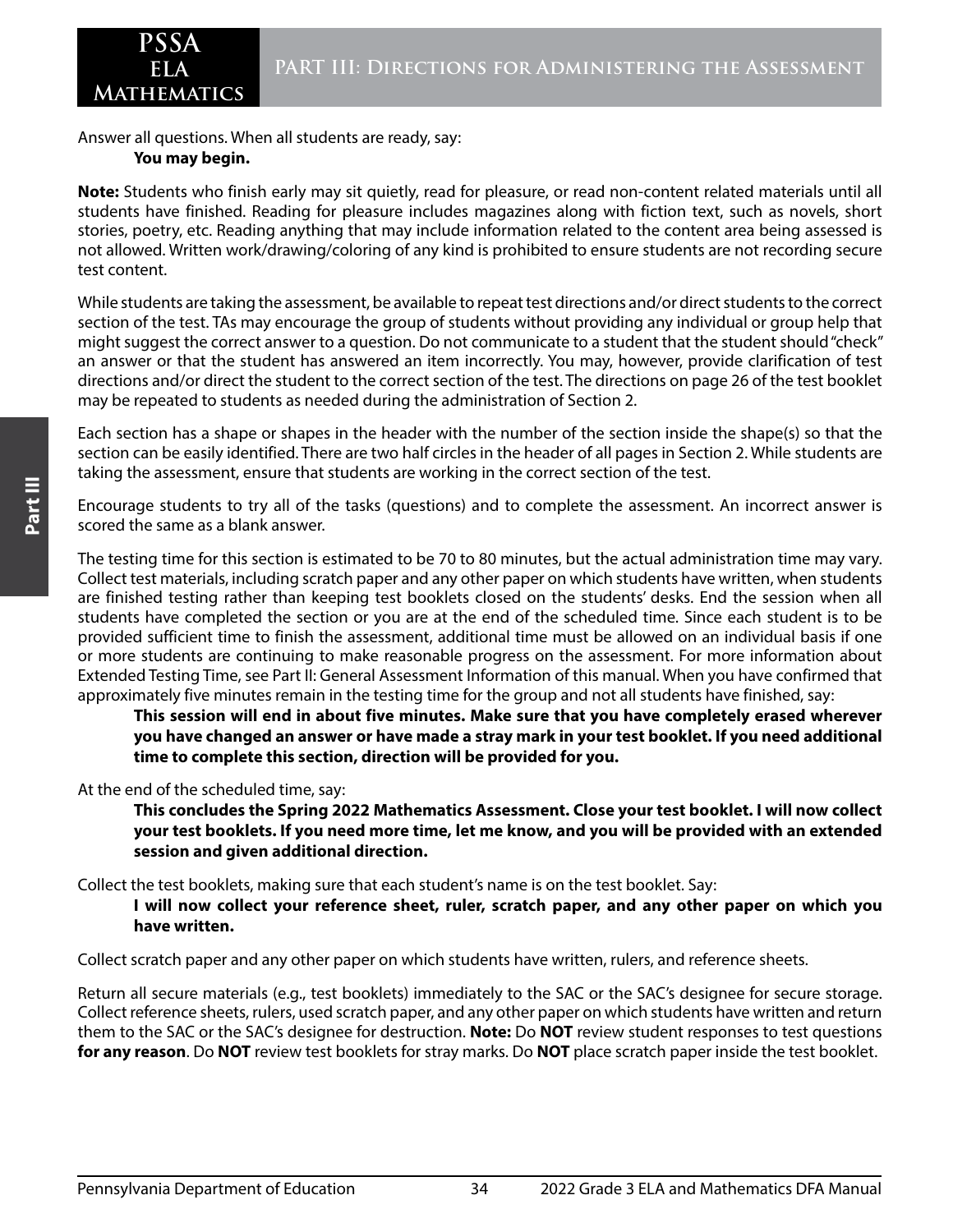**PART III: Directions for Administering the Assessment**

Answer all questions. When all students are ready, say:

#### You may begin.

**PSSA ELA Mathematics**

**Note:** Students who finish early may sit quietly, read for pleasure, or read non-content related materials until all students have finished. Reading for pleasure includes magazines along with fiction text, such as novels, short stories, poetry, etc. Reading anything that may include information related to the content area being assessed is not allowed. Written work/drawing/coloring of any kind is prohibited to ensure students are not recording secure test content.

While students are taking the assessment, be available to repeat test directions and/or direct students to the correct section of the test. TAs may encourage the group of students without providing any individual or group help that might suggest the correct answer to a question. Do not communicate to a student that the student should "check" an answer or that the student has answered an item incorrectly. You may, however, provide clarification of test directions and/or direct the student to the correct section of the test. The directions on page 26 of the test booklet may be repeated to students as needed during the administration of Section 2.

Each section has a shape or shapes in the header with the number of the section inside the shape(s) so that the section can be easily identified. There are two half circles in the header of all pages in Section 2. While students are taking the assessment, ensure that students are working in the correct section of the test.

Encourage students to try all of the tasks (questions) and to complete the assessment. An incorrect answer is scored the same as a blank answer.

The testing time for this section is estimated to be 70 to 80 minutes, but the actual administration time may vary. Collect test materials, including scratch paper and any other paper on which students have written, when students are finished testing rather than keeping test booklets closed on the students' desks. End the session when all students have completed the section or you are at the end of the scheduled time. Since each student is to be provided sufficient time to finish the assessment, additional time must be allowed on an individual basis if one or more students are continuing to make reasonable progress on the assessment. For more information about Extended Testing Time, see Part II: General Assessment Information of this manual. When you have confirmed that approximately five minutes remain in the testing time for the group and not all students have finished, say:

**This session will end in about five minutes . Make sure that you have completely erased wherever you have changed an answer or have made a stray mark in your test booklet . If you need additional time to complete this section, direction will be provided for you .**

At the end of the scheduled time, say:

**This concludes the Spring 2022 Mathematics Assessment . Close your test booklet . I will now collect your test booklets . If you need more time, let me know, and you will be provided with an extended session and given additional direction .**

Collect the test booklets, making sure that each student's name is on the test booklet. Say:

**I will now collect your reference sheet, ruler, scratch paper, and any other paper on which you**  have written.

Collect scratch paper and any other paper on which students have written, rulers, and reference sheets.

Return all secure materials (e.g., test booklets) immediately to the SAC or the SAC's designee for secure storage. Collect reference sheets, rulers, used scratch paper, and any other paper on which students have written and return them to the SAC or the SAC's designee for destruction. **Note:** Do **NOT** review student responses to test questions **for any reason**. Do **NOT** review test booklets for stray marks. Do **NOT** place scratch paper inside the test booklet.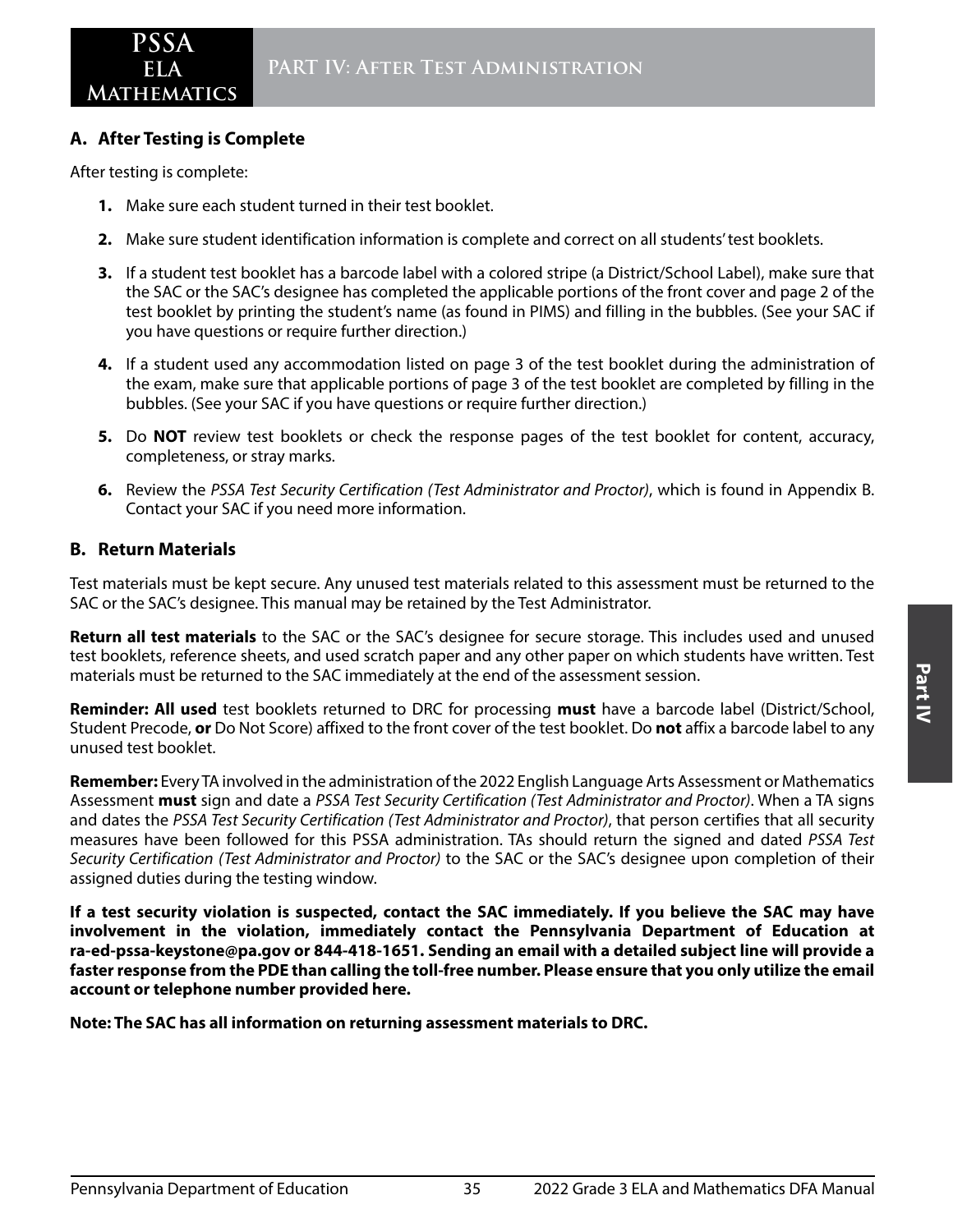<span id="page-38-0"></span>

#### <span id="page-38-1"></span>**A. After Testing is Complete**

After testing is complete:

- **1 .** Make sure each student turned in their test booklet.
- **2 .** Make sure student identification information is complete and correct on all students' test booklets.
- **3 .** If a student test booklet has a barcode label with a colored stripe (a District/School Label), make sure that the SAC or the SAC's designee has completed the applicable portions of the front cover and page 2 of the test booklet by printing the student's name (as found in PIMS) and filling in the bubbles. (See your SAC if you have questions or require further direction.)
- **4 .** If a student used any accommodation listed on page 3 of the test booklet during the administration of the exam, make sure that applicable portions of page 3 of the test booklet are completed by filling in the bubbles. (See your SAC if you have questions or require further direction.)
- **5.** Do **NOT** review test booklets or check the response pages of the test booklet for content, accuracy, completeness, or stray marks.
- **6 .** Review the *PSSA Test Security Certification (Test Administrator and Proctor)*, which is found in [Appendix B.](#page-52-0) Contact your SAC if you need more information.

#### **B.** Return Materials

Test materials must be kept secure. Any unused test materials related to this assessment must be returned to the SAC or the SAC's designee. This manual may be retained by the Test Administrator.

**Return all test materials** to the SAC or the SAC's designee for secure storage. This includes used and unused test booklets, reference sheets, and used scratch paper and any other paper on which students have written. Test materials must be returned to the SAC immediately at the end of the assessment session.

**Reminder: All used** test booklets returned to DRC for processing **must** have a barcode label (District/School, Student Precode, **or** Do Not Score) affixed to the front cover of the test booklet. Do **not** affix a barcode label to any unused test booklet.

**Remember:** Every TA involved in the administration of the 2022 English Language Arts Assessment or Mathematics Assessment **must** sign and date a *PSSA Test Security Certification (Test Administrator and Proctor)*. When a TA signs and dates the *PSSA Test Security Certification (Test Administrator and Proctor)*, that person certifies that all security measures have been followed for this PSSA administration. TAs should return the signed and dated *PSSA Test Security Certification (Test Administrator and Proctor)* to the SAC or the SAC's designee upon completion of their assigned duties during the testing window.

If a test security violation is suspected, contact the SAC immediately. If you believe the SAC may have **involvement in the violation, immediately contact the Pennsylvania Department of Education at [ra-ed-pssa-keystone@pa .gov](mailto:ra-ed-pssa-keystone%40pa.gov?subject=) or 844-418-1651 . Sending an email with a detailed subject line will provide a faster response from the PDE than calling the toll-free number . Please ensure that you only utilize the email account or telephone number provided here .**

**Note: The SAC has all information on returning assessment materials to DRC .**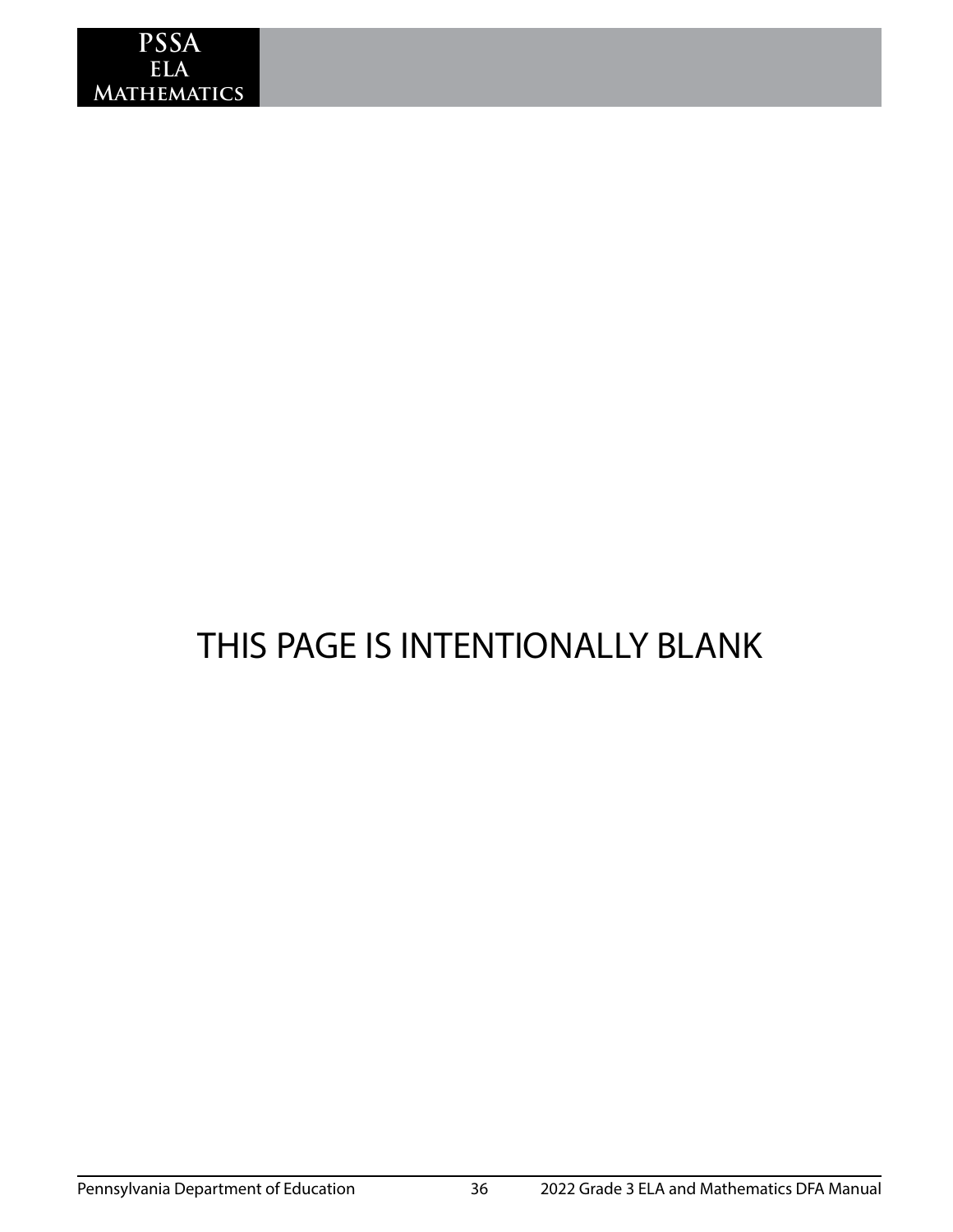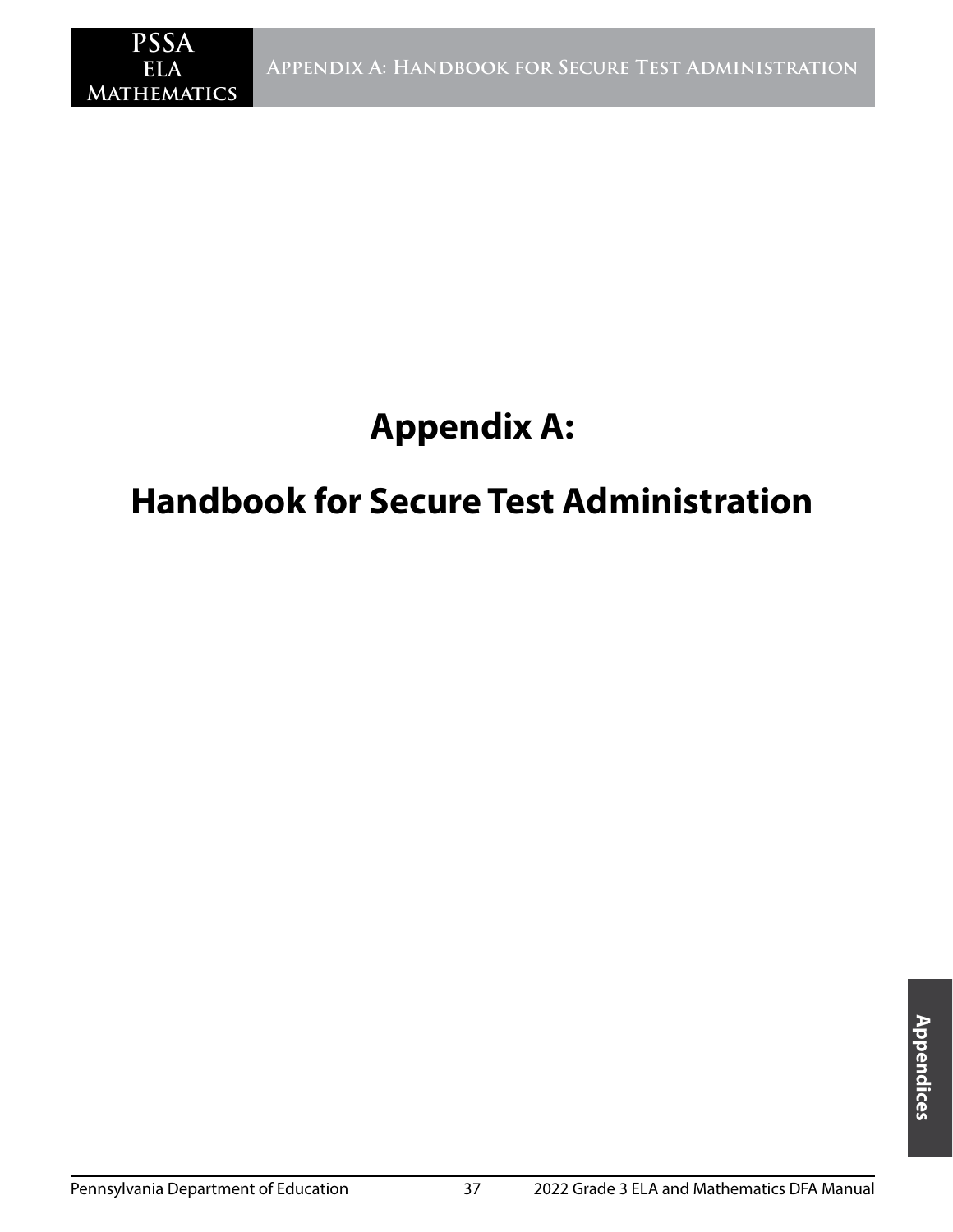<span id="page-40-0"></span>

# **Appendix A:**

## **Handbook for Secure Test Administration**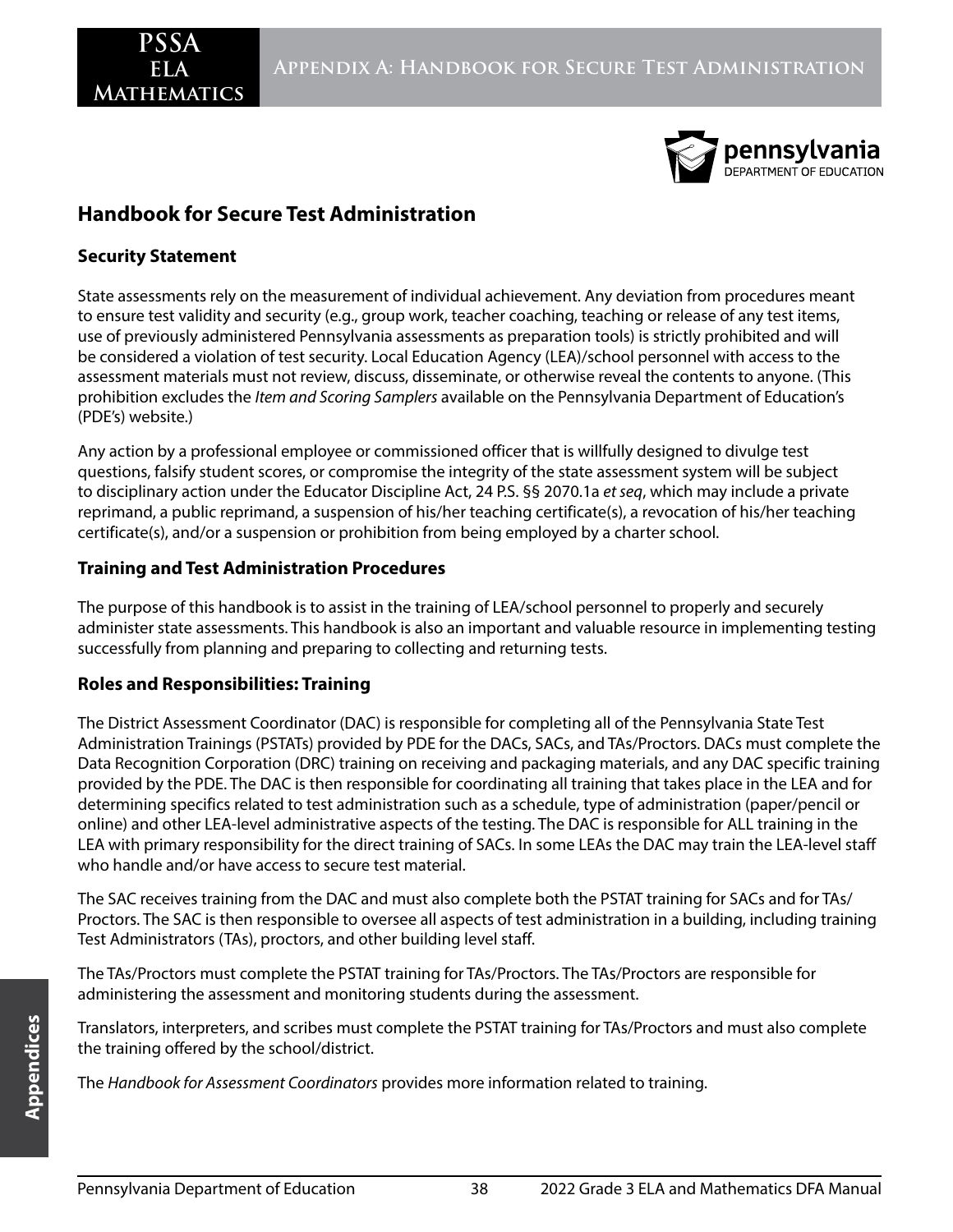

### **Handbook for Secure Test Administration**

#### **Security Statement**

State assessments rely on the measurement of individual achievement. Any deviation from procedures meant to ensure test validity and security (e.g., group work, teacher coaching, teaching or release of any test items, use of previously administered Pennsylvania assessments as preparation tools) is strictly prohibited and will be considered a violation of test security. Local Education Agency (LEA)/school personnel with access to the assessment materials must not review, discuss, disseminate, or otherwise reveal the contents to anyone. (This prohibition excludes the *Item and Scoring Samplers* available on the Pennsylvania Department of Education's (PDE's) website.)

Any action by a professional employee or commissioned officer that is willfully designed to divulge test questions, falsify student scores, or compromise the integrity of the state assessment system will be subject to disciplinary action under the Educator Discipline Act, 24 P.S. §§ 2070.1a *et seq*, which may include a private reprimand, a public reprimand, a suspension of his/her teaching certificate(s), a revocation of his/her teaching certificate(s), and/or a suspension or prohibition from being employed by a charter school.

#### **Training and Test Administration Procedures**

The purpose of this handbook is to assist in the training of LEA/school personnel to properly and securely administer state assessments. This handbook is also an important and valuable resource in implementing testing successfully from planning and preparing to collecting and returning tests.

#### **Roles and Responsibilities: Training**

The District Assessment Coordinator (DAC) is responsible for completing all of the Pennsylvania State Test Administration Trainings (PSTATs) provided by PDE for the DACs, SACs, and TAs/Proctors. DACs must complete the Data Recognition Corporation (DRC) training on receiving and packaging materials, and any DAC specific training provided by the PDE. The DAC is then responsible for coordinating all training that takes place in the LEA and for determining specifics related to test administration such as a schedule, type of administration (paper/pencil or online) and other LEA-level administrative aspects of the testing. The DAC is responsible for ALL training in the LEA with primary responsibility for the direct training of SACs. In some LEAs the DAC may train the LEA-level staff who handle and/or have access to secure test material.

The SAC receives training from the DAC and must also complete both the PSTAT training for SACs and for TAs/ Proctors. The SAC is then responsible to oversee all aspects of test administration in a building, including training Test Administrators (TAs), proctors, and other building level staff.

The TAs/Proctors must complete the PSTAT training for TAs/Proctors. The TAs/Proctors are responsible for administering the assessment and monitoring students during the assessment.

Translators, interpreters, and scribes must complete the PSTAT training for TAs/Proctors and must also complete the training offered by the school/district.

The *Handbook for Assessment Coordinators* provides more information related to training.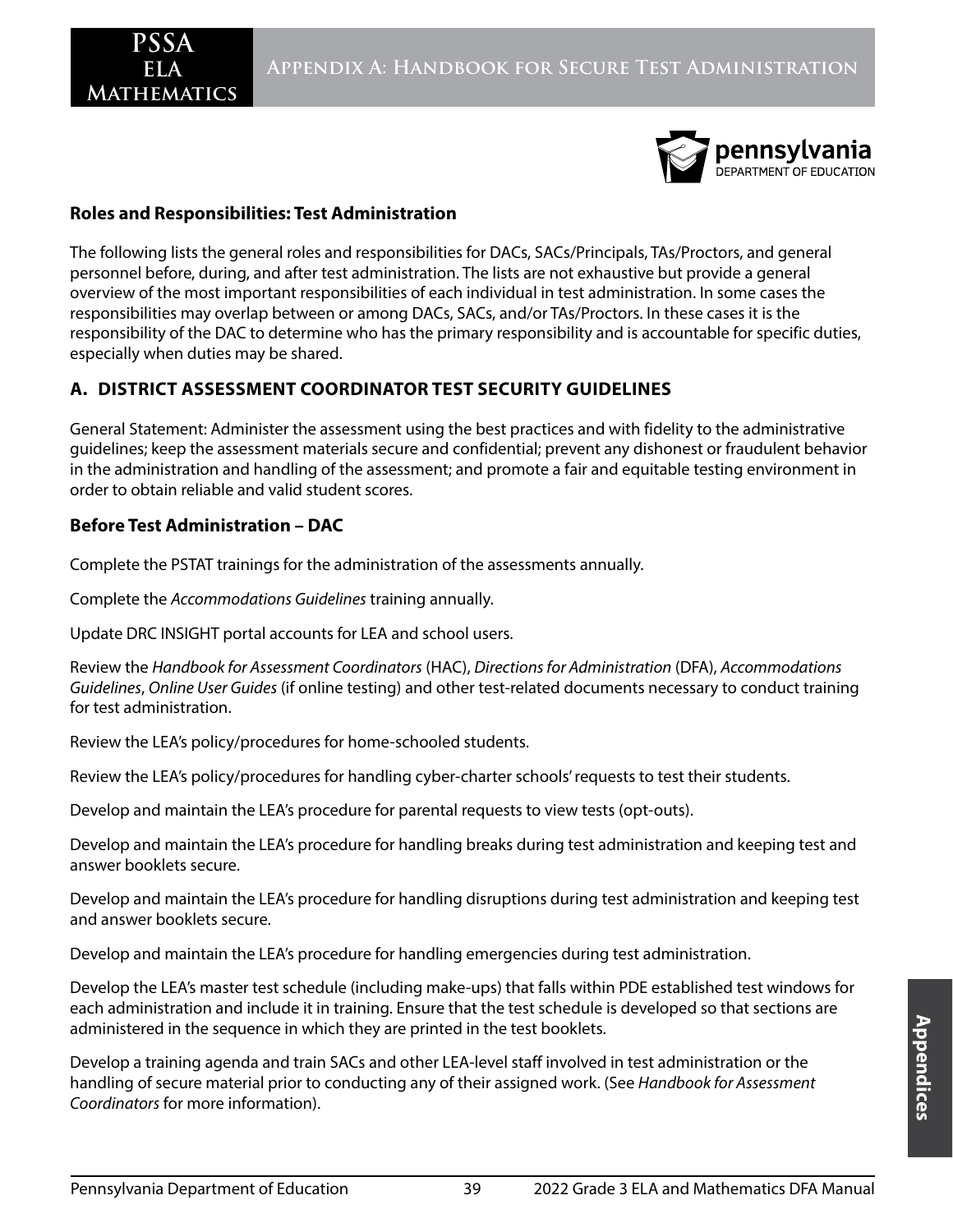

#### **Roles and Responsibilities: Test Administration**

The following lists the general roles and responsibilities for DACs, SACs/Principals, TAs/Proctors, and general personnel before, during, and after test administration. The lists are not exhaustive but provide a general overview of the most important responsibilities of each individual in test administration. In some cases the responsibilities may overlap between or among DACs, SACs, and/or TAs/Proctors. In these cases it is the responsibility of the DAC to determine who has the primary responsibility and is accountable for specific duties, especially when duties may be shared.

#### **A . DISTRICT ASSESSMENT COORDINATOR TEST SECURITY GUIDELINES**

General Statement: Administer the assessment using the best practices and with fidelity to the administrative guidelines; keep the assessment materials secure and confidential; prevent any dishonest or fraudulent behavior in the administration and handling of the assessment; and promote a fair and equitable testing environment in order to obtain reliable and valid student scores.

#### **Before Test Administration – DAC**

Complete the PSTAT trainings for the administration of the assessments annually.

Complete the *Accommodations Guidelines* training annually.

Update DRC INSIGHT portal accounts for LEA and school users.

Review the *Handbook for Assessment Coordinators* (HAC), *Directions for Administration* (DFA), *Accommodations Guidelines*, *Online User Guides* (if online testing) and other test-related documents necessary to conduct training for test administration.

Review the LEA's policy/procedures for home-schooled students.

Review the LEA's policy/procedures for handling cyber-charter schools' requests to test their students.

Develop and maintain the LEA's procedure for parental requests to view tests (opt-outs).

Develop and maintain the LEA's procedure for handling breaks during test administration and keeping test and answer booklets secure.

Develop and maintain the LEA's procedure for handling disruptions during test administration and keeping test and answer booklets secure.

Develop and maintain the LEA's procedure for handling emergencies during test administration.

Develop the LEA's master test schedule (including make-ups) that falls within PDE established test windows for each administration and include it in training. Ensure that the test schedule is developed so that sections are administered in the sequence in which they are printed in the test booklets.

Develop a training agenda and train SACs and other LEA-level staff involved in test administration or the handling of secure material prior to conducting any of their assigned work. (See *Handbook for Assessment Coordinators* for more information).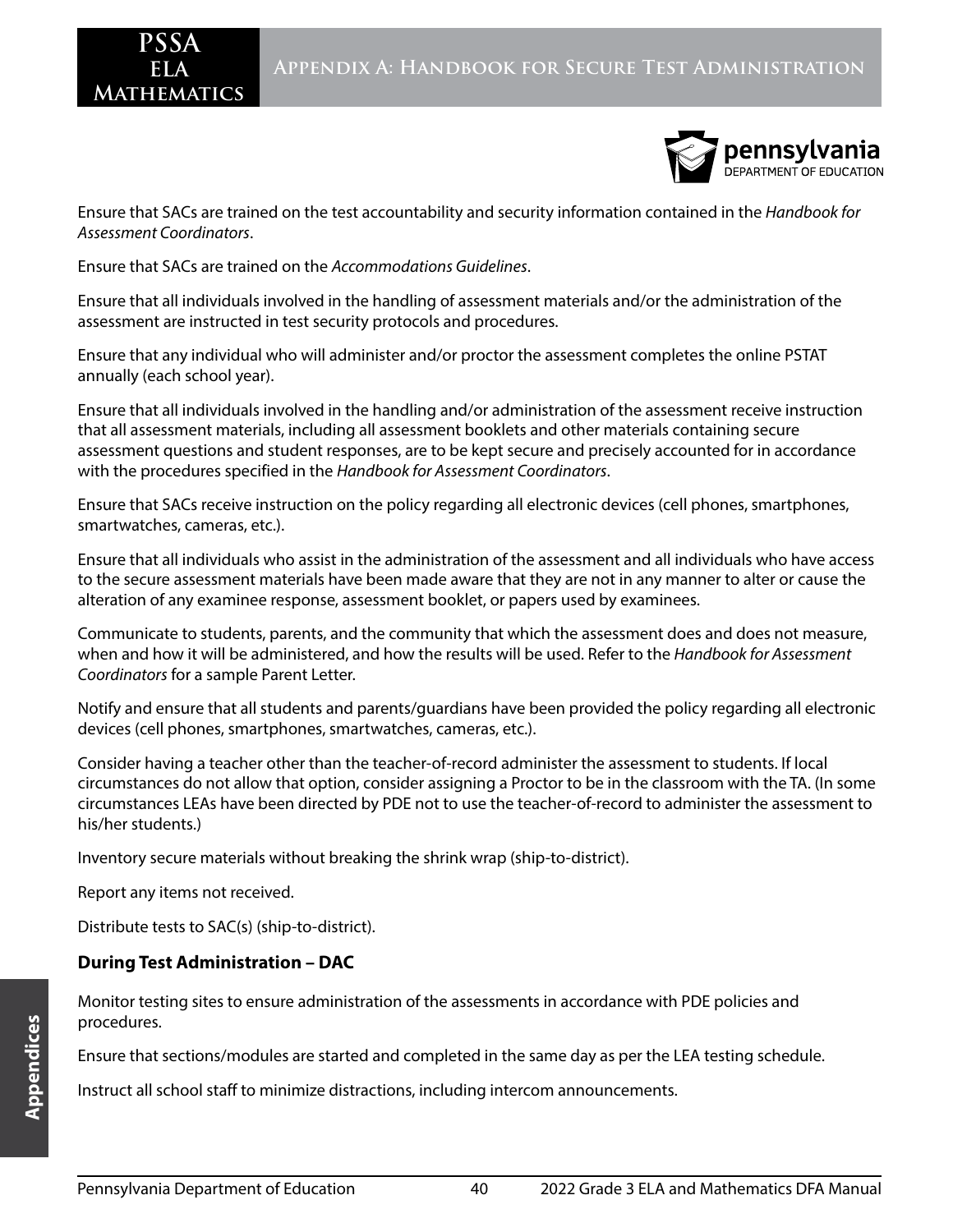



Ensure that SACs are trained on the test accountability and security information contained in the *Handbook for Assessment Coordinators*.

Ensure that SACs are trained on the *Accommodations Guidelines*.

Ensure that all individuals involved in the handling of assessment materials and/or the administration of the assessment are instructed in test security protocols and procedures.

Ensure that any individual who will administer and/or proctor the assessment completes the online PSTAT annually (each school year).

Ensure that all individuals involved in the handling and/or administration of the assessment receive instruction that all assessment materials, including all assessment booklets and other materials containing secure assessment questions and student responses, are to be kept secure and precisely accounted for in accordance with the procedures specified in the *Handbook for Assessment Coordinators*.

Ensure that SACs receive instruction on the policy regarding all electronic devices (cell phones, smartphones, smartwatches, cameras, etc.).

Ensure that all individuals who assist in the administration of the assessment and all individuals who have access to the secure assessment materials have been made aware that they are not in any manner to alter or cause the alteration of any examinee response, assessment booklet, or papers used by examinees.

Communicate to students, parents, and the community that which the assessment does and does not measure, when and how it will be administered, and how the results will be used. Refer to the *Handbook for Assessment Coordinators* for a sample Parent Letter.

Notify and ensure that all students and parents/guardians have been provided the policy regarding all electronic devices (cell phones, smartphones, smartwatches, cameras, etc.).

Consider having a teacher other than the teacher-of-record administer the assessment to students. If local circumstances do not allow that option, consider assigning a Proctor to be in the classroom with the TA. (In some circumstances LEAs have been directed by PDE not to use the teacher-of-record to administer the assessment to his/her students.)

Inventory secure materials without breaking the shrink wrap (ship-to-district).

Report any items not received.

Distribute tests to SAC(s) (ship-to-district).

#### **During Test Administration – DAC**

Monitor testing sites to ensure administration of the assessments in accordance with PDE policies and procedures.

Ensure that sections/modules are started and completed in the same day as per the LEA testing schedule.

Instruct all school staff to minimize distractions, including intercom announcements.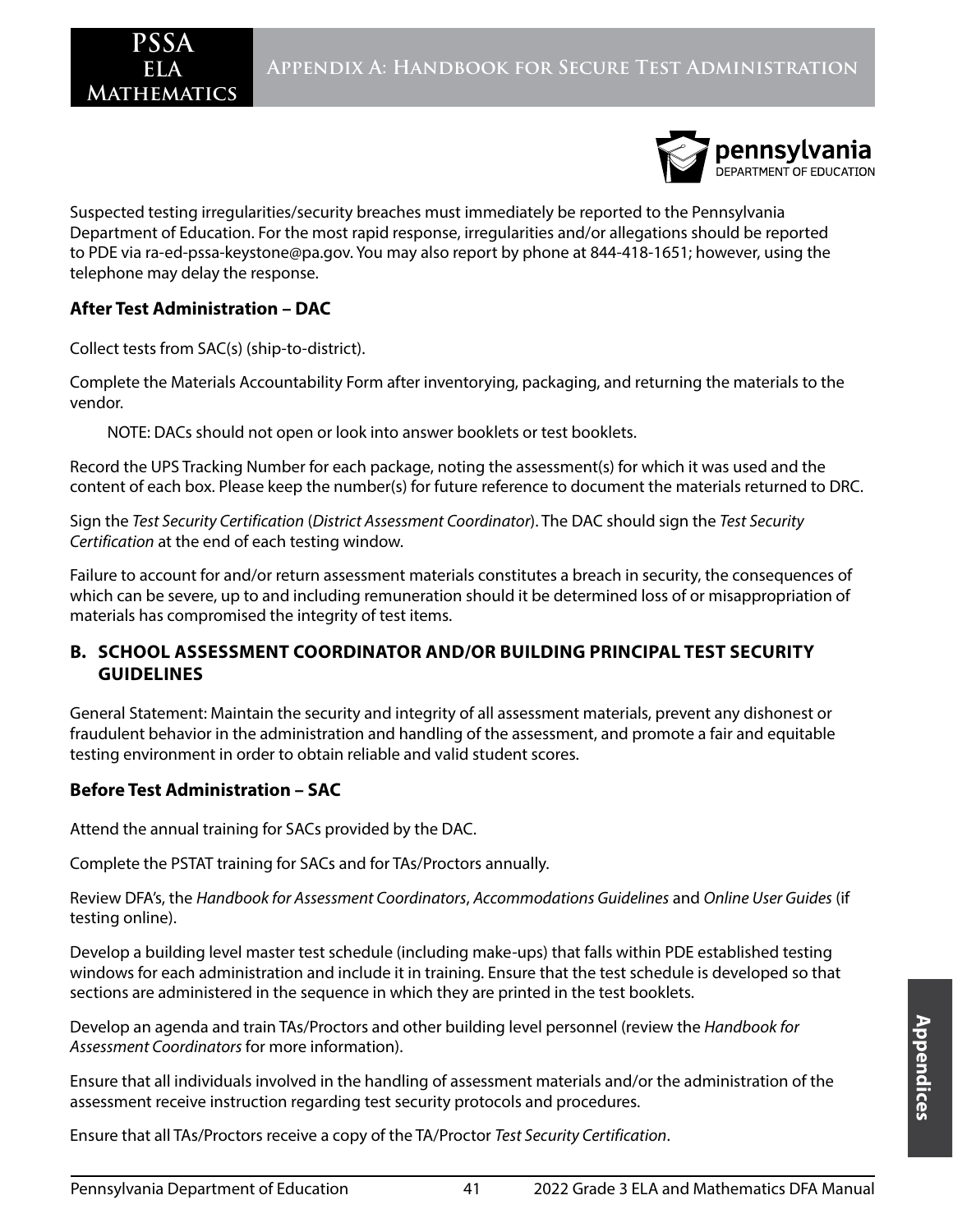



Suspected testing irregularities/security breaches must immediately be reported to the Pennsylvania Department of Education. For the most rapid response, irregularities and/or allegations should be reported to PDE via [ra-ed-pssa-keystone@pa.gov.](mailto:ra-ed-pssa-keystone%40pa.gov?subject=) You may also report by phone at 844-418-1651; however, using the telephone may delay the response.

#### **After Test Administration – DAC**

Collect tests from SAC(s) (ship-to-district).

Complete the Materials Accountability Form after inventorying, packaging, and returning the materials to the vendor.

NOTE: DACs should not open or look into answer booklets or test booklets.

Record the UPS Tracking Number for each package, noting the assessment(s) for which it was used and the content of each box. Please keep the number(s) for future reference to document the materials returned to DRC.

Sign the *Test Security Certification* (*District Assessment Coordinator*). The DAC should sign the *Test Security Certification* at the end of each testing window.

Failure to account for and/or return assessment materials constitutes a breach in security, the consequences of which can be severe, up to and including remuneration should it be determined loss of or misappropriation of materials has compromised the integrity of test items.

#### **B . SCHOOL ASSESSMENT COORDINATOR AND/OR BUILDING PRINCIPAL TEST SECURITY GUIDELINES**

General Statement: Maintain the security and integrity of all assessment materials, prevent any dishonest or fraudulent behavior in the administration and handling of the assessment, and promote a fair and equitable testing environment in order to obtain reliable and valid student scores.

#### **Before Test Administration – SAC**

Attend the annual training for SACs provided by the DAC.

Complete the PSTAT training for SACs and for TAs/Proctors annually.

Review DFA's, the *Handbook for Assessment Coordinators*, *Accommodations Guidelines* and *Online User Guides* (if testing online).

Develop a building level master test schedule (including make-ups) that falls within PDE established testing windows for each administration and include it in training. Ensure that the test schedule is developed so that sections are administered in the sequence in which they are printed in the test booklets.

Develop an agenda and train TAs/Proctors and other building level personnel (review the *Handbook for Assessment Coordinators* for more information).

Ensure that all individuals involved in the handling of assessment materials and/or the administration of the assessment receive instruction regarding test security protocols and procedures.

Ensure that all TAs/Proctors receive a copy of the TA/Proctor *Test Security Certification*.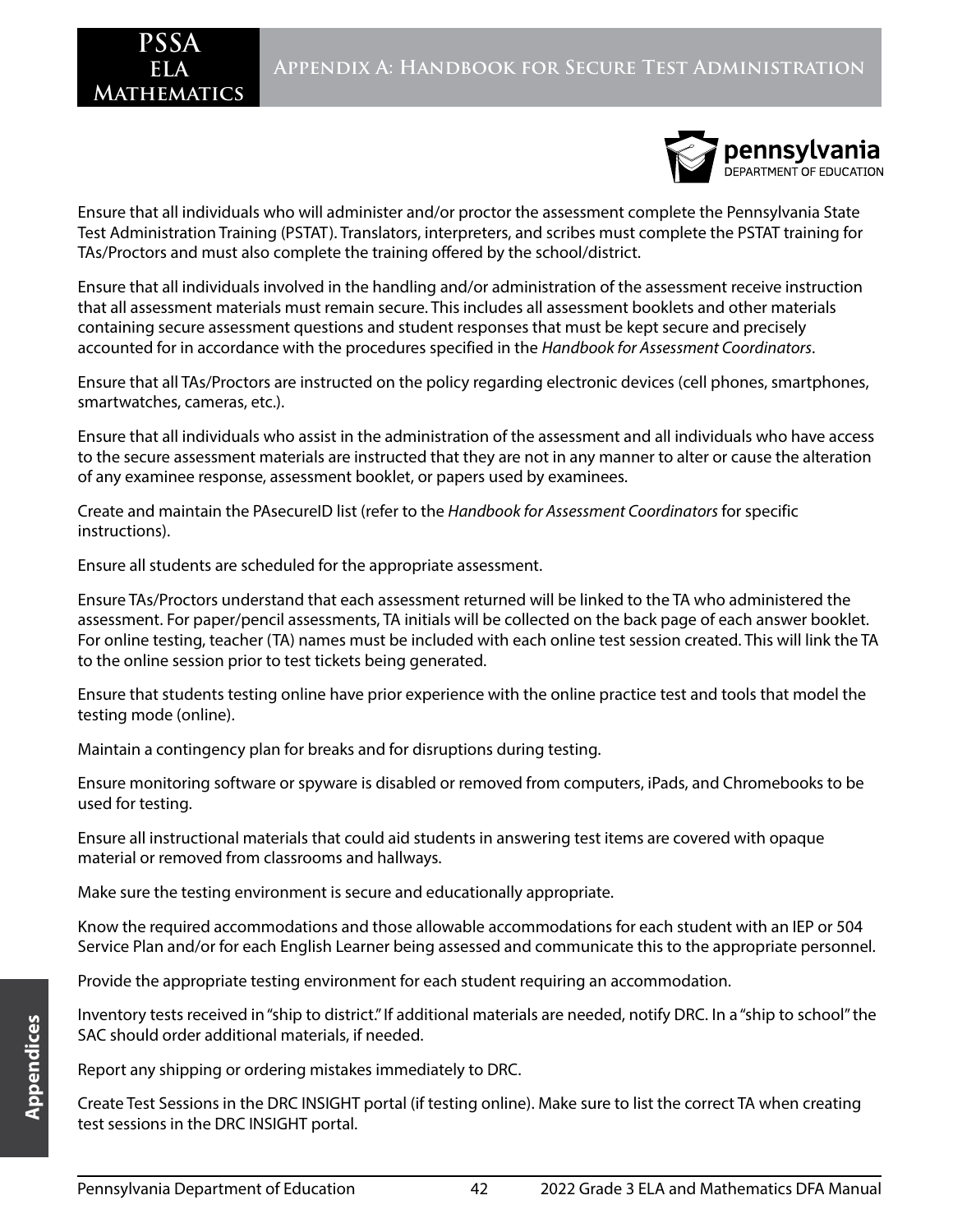



Ensure that all individuals who will administer and/or proctor the assessment complete the Pennsylvania State Test Administration Training (PSTAT). Translators, interpreters, and scribes must complete the PSTAT training for TAs/Proctors and must also complete the training offered by the school/district.

Ensure that all individuals involved in the handling and/or administration of the assessment receive instruction that all assessment materials must remain secure. This includes all assessment booklets and other materials containing secure assessment questions and student responses that must be kept secure and precisely accounted for in accordance with the procedures specified in the *Handbook for Assessment Coordinators*.

Ensure that all TAs/Proctors are instructed on the policy regarding electronic devices (cell phones, smartphones, smartwatches, cameras, etc.).

Ensure that all individuals who assist in the administration of the assessment and all individuals who have access to the secure assessment materials are instructed that they are not in any manner to alter or cause the alteration of any examinee response, assessment booklet, or papers used by examinees.

Create and maintain the PAsecureID list (refer to the *Handbook for Assessment Coordinators* for specific instructions).

Ensure all students are scheduled for the appropriate assessment.

Ensure TAs/Proctors understand that each assessment returned will be linked to the TA who administered the assessment. For paper/pencil assessments, TA initials will be collected on the back page of each answer booklet. For online testing, teacher (TA) names must be included with each online test session created. This will link the TA to the online session prior to test tickets being generated.

Ensure that students testing online have prior experience with the online practice test and tools that model the testing mode (online).

Maintain a contingency plan for breaks and for disruptions during testing.

Ensure monitoring software or spyware is disabled or removed from computers, iPads, and Chromebooks to be used for testing.

Ensure all instructional materials that could aid students in answering test items are covered with opaque material or removed from classrooms and hallways.

Make sure the testing environment is secure and educationally appropriate.

Know the required accommodations and those allowable accommodations for each student with an IEP or 504 Service Plan and/or for each English Learner being assessed and communicate this to the appropriate personnel.

Provide the appropriate testing environment for each student requiring an accommodation.

Inventory tests received in "ship to district." If additional materials are needed, notify DRC. In a "ship to school" the SAC should order additional materials, if needed.

Report any shipping or ordering mistakes immediately to DRC.

Create Test Sessions in the DRC INSIGHT portal (if testing online). Make sure to list the correct TA when creating test sessions in the DRC INSIGHT portal.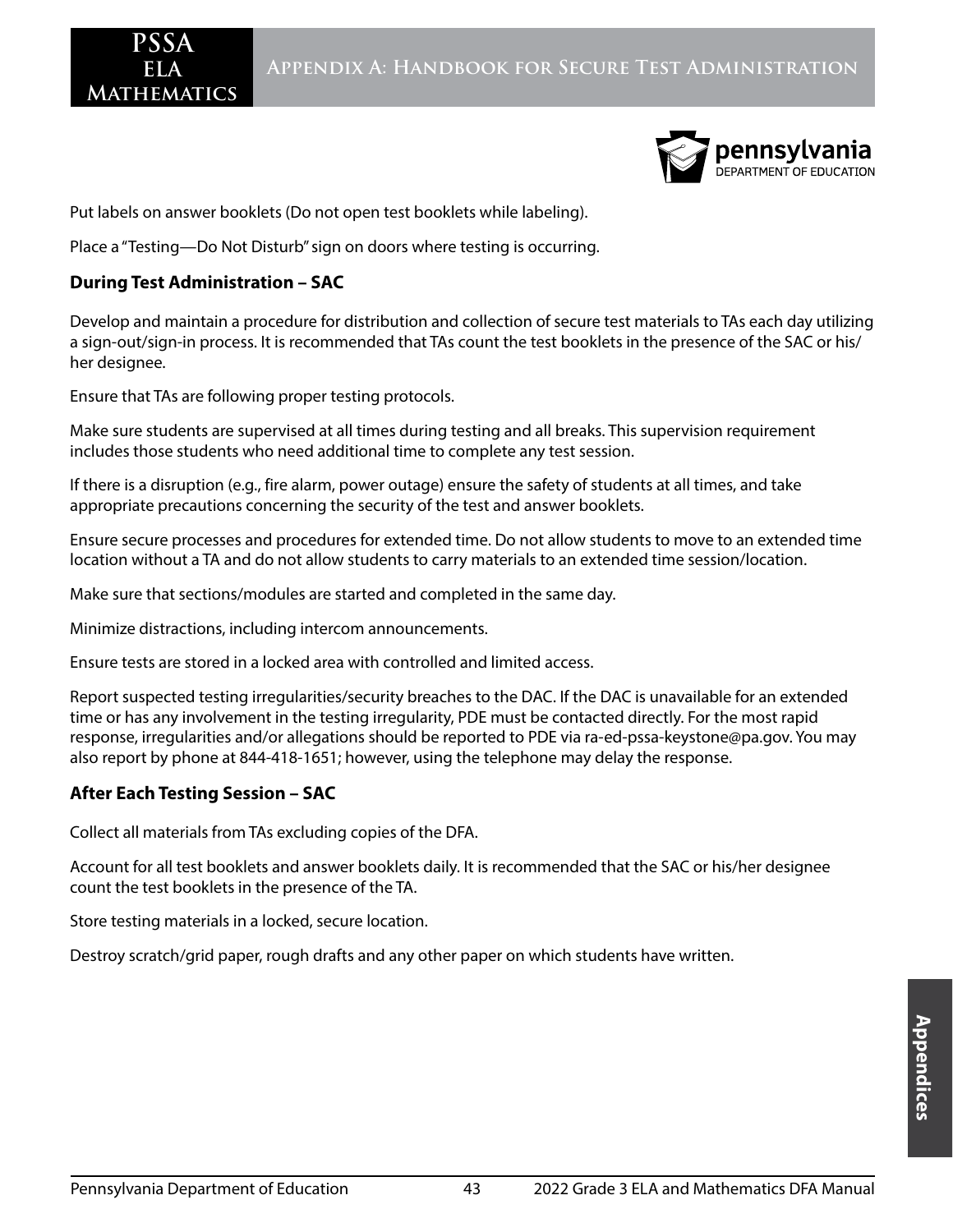

Put labels on answer booklets (Do not open test booklets while labeling).

Place a "Testing—Do Not Disturb" sign on doors where testing is occurring.

#### **During Test Administration – SAC**

Develop and maintain a procedure for distribution and collection of secure test materials to TAs each day utilizing a sign-out/sign-in process. It is recommended that TAs count the test booklets in the presence of the SAC or his/ her designee.

Ensure that TAs are following proper testing protocols.

Make sure students are supervised at all times during testing and all breaks. This supervision requirement includes those students who need additional time to complete any test session.

If there is a disruption (e.g., fire alarm, power outage) ensure the safety of students at all times, and take appropriate precautions concerning the security of the test and answer booklets.

Ensure secure processes and procedures for extended time. Do not allow students to move to an extended time location without a TA and do not allow students to carry materials to an extended time session/location.

Make sure that sections/modules are started and completed in the same day.

Minimize distractions, including intercom announcements.

Ensure tests are stored in a locked area with controlled and limited access.

Report suspected testing irregularities/security breaches to the DAC. If the DAC is unavailable for an extended time or has any involvement in the testing irregularity, PDE must be contacted directly. For the most rapid response, irregularities and/or allegations should be reported to PDE via [ra-ed-pssa-keystone@pa.gov](mailto:ra-ed-pssa-keystone%40pa.gov?subject=). You may also report by phone at 844-418-1651; however, using the telephone may delay the response.

#### **After Each Testing Session – SAC**

Collect all materials from TAs excluding copies of the DFA.

Account for all test booklets and answer booklets daily. It is recommended that the SAC or his/her designee count the test booklets in the presence of the TA.

Store testing materials in a locked, secure location.

Destroy scratch/grid paper, rough drafts and any other paper on which students have written.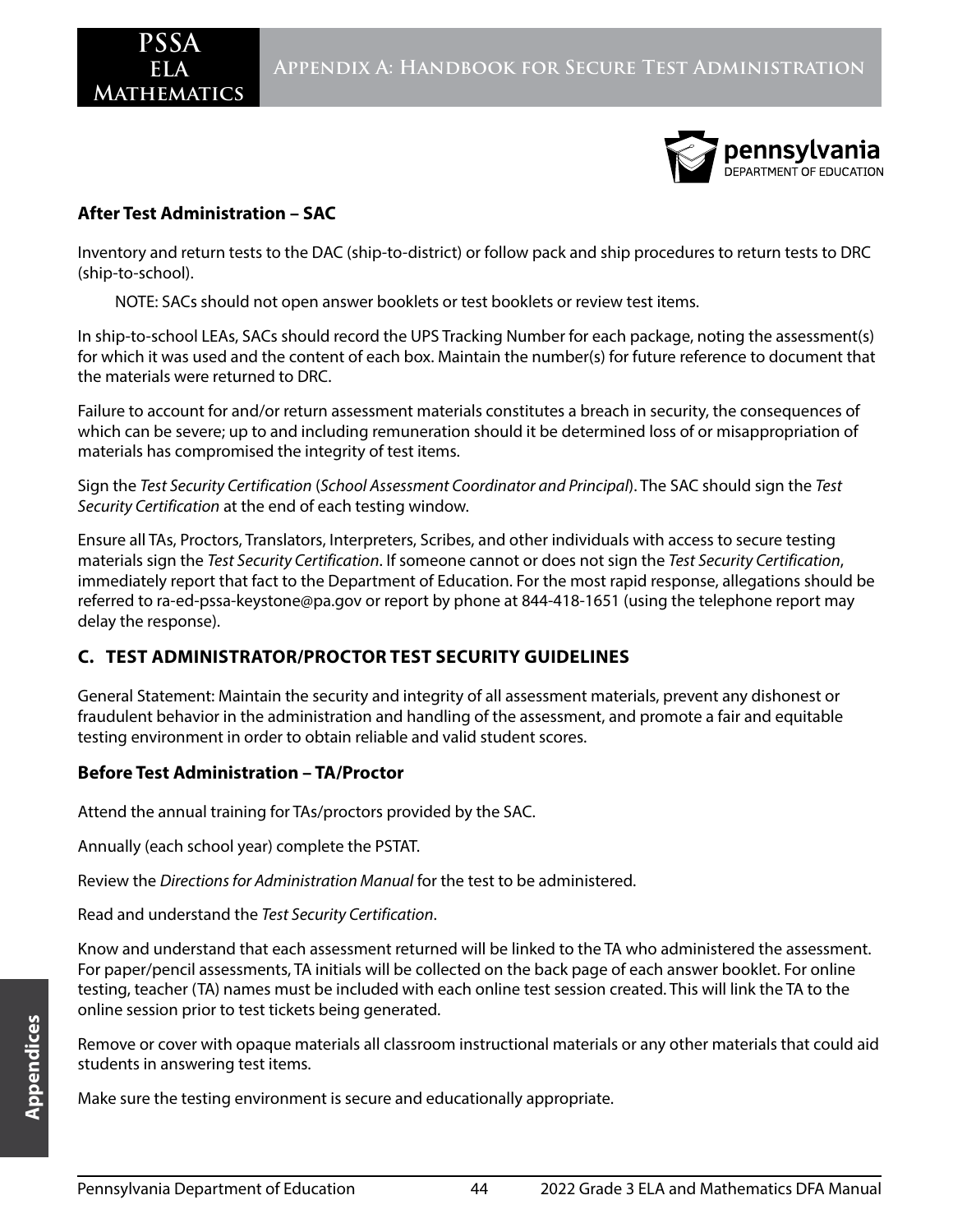

#### **After Test Administration – SAC**

Inventory and return tests to the DAC (ship-to-district) or follow pack and ship procedures to return tests to DRC (ship-to-school).

NOTE: SACs should not open answer booklets or test booklets or review test items.

In ship-to-school LEAs, SACs should record the UPS Tracking Number for each package, noting the assessment(s) for which it was used and the content of each box. Maintain the number(s) for future reference to document that the materials were returned to DRC.

Failure to account for and/or return assessment materials constitutes a breach in security, the consequences of which can be severe; up to and including remuneration should it be determined loss of or misappropriation of materials has compromised the integrity of test items.

Sign the *Test Security Certification* (*School Assessment Coordinator and Principal*). The SAC should sign the *Test Security Certification* at the end of each testing window.

Ensure all TAs, Proctors, Translators, Interpreters, Scribes, and other individuals with access to secure testing materials sign the *Test Security Certification*. If someone cannot or does not sign the *Test Security Certification*, immediately report that fact to the Department of Education. For the most rapid response, allegations should be referred to [ra-ed-pssa-keystone@pa.gov](mailto:ra-ed-pssa-keystone%40pa.gov?subject=) or report by phone at 844-418-1651 (using the telephone report may delay the response).

#### **C . TEST ADMINISTRATOR/PROCTOR TEST SECURITY GUIDELINES**

General Statement: Maintain the security and integrity of all assessment materials, prevent any dishonest or fraudulent behavior in the administration and handling of the assessment, and promote a fair and equitable testing environment in order to obtain reliable and valid student scores.

#### **Before Test Administration – TA/Proctor**

Attend the annual training for TAs/proctors provided by the SAC.

Annually (each school year) complete the PSTAT.

Review the *Directions for Administration Manual* for the test to be administered.

Read and understand the *Test Security Certification*.

Know and understand that each assessment returned will be linked to the TA who administered the assessment. For paper/pencil assessments, TA initials will be collected on the back page of each answer booklet. For online testing, teacher (TA) names must be included with each online test session created. This will link the TA to the online session prior to test tickets being generated.

Remove or cover with opaque materials all classroom instructional materials or any other materials that could aid students in answering test items.

Make sure the testing environment is secure and educationally appropriate.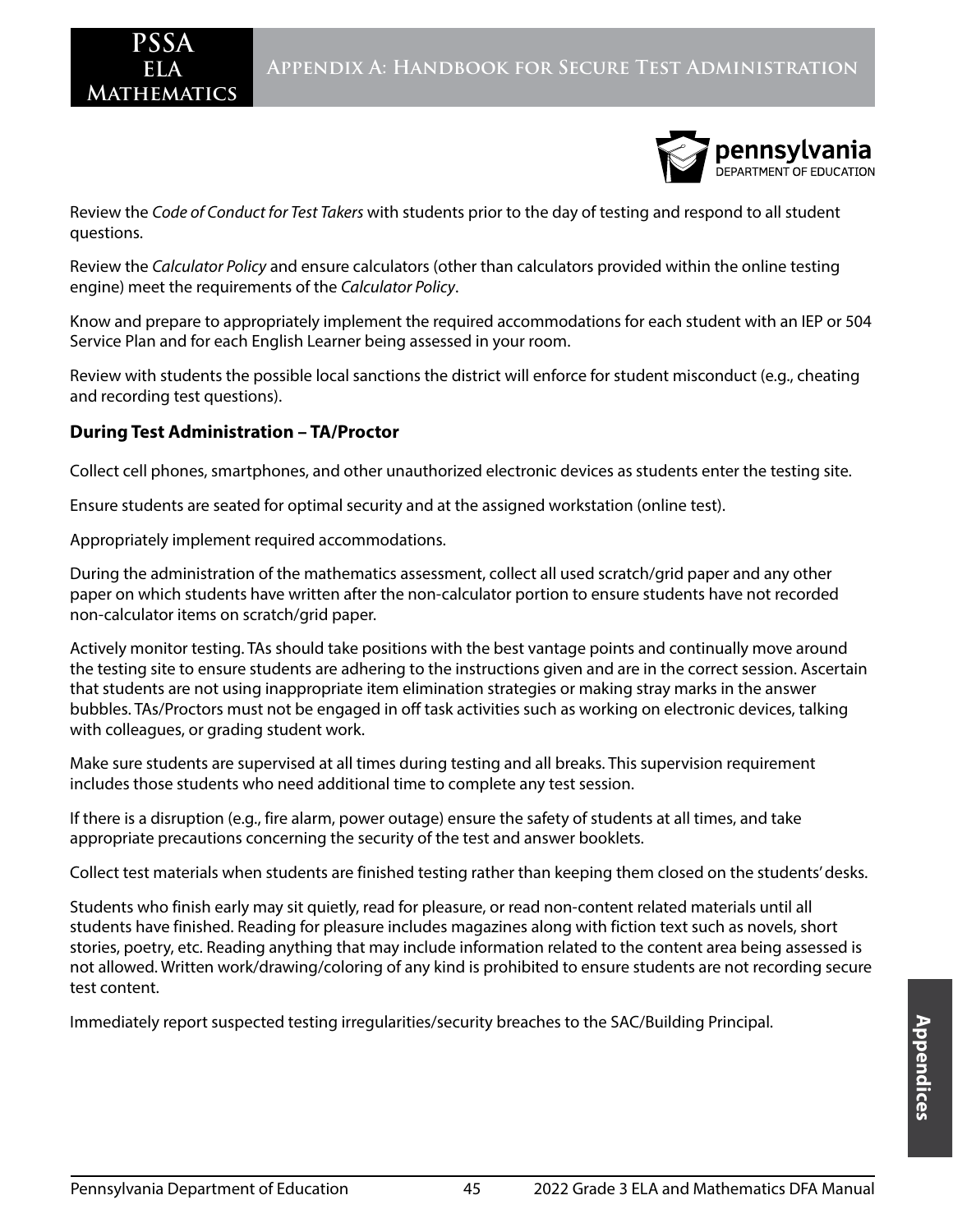

Review the *Code of Conduct for Test Takers* with students prior to the day of testing and respond to all student questions.

Review the *Calculator Policy* and ensure calculators (other than calculators provided within the online testing engine) meet the requirements of the *Calculator Policy*.

Know and prepare to appropriately implement the required accommodations for each student with an IEP or 504 Service Plan and for each English Learner being assessed in your room.

Review with students the possible local sanctions the district will enforce for student misconduct (e.g., cheating and recording test questions).

#### **During Test Administration – TA/Proctor**

Collect cell phones, smartphones, and other unauthorized electronic devices as students enter the testing site.

Ensure students are seated for optimal security and at the assigned workstation (online test).

Appropriately implement required accommodations.

During the administration of the mathematics assessment, collect all used scratch/grid paper and any other paper on which students have written after the non-calculator portion to ensure students have not recorded non-calculator items on scratch/grid paper.

Actively monitor testing. TAs should take positions with the best vantage points and continually move around the testing site to ensure students are adhering to the instructions given and are in the correct session. Ascertain that students are not using inappropriate item elimination strategies or making stray marks in the answer bubbles. TAs/Proctors must not be engaged in off task activities such as working on electronic devices, talking with colleagues, or grading student work.

Make sure students are supervised at all times during testing and all breaks. This supervision requirement includes those students who need additional time to complete any test session.

If there is a disruption (e.g., fire alarm, power outage) ensure the safety of students at all times, and take appropriate precautions concerning the security of the test and answer booklets.

Collect test materials when students are finished testing rather than keeping them closed on the students' desks.

Students who finish early may sit quietly, read for pleasure, or read non-content related materials until all students have finished. Reading for pleasure includes magazines along with fiction text such as novels, short stories, poetry, etc. Reading anything that may include information related to the content area being assessed is not allowed. Written work/drawing/coloring of any kind is prohibited to ensure students are not recording secure test content.

Immediately report suspected testing irregularities/security breaches to the SAC/Building Principal.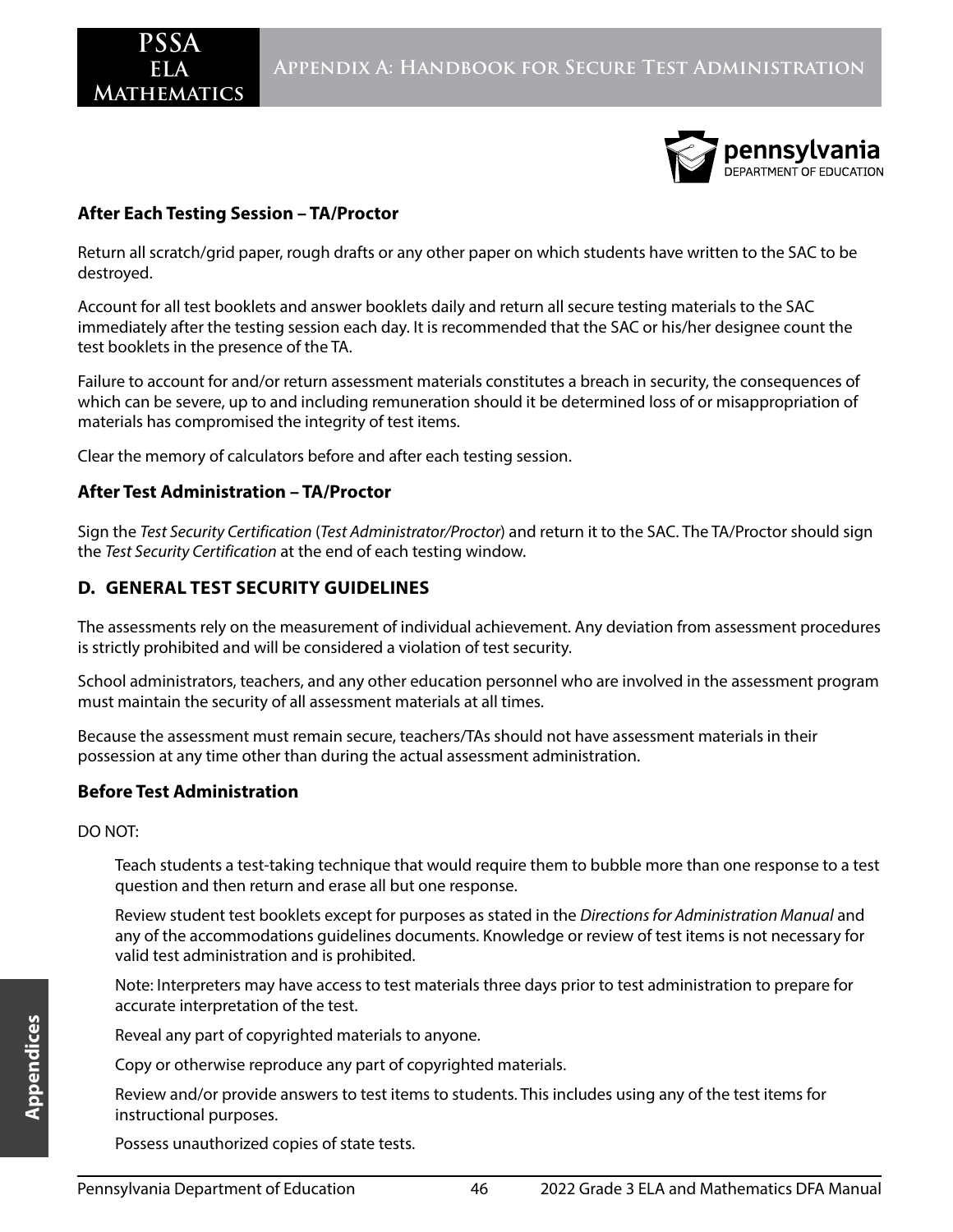

#### **After Each Testing Session – TA/Proctor**

Return all scratch/grid paper, rough drafts or any other paper on which students have written to the SAC to be destroyed.

Account for all test booklets and answer booklets daily and return all secure testing materials to the SAC immediately after the testing session each day. It is recommended that the SAC or his/her designee count the test booklets in the presence of the TA.

Failure to account for and/or return assessment materials constitutes a breach in security, the consequences of which can be severe, up to and including remuneration should it be determined loss of or misappropriation of materials has compromised the integrity of test items.

Clear the memory of calculators before and after each testing session.

#### **After Test Administration – TA/Proctor**

Sign the *Test Security Certification* (*Test Administrator/Proctor*) and return it to the SAC. The TA/Proctor should sign the *Test Security Certification* at the end of each testing window.

#### **D. GENERAL TEST SECURITY GUIDELINES**

The assessments rely on the measurement of individual achievement. Any deviation from assessment procedures is strictly prohibited and will be considered a violation of test security.

School administrators, teachers, and any other education personnel who are involved in the assessment program must maintain the security of all assessment materials at all times.

Because the assessment must remain secure, teachers/TAs should not have assessment materials in their possession at any time other than during the actual assessment administration.

#### **Before Test Administration**

DO NOT:

Teach students a test-taking technique that would require them to bubble more than one response to a test question and then return and erase all but one response.

Review student test booklets except for purposes as stated in the *Directions for Administration Manual* and any of the accommodations guidelines documents. Knowledge or review of test items is not necessary for valid test administration and is prohibited.

Note: Interpreters may have access to test materials three days prior to test administration to prepare for accurate interpretation of the test.

Reveal any part of copyrighted materials to anyone.

Copy or otherwise reproduce any part of copyrighted materials.

Review and/or provide answers to test items to students. This includes using any of the test items for instructional purposes.

Possess unauthorized copies of state tests.

**Appendices**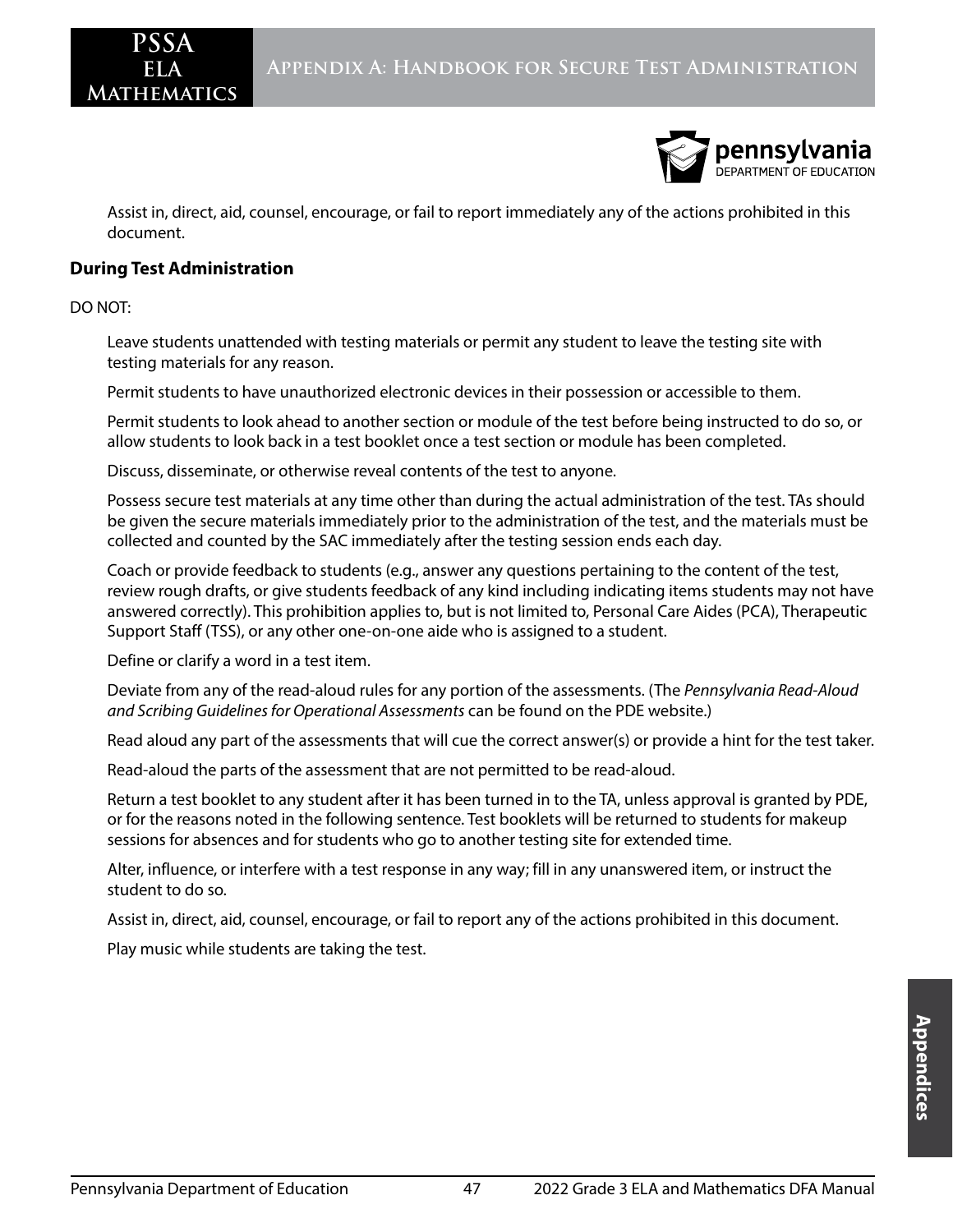



Assist in, direct, aid, counsel, encourage, or fail to report immediately any of the actions prohibited in this document.

#### **During Test Administration**

DO NOT:

Leave students unattended with testing materials or permit any student to leave the testing site with testing materials for any reason.

Permit students to have unauthorized electronic devices in their possession or accessible to them.

Permit students to look ahead to another section or module of the test before being instructed to do so, or allow students to look back in a test booklet once a test section or module has been completed.

Discuss, disseminate, or otherwise reveal contents of the test to anyone.

Possess secure test materials at any time other than during the actual administration of the test. TAs should be given the secure materials immediately prior to the administration of the test, and the materials must be collected and counted by the SAC immediately after the testing session ends each day.

Coach or provide feedback to students (e.g., answer any questions pertaining to the content of the test, review rough drafts, or give students feedback of any kind including indicating items students may not have answered correctly). This prohibition applies to, but is not limited to, Personal Care Aides (PCA), Therapeutic Support Staff (TSS), or any other one-on-one aide who is assigned to a student.

Define or clarify a word in a test item.

Deviate from any of the read-aloud rules for any portion of the assessments. (The *Pennsylvania Read-Aloud and Scribing Guidelines for Operational Assessments* can be found on the PDE website.)

Read aloud any part of the assessments that will cue the correct answer(s) or provide a hint for the test taker.

Read-aloud the parts of the assessment that are not permitted to be read-aloud.

Return a test booklet to any student after it has been turned in to the TA, unless approval is granted by PDE, or for the reasons noted in the following sentence. Test booklets will be returned to students for makeup sessions for absences and for students who go to another testing site for extended time.

Alter, influence, or interfere with a test response in any way; fill in any unanswered item, or instruct the student to do so.

Assist in, direct, aid, counsel, encourage, or fail to report any of the actions prohibited in this document.

Play music while students are taking the test.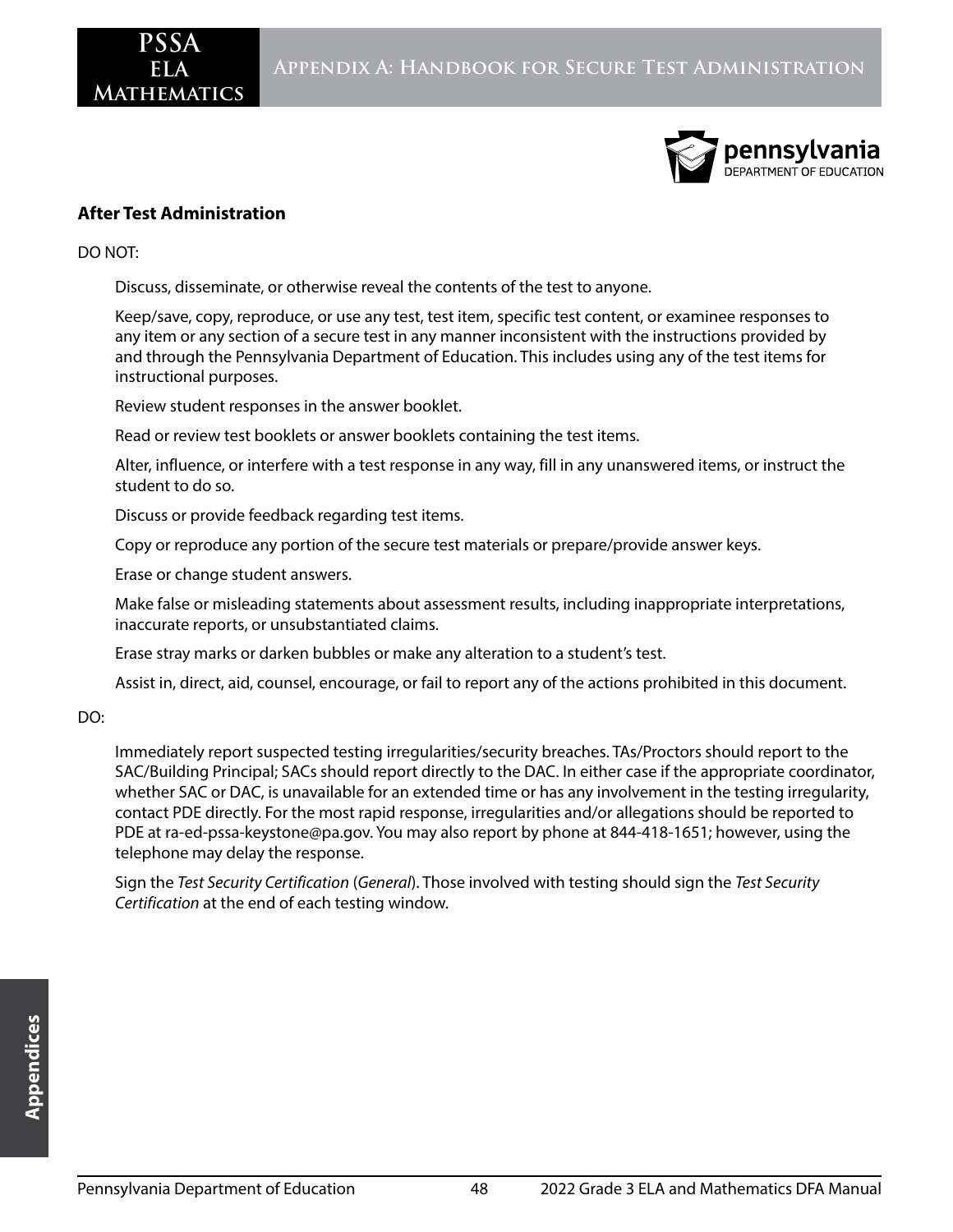



#### **After Test Administration**

DO NOT:

Discuss, disseminate, or otherwise reveal the contents of the test to anyone.

Keep/save, copy, reproduce, or use any test, test item, specific test content, or examinee responses to any item or any section of a secure test in any manner inconsistent with the instructions provided by and through the Pennsylvania Department of Education. This includes using any of the test items for instructional purposes.

Review student responses in the answer booklet.

Read or review test booklets or answer booklets containing the test items.

Alter, influence, or interfere with a test response in any way, fill in any unanswered items, or instruct the student to do so.

Discuss or provide feedback regarding test items.

Copy or reproduce any portion of the secure test materials or prepare/provide answer keys.

Erase or change student answers.

Make false or misleading statements about assessment results, including inappropriate interpretations, inaccurate reports, or unsubstantiated claims.

Erase stray marks or darken bubbles or make any alteration to a student's test.

Assist in, direct, aid, counsel, encourage, or fail to report any of the actions prohibited in this document.

DO:

Immediately report suspected testing irregularities/security breaches. TAs/Proctors should report to the SAC/Building Principal; SACs should report directly to the DAC. In either case if the appropriate coordinator, whether SAC or DAC, is unavailable for an extended time or has any involvement in the testing irregularity, contact PDE directly. For the most rapid response, irregularities and/or allegations should be reported to PDE at [ra-ed-pssa-keystone@pa.gov.](mailto:ra-ed-pssa-keystone%40pa.gov?subject=) You may also report by phone at 844-418-1651; however, using the telephone may delay the response.

Sign the *Test Security Certification* (*General*). Those involved with testing should sign the *Test Security Certification* at the end of each testing window.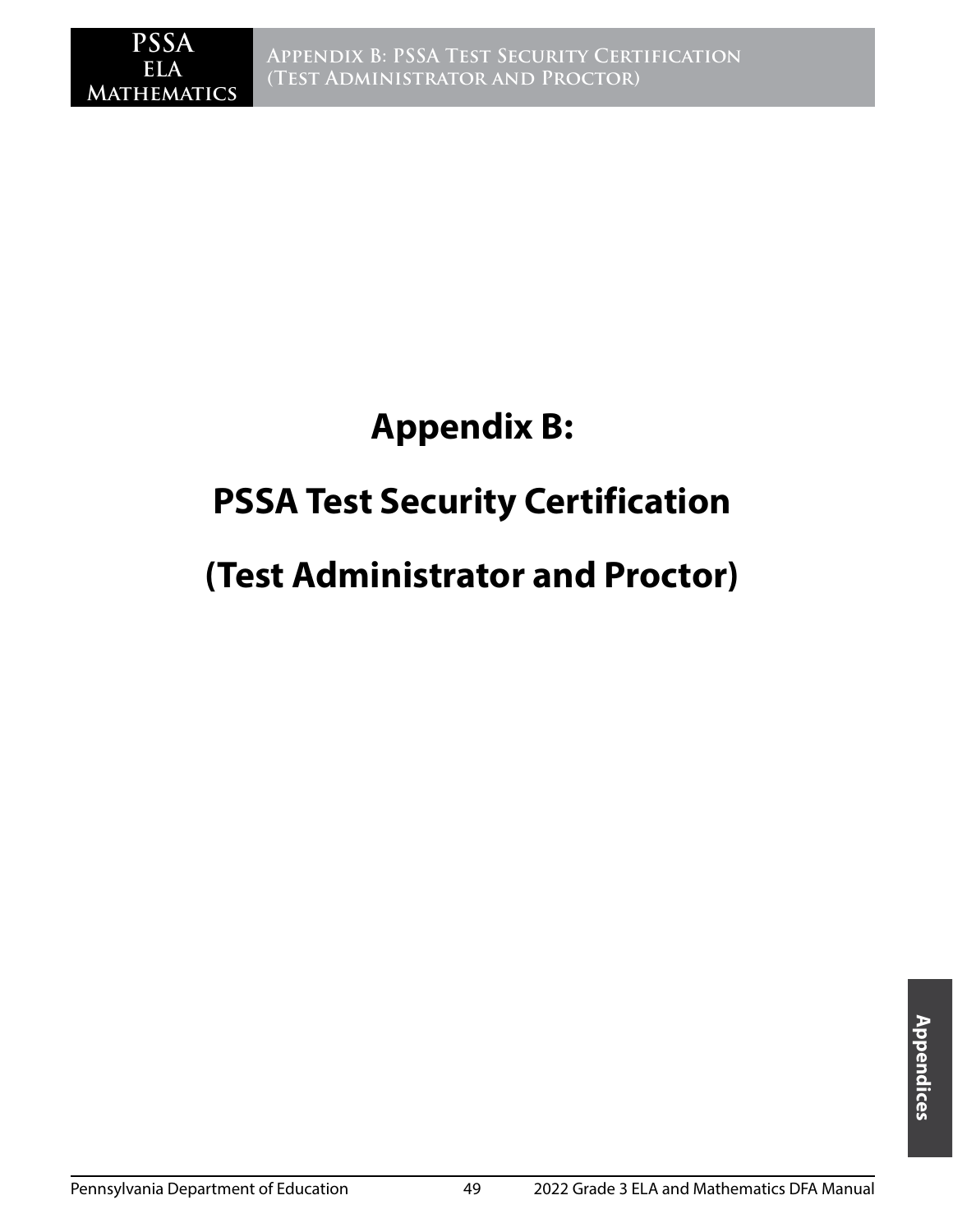<span id="page-52-0"></span>

# **Appendix B:**

# **PSSA Test Security Certification**

## **(Test Administrator and Proctor)**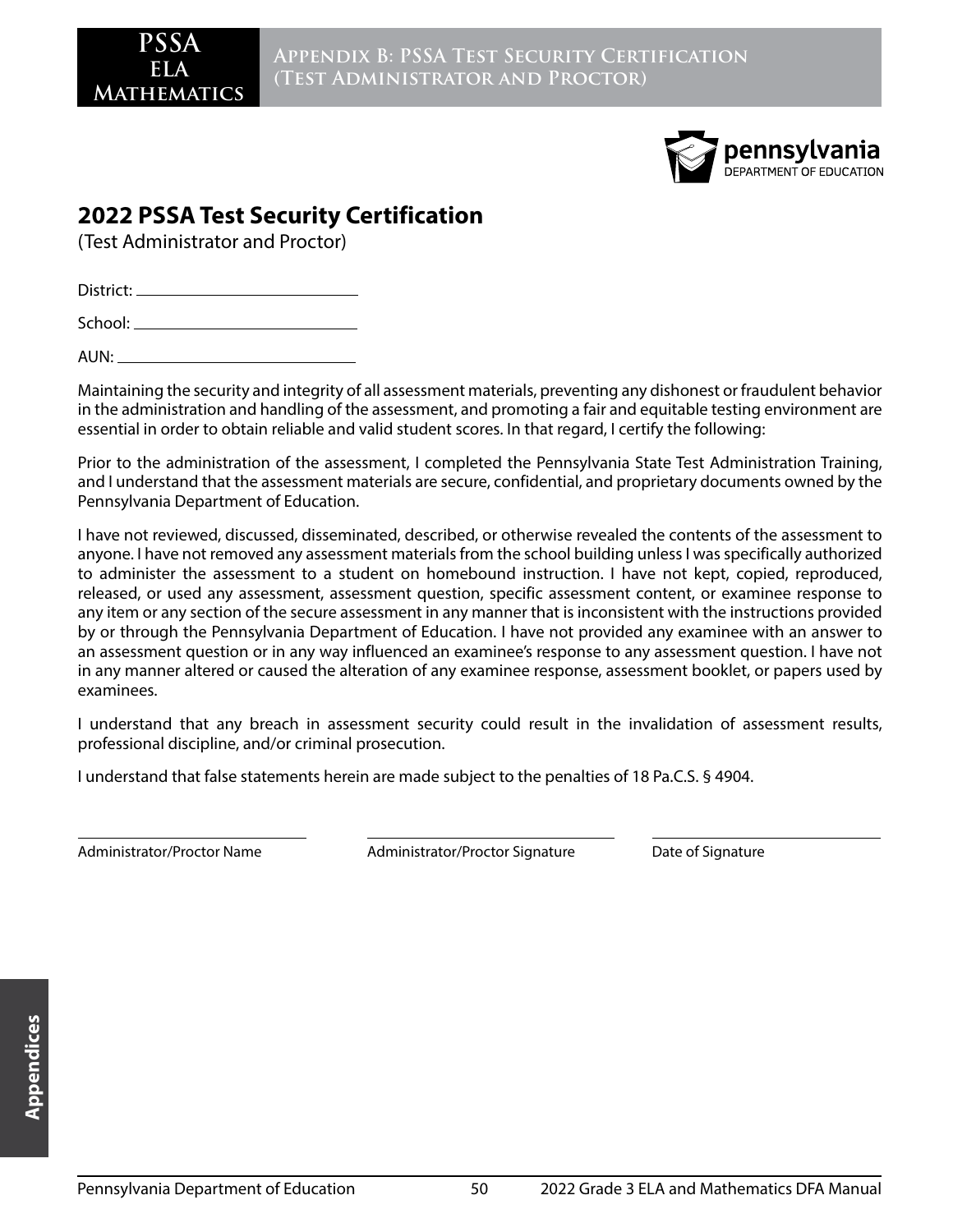



## **2022 PSSA Test Security Certification**

(Test Administrator and Proctor)

District:

School:

AUN:

Maintaining the security and integrity of all assessment materials, preventing any dishonest or fraudulent behavior in the administration and handling of the assessment, and promoting a fair and equitable testing environment are essential in order to obtain reliable and valid student scores. In that regard, I certify the following:

Prior to the administration of the assessment, I completed the Pennsylvania State Test Administration Training, and I understand that the assessment materials are secure, confidential, and proprietary documents owned by the Pennsylvania Department of Education.

I have not reviewed, discussed, disseminated, described, or otherwise revealed the contents of the assessment to anyone. I have not removed any assessment materials from the school building unless I was specifically authorized to administer the assessment to a student on homebound instruction. I have not kept, copied, reproduced, released, or used any assessment, assessment question, specific assessment content, or examinee response to any item or any section of the secure assessment in any manner that is inconsistent with the instructions provided by or through the Pennsylvania Department of Education. I have not provided any examinee with an answer to an assessment question or in any way influenced an examinee's response to any assessment question. I have not in any manner altered or caused the alteration of any examinee response, assessment booklet, or papers used by examinees.

I understand that any breach in assessment security could result in the invalidation of assessment results, professional discipline, and/or criminal prosecution.

I understand that false statements herein are made subject to the penalties of 18 Pa.C.S. § 4904.

Administrator/Proctor Name **Administrator/Proctor Signature** Date of Signature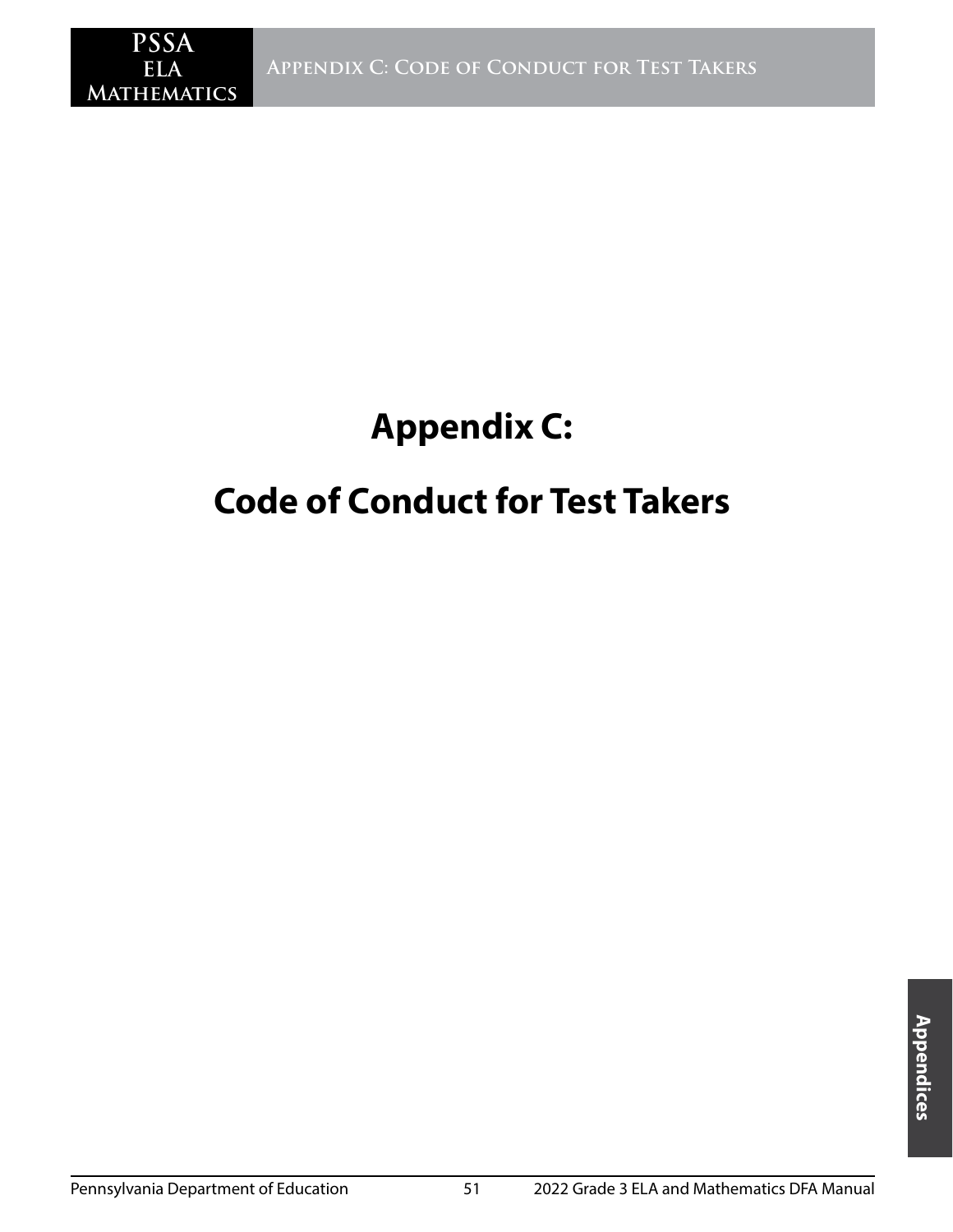<span id="page-54-0"></span>

# **Appendix C:**

# **Code of Conduct for Test Takers**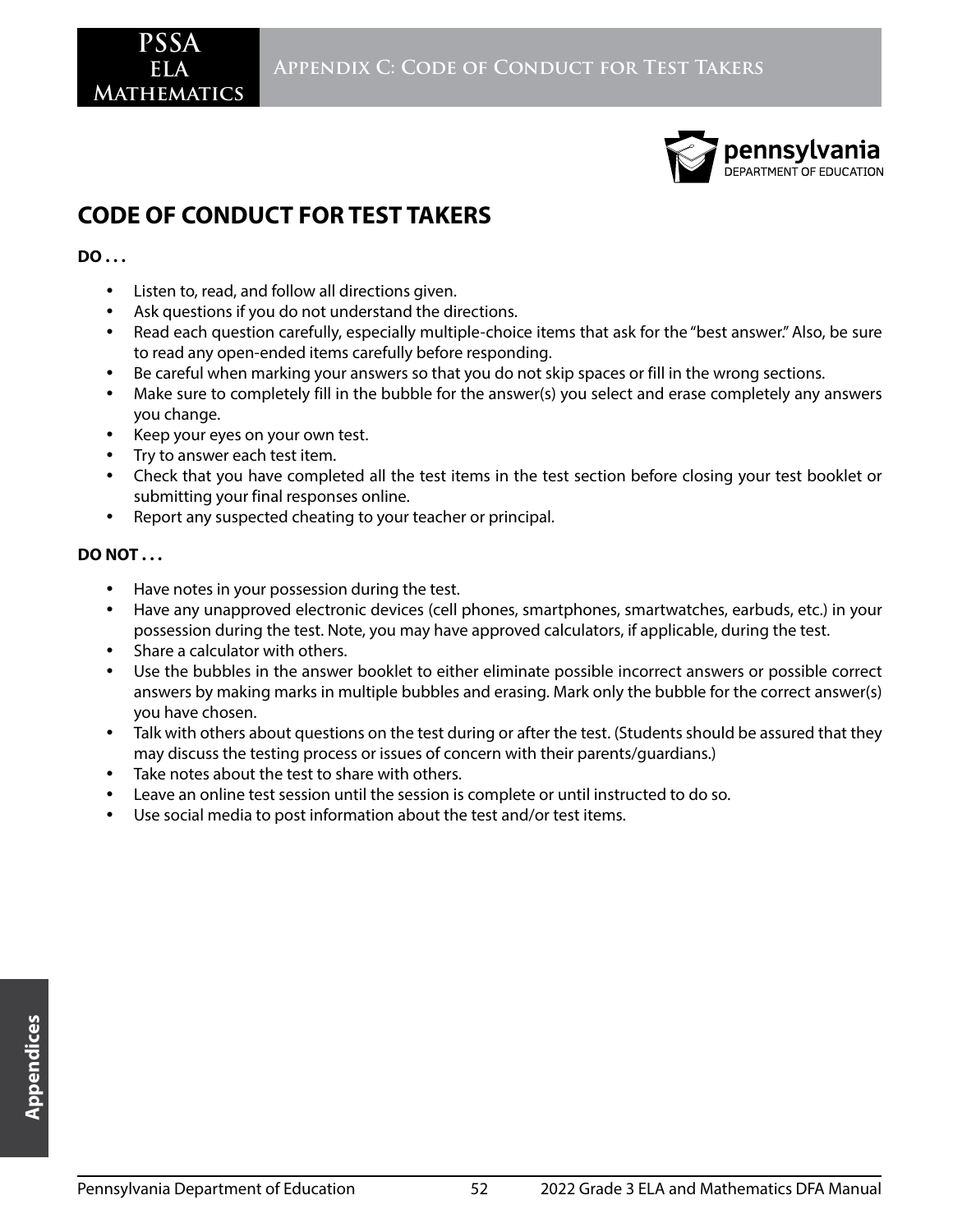

## **CODE OF CONDUCT FOR TEST TAKERS**

#### **DO . . .**

- Listen to, read, and follow all directions given.
- Ask questions if you do not understand the directions.
- Read each question carefully, especially multiple-choice items that ask for the "best answer." Also, be sure to read any open-ended items carefully before responding.
- Be careful when marking your answers so that you do not skip spaces or fill in the wrong sections.
- Make sure to completely fill in the bubble for the answer(s) you select and erase completely any answers you change.
- Keep your eyes on your own test.
- Try to answer each test item.
- Check that you have completed all the test items in the test section before closing your test booklet or submitting your final responses online.
- Report any suspected cheating to your teacher or principal.

#### **DO NOT . . .**

- Have notes in your possession during the test.
- Have any unapproved electronic devices (cell phones, smartphones, smartwatches, earbuds, etc.) in your possession during the test. Note, you may have approved calculators, if applicable, during the test.
- Share a calculator with others.
- Use the bubbles in the answer booklet to either eliminate possible incorrect answers or possible correct answers by making marks in multiple bubbles and erasing. Mark only the bubble for the correct answer(s) you have chosen.
- Talk with others about questions on the test during or after the test. (Students should be assured that they may discuss the testing process or issues of concern with their parents/guardians.)
- Take notes about the test to share with others.
- Leave an online test session until the session is complete or until instructed to do so.
- Use social media to post information about the test and/or test items.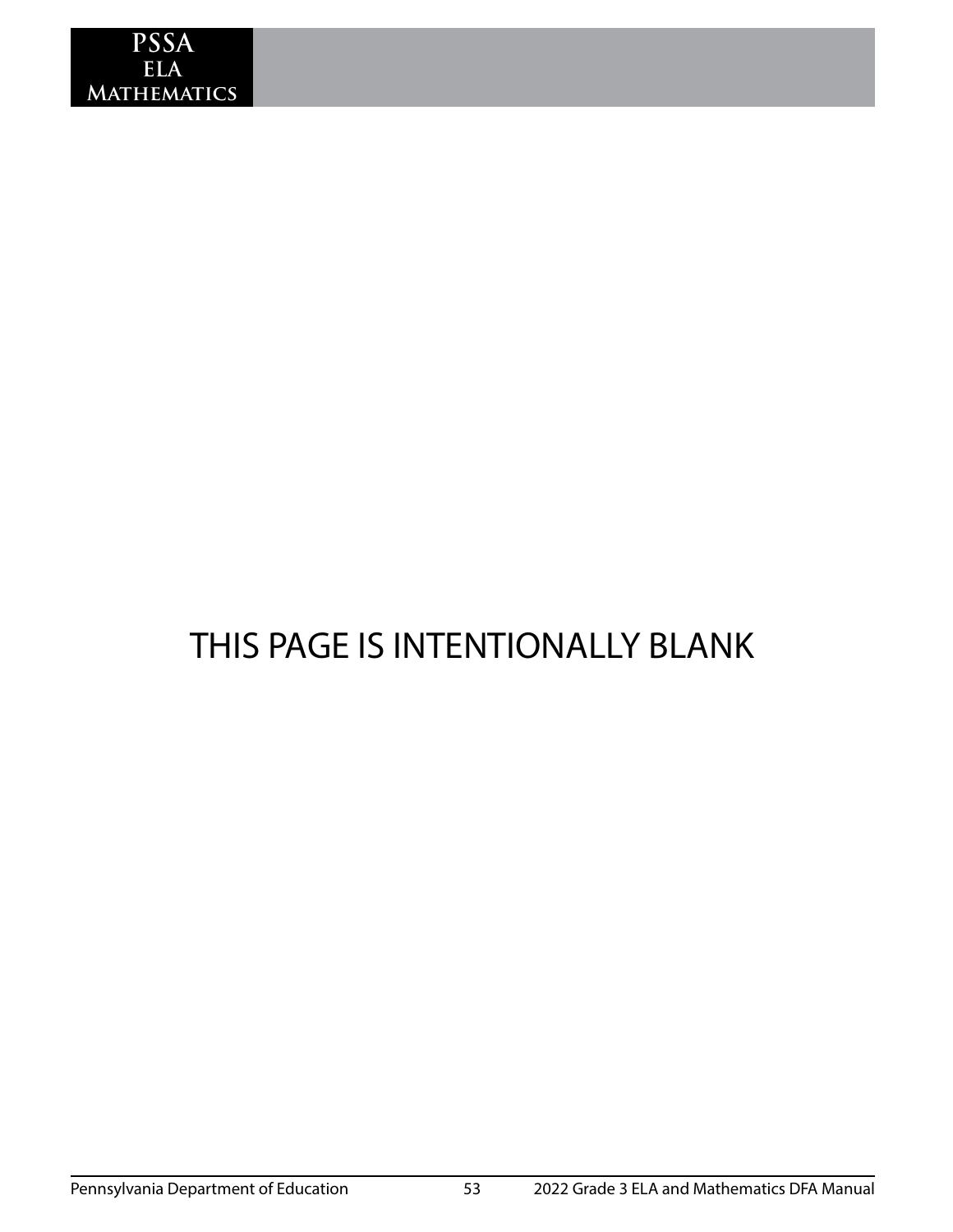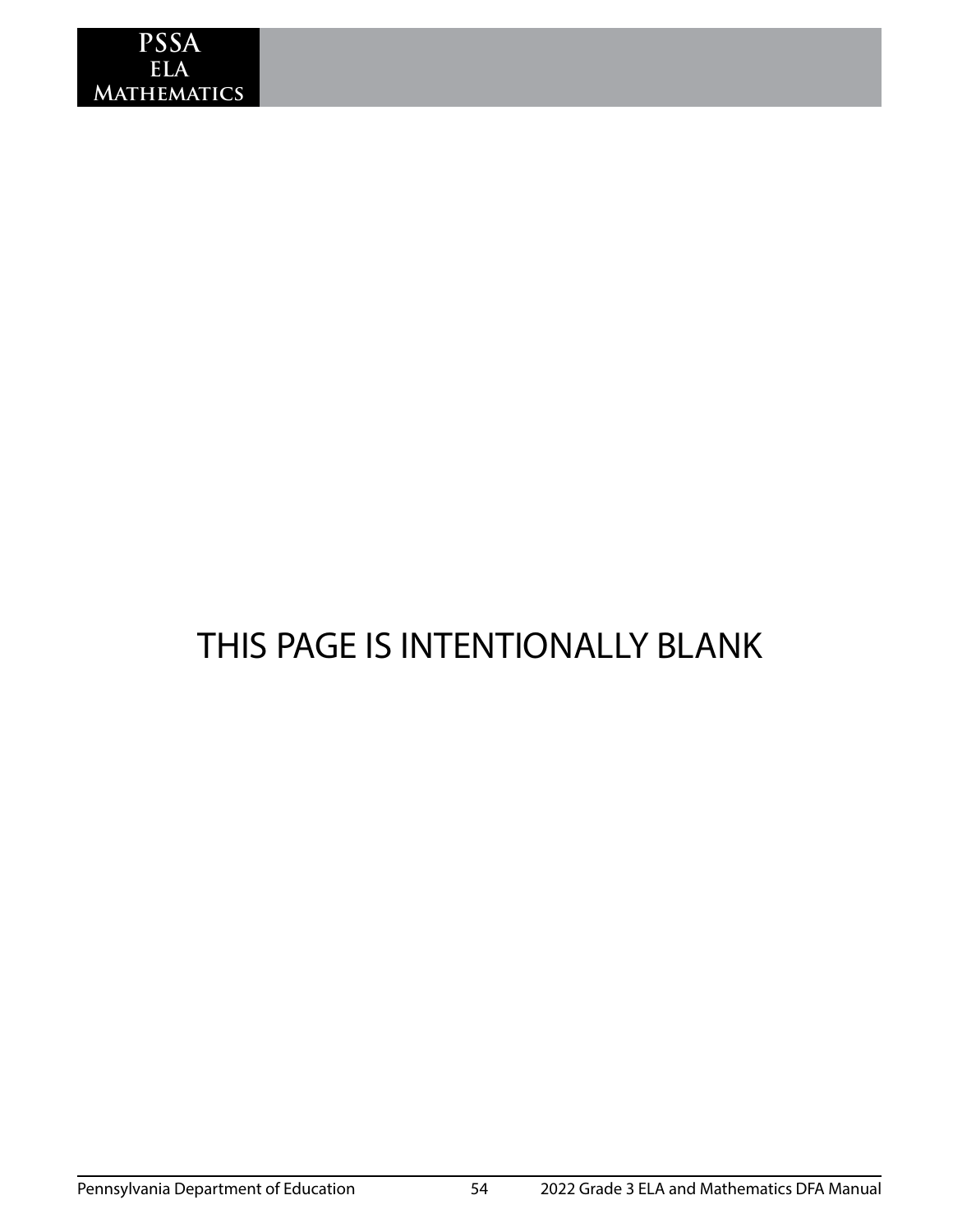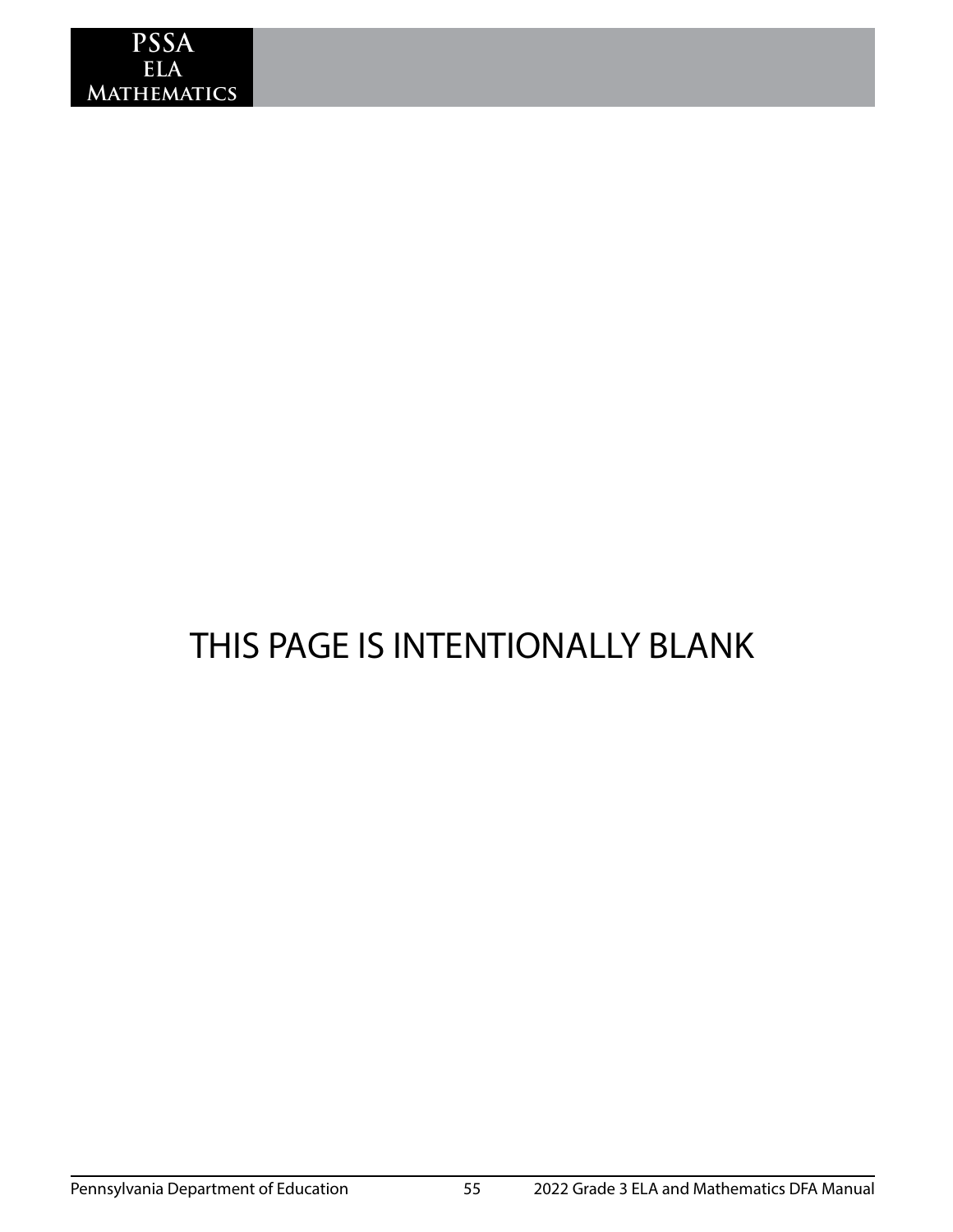